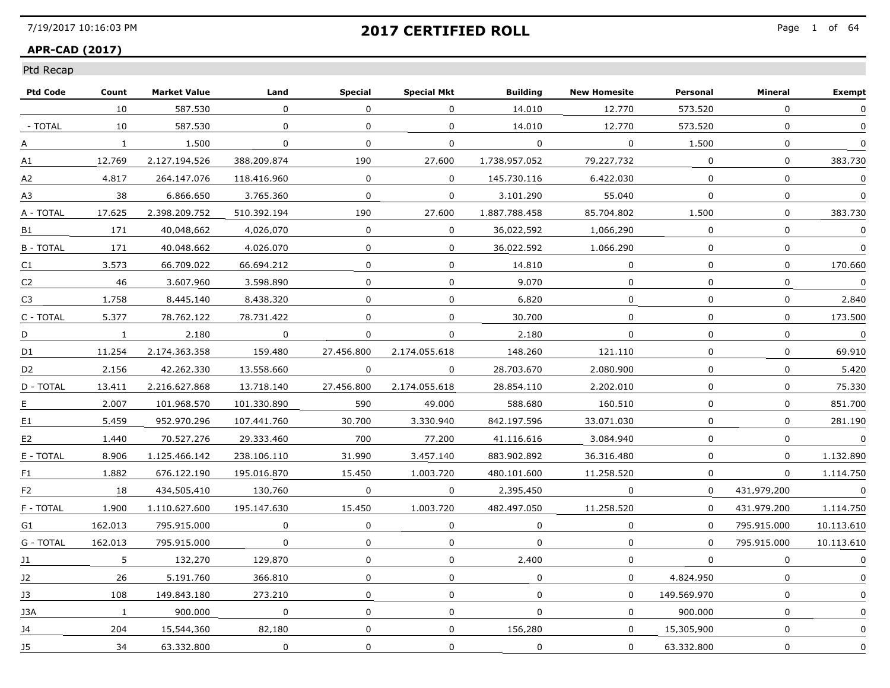### **APR-CAD (2017)**

| <b>Ptd Code</b> | Count        | <b>Market Value</b> | Land         | <b>Special</b> | <b>Special Mkt</b> | <b>Building</b> | <b>New Homesite</b> | Personal     | Mineral      | <b>Exempt</b> |
|-----------------|--------------|---------------------|--------------|----------------|--------------------|-----------------|---------------------|--------------|--------------|---------------|
|                 | 10           | 587.530             | $\Omega$     | $\Omega$       | $\Omega$           | 14,010          | 12,770              | 573,520      | $\Omega$     | $\Omega$      |
| - TOTAL         | 10           | 587,530             | $\mathbf{0}$ | 0              | $\mathbf 0$        | 14.010          | 12,770              | 573.520      | $\mathbf{0}$ |               |
| А               | $\mathbf{1}$ | 1.500               | $\Omega$     | 0              | 0                  | $\Omega$        | $\Omega$            | 1.500        | $\mathbf{0}$ | $\Omega$      |
| A1              | 12.769       | 2.127.194.526       | 388.209.874  | 190            | 27.600             | 1.738.957.052   | 79.227.732          | $\Omega$     | $\Omega$     | 383.730       |
| A2              | 4.817        | 264.147.076         | 118.416.960  | $\Omega$       | $\Omega$           | 145.730.116     | 6.422.030           | $\Omega$     | $\Omega$     | 0             |
| A3              | 38           | 6.866.650           | 3.765.360    | $\mathbf 0$    | $\mathbf{0}$       | 3,101,290       | 55,040              | $\mathbf{0}$ | $\mathbf 0$  | $\mathbf{0}$  |
| A - TOTAL       | 17.625       | 2.398.209.752       | 510.392.194  | 190            | 27,600             | 1.887.788.458   | 85.704.802          | 1,500        | $\mathbf 0$  | 383,730       |
| B1              | 171          | 40.048.662          | 4.026.070    | $\Omega$       | $\Omega$           | 36.022.592      | 1.066.290           | $\Omega$     | $\Omega$     | $\Omega$      |
| <b>B-TOTAL</b>  | 171          | 40.048.662          | 4.026.070    | $\Omega$       | 0                  | 36.022.592      | 1.066.290           | $\Omega$     | 0            | 0             |
| C <sub>1</sub>  | 3.573        | 66.709.022          | 66.694.212   | 0              | $\Omega$           | 14.810          | $\Omega$            | $\Omega$     | $\Omega$     | 170.660       |
| C <sub>2</sub>  | 46           | 3.607.960           | 3.598.890    | $\Omega$       | $\Omega$           | 9.070           | $\Omega$            | $\Omega$     | $\Omega$     | $\Omega$      |
| C <sub>3</sub>  | 1.758        | 8,445,140           | 8,438,320    | $\mathbf{0}$   | 0                  | 6.820           | $\mathbf 0$         | $\Omega$     | $\mathbf{0}$ | 2,840         |
| C - TOTAL       | 5.377        | 78.762.122          | 78.731.422   | $\Omega$       | $\Omega$           | 30.700          | $\Omega$            | $\Omega$     | $\Omega$     | 173.500       |
| D               | $\mathbf{1}$ | 2.180               | $\Omega$     | $\Omega$       | 0                  | 2.180           | 0                   | $\Omega$     | $\mathbf{0}$ | $\Omega$      |
| D1              | 11.254       | 2.174.363.358       | 159.480      | 27.456.800     | 2.174.055.618      | 148.260         | 121.110             | $\Omega$     | $\Omega$     | 69.910        |
| D <sub>2</sub>  | 2.156        | 42.262.330          | 13.558.660   | 0              | 0                  | 28.703.670      | 2.080.900           | $\mathbf{0}$ | $\mathbf 0$  | 5.420         |
| D - TOTAL       | 13.411       | 2.216.627.868       | 13,718,140   | 27.456.800     | 2.174.055.618      | 28.854.110      | 2,202,010           | $\mathbf 0$  | $\mathbf 0$  | 75,330        |
| E               | 2.007        | 101.968.570         | 101.330.890  | 590            | 49.000             | 588.680         | 160.510             | 0            | $\mathbf{0}$ | 851.700       |
| E1              | 5.459        | 952.970.296         | 107.441.760  | 30.700         | 3.330.940          | 842.197.596     | 33.071.030          | $\Omega$     | $\Omega$     | 281.190       |
| E <sub>2</sub>  | 1.440        | 70.527.276          | 29.333.460   | 700            | 77.200             | 41.116.616      | 3.084.940           | $\Omega$     | $\Omega$     | $\Omega$      |
| E - TOTAL       | 8.906        | 1.125.466.142       | 238.106.110  | 31,990         | 3,457,140          | 883.902.892     | 36.316.480          | $\mathbf{0}$ | 0            | 1.132.890     |
| F1.             | 1,882        | 676.122.190         | 195.016.870  | 15,450         | 1.003.720          | 480.101.600     | 11,258,520          | 0            | 0            | 1.114.750     |
| F <sub>2</sub>  | 18           | 434.505.410         | 130.760      | 0              | $\Omega$           | 2.395.450       | $\Omega$            | $\Omega$     | 431.979.200  | $\Omega$      |
| F - TOTAL       | 1.900        | 1.110.627.600       | 195.147.630  | 15.450         | 1.003.720          | 482.497.050     | 11.258.520          | $\Omega$     | 431.979.200  | 1.114.750     |
| G1              | 162.013      | 795.915.000         | $\Omega$     | $\Omega$       | 0                  | $\Omega$        | 0                   | $\Omega$     | 795.915.000  | 10.113.610    |
| G - TOTAL       | 162.013      | 795.915.000         | $\mathbf 0$  | 0              | 0                  | $\mathbf 0$     | 0                   | $\Omega$     | 795.915.000  | 10.113.610    |
| J1              | 5            | 132,270             | 129.870      | $\Omega$       | $\Omega$           | 2,400           | $\Omega$            | $\Omega$     | $\Omega$     | $\mathbf{0}$  |
| 12              | 26           | 5.191.760           | 366.810      | $\Omega$       | $\Omega$           | $\Omega$        | $\Omega$            | 4.824.950    | $\Omega$     | $\Omega$      |
| 13              | 108          | 149.843.180         | 273.210      | 0              | 0                  | $\Omega$        | $\Omega$            | 149.569.970  | $\Omega$     | $\mathbf{0}$  |
| 13A             | $\mathbf{1}$ | 900.000             | 0            | 0              | 0                  | 0               | $\Omega$            | 900.000      | $\Omega$     |               |
| J4              | 204          | 15,544,360          | 82,180       | $\mathbf 0$    | $\mathbf 0$        | 156.280         | $\mathbf 0$         | 15,305,900   | $\mathbf 0$  | 0             |
| <b>J5</b>       | 34           | 63.332.800          | $\mathbf 0$  | $\mathbf 0$    | $\mathbf 0$        | $\mathbf 0$     | 0                   | 63.332.800   | $\mathbf 0$  | 0             |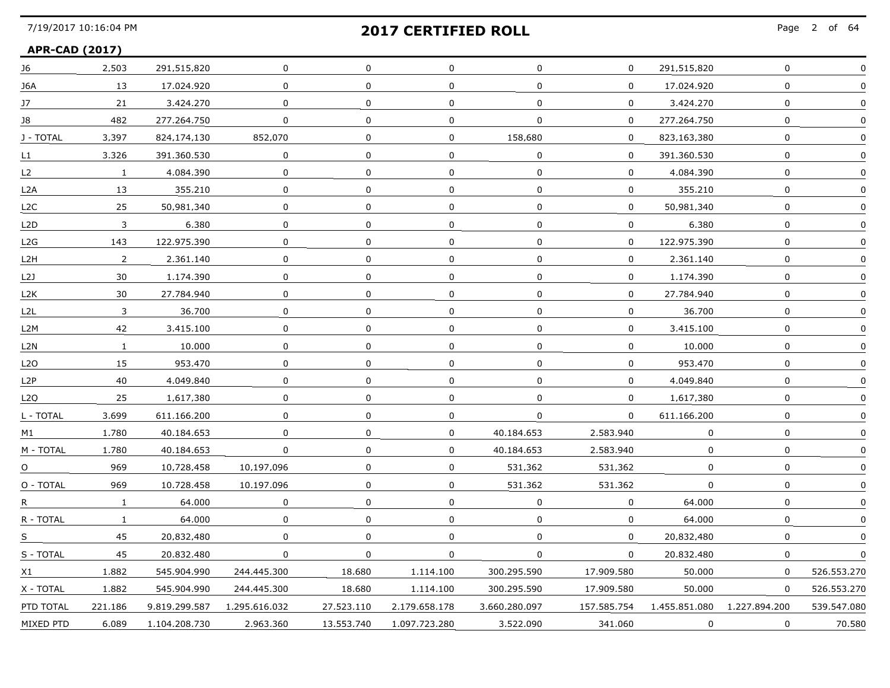### **APR-CAD (2017)**

| J6        | 2,503          | 291.515.820   | 0             | $\mathbf{0}$ | 0             | $\mathbf 0$   | $\mathbf{0}$ | 291.515.820   | $\mathbf 0$   | $\mathbf 0$ |
|-----------|----------------|---------------|---------------|--------------|---------------|---------------|--------------|---------------|---------------|-------------|
| J6A       | 13             | 17.024.920    | 0             | $\mathbf 0$  | 0             | $\mathbf 0$   | $\mathbf 0$  | 17.024.920    | $\mathbf 0$   | 0           |
| 17        | 21             | 3.424.270     | 0             | 0            | 0             | $\Omega$      | $\Omega$     | 3.424.270     | $\Omega$      |             |
| 18        | 482            | 277.264.750   | 0             | 0            | 0             | 0             | $\Omega$     | 277.264.750   | 0             |             |
| J - TOTAL | 3.397          | 824.174.130   | 852.070       | 0            | $\Omega$      | 158.680       | $\Omega$     | 823.163.380   | $\Omega$      | $\mathbf 0$ |
| L1        | 3,326          | 391.360.530   | 0             | $\mathbf 0$  | 0             | 0             | $\mathbf 0$  | 391.360.530   | $\mathbf 0$   | 0           |
| L2        | $\mathbf{1}$   | 4.084.390     | $\mathbf 0$   | $\mathbf 0$  | 0             | $\mathbf 0$   | $\mathbf 0$  | 4.084.390     | $\mathbf 0$   |             |
| L2A       | 13             | 355.210       | 0             | 0            | 0             | 0             | $\Omega$     | 355.210       | 0             |             |
| L2C       | 25             | 50.981.340    | $\Omega$      | 0            | $\Omega$      | $\Omega$      | $\Omega$     | 50.981.340    | $\Omega$      | $\mathbf 0$ |
| L2D.      | 3              | 6.380         | 0             | $\Omega$     | 0             | 0             | 0            | 6.380         | 0             | 0           |
| L2G       | 143            | 122.975.390   | 0             | 0            | 0             | 0             | 0            | 122.975.390   | 0             | 0           |
| L2H       | $\overline{2}$ | 2.361.140     | 0             | $\mathbf 0$  | 0             | 0             | $\mathbf 0$  | 2.361.140     | 0             |             |
| L21       | 30             | 1.174.390     | 0             | 0            | 0             | $\mathbf 0$   | $\Omega$     | 1.174.390     | $\mathbf 0$   | 0           |
| L2K       | 30             | 27.784.940    | 0             | 0            | 0             | 0             | 0            | 27.784.940    | 0             | 0           |
| L2L       | 3              | 36.700        | 0             | 0            | 0             | 0             | 0            | 36.700        | 0             |             |
| L2M       | 42             | 3.415.100     | 0             | 0            | 0             | 0             | $\mathbf{0}$ | 3.415.100     | $\mathbf 0$   |             |
| L2N       | $\mathbf{1}$   | 10,000        | 0             | 0            | 0             | 0             | 0            | 10,000        | $\mathbf 0$   | 0           |
| L2O       | 15             | 953.470       | 0             | 0            | 0             | 0             | 0            | 953.470       | $\Omega$      |             |
| L2P       | 40             | 4.049.840     | 0             | 0            | 0             | 0             | 0            | 4.049.840     | 0             |             |
| L2O       | 25             | 1.617.380     | 0             | 0            | 0             | $\Omega$      | $\Omega$     | 1.617.380     | $\Omega$      | 0           |
| L - TOTAL | 3.699          | 611.166.200   | 0             | $\mathbf 0$  | 0             | 0             | 0            | 611.166.200   | $\mathbf 0$   | 0           |
| M1        | 1,780          | 40.184.653    | 0             | 0            | 0             | 40.184.653    | 2,583,940    | 0             | 0             | O           |
| M - TOTAL | 1.780          | 40.184.653    | 0             | 0            | 0             | 40.184.653    | 2.583.940    | 0             | 0             |             |
| O         | 969            | 10.728.458    | 10.197.096    | $\Omega$     | 0             | 531.362       | 531.362      | 0             | $\Omega$      | O           |
| O - TOTAL | 969            | 10.728.458    | 10.197.096    | 0            | 0             | 531.362       | 531.362      | 0             | 0             | 0           |
| R.        | $\mathbf{1}$   | 64.000        | 0             | 0            | 0             | 0             | 0            | 64,000        | $\Omega$      |             |
| R - TOTAL | $\mathbf{1}$   | 64.000        | 0             | $\Omega$     | 0             | 0             | 0            | 64,000        | $\Omega$      |             |
| S         | 45             | 20.832.480    | $\Omega$      | $\mathbf 0$  | $\mathbf 0$   | $\mathbf 0$   | $\mathbf 0$  | 20.832.480    | $\mathbf{0}$  | 0           |
| S - TOTAL | 45             | 20.832.480    | 0             | $\mathbf{0}$ | 0             | 0             | $\Omega$     | 20.832.480    | $\Omega$      | $\Omega$    |
| X1        | 1.882          | 545.904.990   | 244.445.300   | 18.680       | 1.114.100     | 300.295.590   | 17.909.580   | 50.000        | $\Omega$      | 526.553.270 |
| X - TOTAL | 1,882          | 545.904.990   | 244,445,300   | 18,680       | 1.114.100     | 300.295.590   | 17.909.580   | 50,000        | 0             | 526.553.270 |
| PTD TOTAL | 221.186        | 9.819.299.587 | 1.295.616.032 | 27.523.110   | 2.179.658.178 | 3.660.280.097 | 157.585.754  | 1.455.851.080 | 1.227.894.200 | 539.547.080 |
| MIXED PTD | 6.089          | 1.104.208.730 | 2.963.360     | 13.553.740   | 1.097.723.280 | 3.522.090     | 341.060      | 0             | $\Omega$      | 70.580      |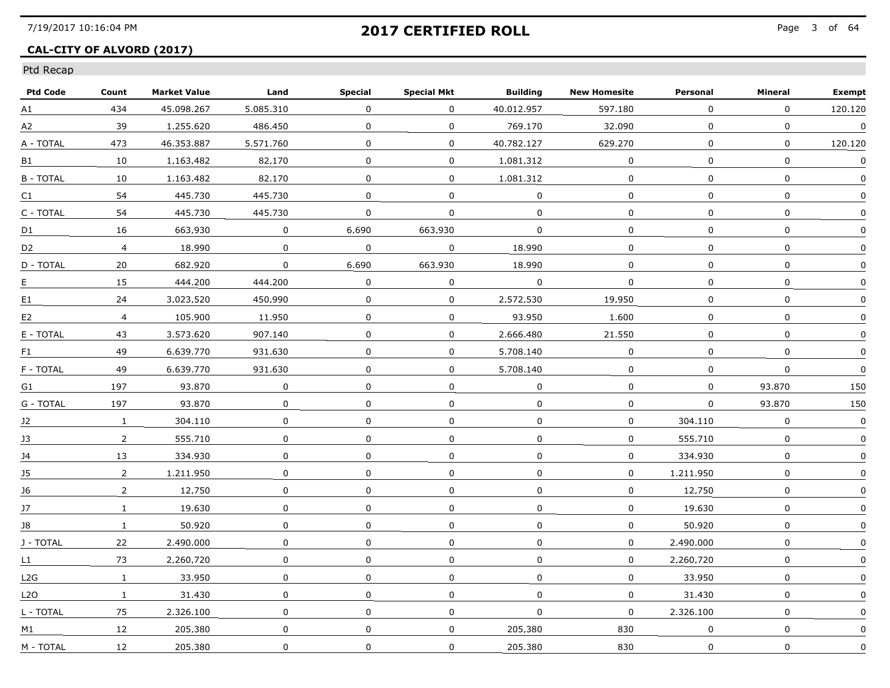## **CAL-CITY OF ALVORD (2017)**

| <b>Ptd Code</b>  | Count                   | <b>Market Value</b> | Land      | <b>Special</b> | <b>Special Mkt</b> | <b>Building</b> | <b>New Homesite</b> | Personal     | Mineral      | <b>Exempt</b> |
|------------------|-------------------------|---------------------|-----------|----------------|--------------------|-----------------|---------------------|--------------|--------------|---------------|
| A1               | 434                     | 45.098.267          | 5.085.310 | $\Omega$       | $\Omega$           | 40.012.957      | 597.180             | $\mathbf 0$  | $\Omega$     | 120.120       |
| A2               | 39                      | 1.255.620           | 486.450   | 0              | 0                  | 769.170         | 32.090              | 0            | 0            | $\mathbf 0$   |
| A - TOTAL        | 473                     | 46.353.887          | 5.571.760 | 0              | 0                  | 40.782.127      | 629.270             | 0            | 0            | 120.120       |
| B1               | 10                      | 1.163.482           | 82.170    | 0              | 0                  | 1.081.312       | 0                   | $\Omega$     | 0            | 0             |
| <b>B-TOTAL</b>   | 10                      | 1.163.482           | 82.170    | 0              | 0                  | 1.081.312       | 0                   | 0            | 0            | $\mathbf{0}$  |
| C1               | 54                      | 445,730             | 445,730   | $\mathbf 0$    | 0                  | $\mathbf 0$     | 0                   | $\mathbf{0}$ | $\mathbf 0$  | 0             |
| C - TOTAL        | 54                      | 445.730             | 445.730   | $\mathbf 0$    | 0                  | $\mathbf 0$     | 0                   | 0            | $\mathbf 0$  | 0             |
| D <sub>1</sub>   | 16                      | 663.930             | 0         | 6.690          | 663.930            | 0               | 0                   | 0            | 0            | $\Omega$      |
| D <sub>2</sub>   | $\overline{\mathbf{4}}$ | 18.990              | 0         | 0              | 0                  | 18.990          | 0                   | 0            | 0            |               |
| D - TOTAL        | 20                      | 682.920             | $\Omega$  | 6.690          | 663.930            | 18.990          | 0                   | $\mathbf 0$  | $\mathbf{0}$ | $\mathbf{0}$  |
| Е                | 15                      | 444.200             | 444.200   | $\mathbf 0$    | 0                  | $\mathbf 0$     | $\mathbf 0$         | $\mathbf 0$  | $\mathbf 0$  | $\mathbf 0$   |
| E1               | 24                      | 3.023.520           | 450.990   | 0              | 0                  | 2,572,530       | 19.950              | 0            | $\mathsf 0$  | $\Omega$      |
| E <sub>2</sub>   | $\overline{4}$          | 105.900             | 11.950    | $\mathbf 0$    | $\mathbf 0$        | 93.950          | 1.600               | $\Omega$     | $\Omega$     | $\Omega$      |
| E - TOTAL        | 43                      | 3.573.620           | 907.140   | $\Omega$       | $\mathbf 0$        | 2.666.480       | 21.550              | 0            | $\mathbf{0}$ | 0             |
| F1               | 49                      | 6.639.770           | 931.630   | 0              | 0                  | 5.708.140       | 0                   | 0            | 0            | $\Omega$      |
| F - TOTAL        | 49                      | 6.639.770           | 931.630   | 0              | 0                  | 5,708,140       | 0                   | $\mathbf 0$  | 0            | 0             |
| G1               | 197                     | 93.870              | 0         | 0              | 0                  | $\mathbf 0$     | $\mathbf 0$         | $\mathbf{0}$ | 93,870       | 150           |
| G - TOTAL        | 197                     | 93.870              | 0         | 0              | 0                  | $\Omega$        | $\Omega$            | $\Omega$     | 93.870       | 150           |
| 12               | $\mathbf{1}$            | 304.110             | 0         | 0              | 0                  | 0               | 0                   | 304.110      | 0            | 0             |
| 13               | $\overline{2}$          | 555.710             | 0         | 0              | 0                  | 0               | 0                   | 555.710      | 0            | 0             |
| J4               | 13                      | 334,930             | 0         | $\Omega$       | $\mathbf 0$        | $\mathbf 0$     | $\mathbf 0$         | 334.930      | $\mathbf{0}$ | 0             |
| J5               | $\overline{2}$          | 1.211.950           | 0         | $\Omega$       | 0                  | $\mathbf 0$     | $\mathbf 0$         | 1.211.950    | $\Omega$     | $\Omega$      |
| 16               | $\overline{2}$          | 12.750              | 0         | 0              | 0                  | 0               | 0                   | 12.750       | 0            | 0             |
| 17               | $\mathbf{1}$            | 19.630              | 0         | $\Omega$       | 0                  | $\Omega$        | 0                   | 19.630       | 0            | 0             |
| 18               | $\mathbf{1}$            | 50.920              | 0         | 0              | 0                  | $\Omega$        | 0                   | 50.920       | 0            | $\Omega$      |
| J - TOTAL        | 22                      | 2.490.000           | 0         | 0              | 0                  | $\mathbf 0$     | $\mathbf 0$         | 2.490.000    | $\mathbf 0$  | $\Omega$      |
| L1               | 73                      | 2.260.720           | 0         | 0              | 0                  | 0               | 0                   | 2.260.720    | $\mathbf 0$  | 0             |
| L2G              | $\mathbf{1}$            | 33.950              | 0         | $\Omega$       | $\Omega$           | $\mathbf 0$     | $\mathbf 0$         | 33.950       | 0            | $\mathbf{0}$  |
| L <sub>2</sub> O | $\mathbf{1}$            | 31.430              | 0         | $\Omega$       | 0                  | 0               | 0                   | 31.430       | 0            | n             |
| L - TOTAL        | 75                      | 2.326.100           | 0         | $\pmb{0}$      | 0                  | $\Omega$        | 0                   | 2.326.100    | 0            | $\Omega$      |
| M1               | 12                      | 205.380             | 0         | $\mathbf 0$    | 0                  | 205.380         | 830                 | $\mathbf 0$  | $\mathbf 0$  | <sup>0</sup>  |
| M - TOTAL        | 12                      | 205.380             | 0         | $\mathbf 0$    | 0                  | 205.380         | 830                 | $\mathsf{O}$ | $\mathbf 0$  | 0             |
|                  |                         |                     |           |                |                    |                 |                     |              |              |               |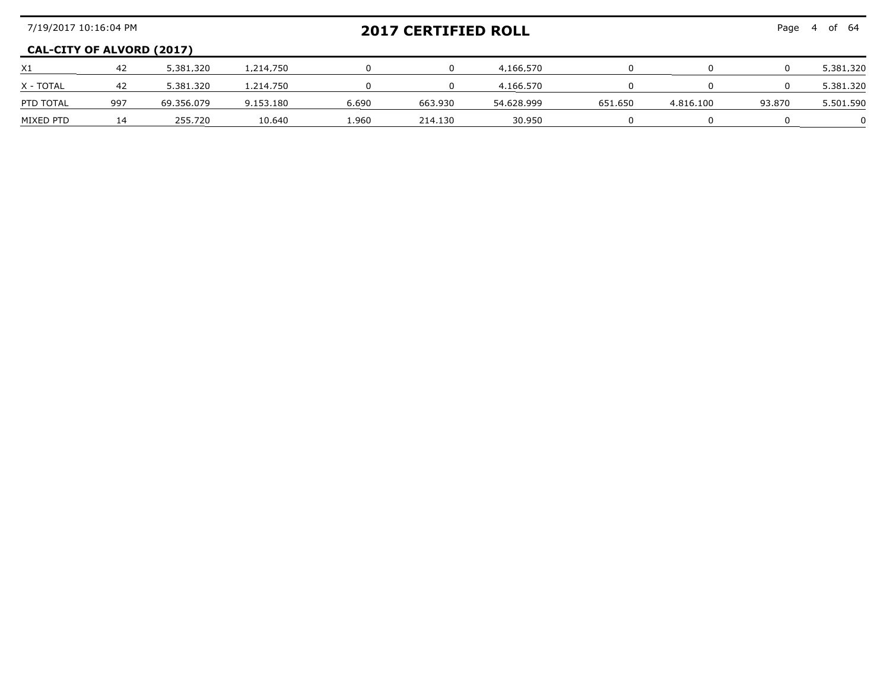| 7/19/2017 10:16:04 PM            |     |            |           |       | <b>2017 CERTIFIED ROLL</b> |            | Page<br>of 64 |           |        |           |
|----------------------------------|-----|------------|-----------|-------|----------------------------|------------|---------------|-----------|--------|-----------|
| <b>CAL-CITY OF ALVORD (2017)</b> |     |            |           |       |                            |            |               |           |        |           |
| X <sub>1</sub>                   | -42 | 5.381.320  | 1.214.750 |       |                            | 4.166.570  |               |           |        | 5,381,320 |
| X - TOTAL                        | -42 | 5.381.320  | 1.214.750 |       |                            | 4.166.570  |               |           |        | 5,381,320 |
| PTD TOTAL                        | 997 | 69.356.079 | 9.153.180 | 6.690 | 663.930                    | 54.628.999 | 651.650       | 4.816.100 | 93.870 | 5.501.590 |
| MIXED PTD                        | 14  | 255.720    | 10.640    | .960  | 214 130                    | 30.950     |               |           |        |           |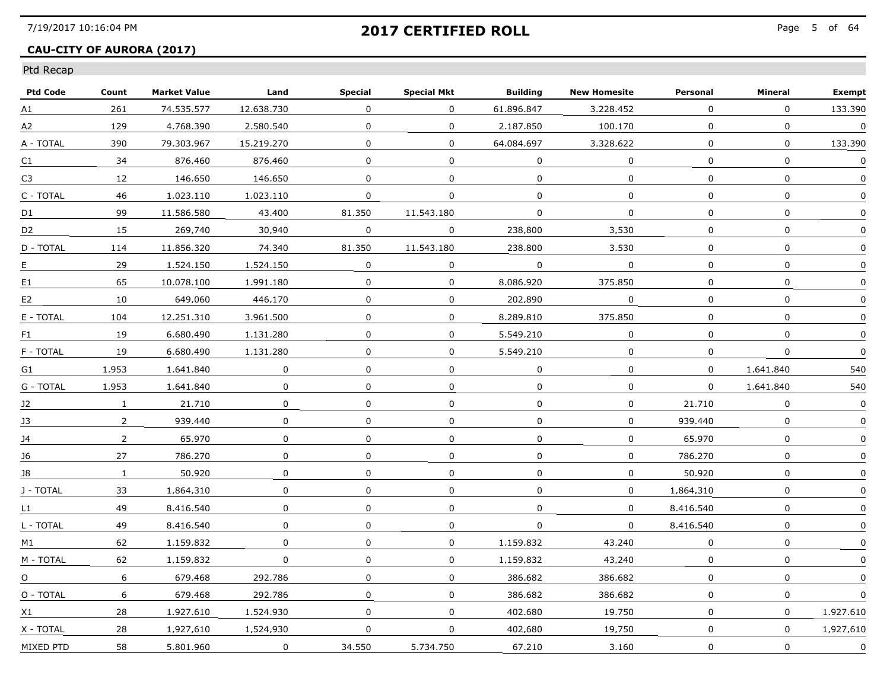## **CAU-CITY OF AURORA (2017)**

| <b>Ptd Code</b> | Count          | <b>Market Value</b> | Land         | <b>Special</b> | <b>Special Mkt</b> | <b>Building</b> | <b>New Homesite</b> | Personal     | Mineral      | <b>Exempt</b> |
|-----------------|----------------|---------------------|--------------|----------------|--------------------|-----------------|---------------------|--------------|--------------|---------------|
| A1              | 261            | 74.535.577          | 12.638.730   | 0              | $\Omega$           | 61.896.847      | 3.228.452           | 0            | $\Omega$     | 133,390       |
| A2              | 129            | 4,768,390           | 2,580,540    | 0              | $\mathbf{0}$       | 2,187,850       | 100.170             | 0            | 0            | $\mathbf 0$   |
| A - TOTAL       | 390            | 79.303.967          | 15.219.270   | 0              | $\Omega$           | 64.084.697      | 3.328.622           | 0            | 0            | 133.390       |
| C1              | 34             | 876.460             | 876.460      | 0              | $\Omega$           | 0               | $\Omega$            | 0            | 0            | 0             |
| C3              | 12             | 146.650             | 146.650      | 0              | 0                  | 0               | $\Omega$            | 0            | 0            | $\Omega$      |
| C - TOTAL       | 46             | 1.023.110           | 1.023.110    | 0              | $\Omega$           | $\Omega$        | $\Omega$            | $\Omega$     | $\Omega$     | $\Omega$      |
| D1              | 99             | 11.586.580          | 43,400       | 81,350         | 11,543,180         | $\Omega$        | $\mathbf{0}$        | $\Omega$     | $\Omega$     | $\mathbf 0$   |
| D <sub>2</sub>  | 15             | 269.740             | 30.940       | $\Omega$       | $\Omega$           | 238.800         | 3.530               | $\Omega$     | $\mathbf{0}$ | $\mathbf{0}$  |
| D - TOTAL       | 114            | 11.856.320          | 74.340       | 81.350         | 11.543.180         | 238.800         | 3.530               | 0            | 0            | 0             |
| E.              | 29             | 1.524.150           | 1.524.150    | 0              | 0                  | $\Omega$        | $\Omega$            | 0            | 0            | $\Omega$      |
| E1              | 65             | 10.078.100          | 1.991.180    | 0              | $\mathbf 0$        | 8.086.920       | 375.850             | 0            | $\Omega$     | $\Omega$      |
| E <sub>2</sub>  | 10             | 649.060             | 446.170      | 0              | 0                  | 202.890         | $\mathbf 0$         | 0            | $\mathbf 0$  |               |
| E - TOTAL       | 104            | 12.251.310          | 3.961.500    | 0              | $\Omega$           | 8.289.810       | 375.850             | $\Omega$     | 0            | 0             |
| F1              | 19             | 6.680.490           | 1.131.280    | 0              | $\Omega$           | 5.549.210       | $\Omega$            | $\Omega$     | $\mathbf{0}$ | $\Omega$      |
| F - TOTAL       | 19             | 6.680.490           | 1.131.280    | 0              | 0                  | 5.549.210       | 0                   | 0            | 0            | $\Omega$      |
| G1              | 1.953          | 1,641,840           | 0            | $\mathbf 0$    | $\Omega$           | 0               | 0                   | 0            | 1,641,840    | 540           |
| G - TOTAL       | 1.953          | 1.641.840           | $\mathbf 0$  | $\mathbf 0$    | $\mathbf{0}$       | $\mathbf 0$     | $\mathbf{0}$        | $\mathbf{0}$ | 1.641.840    | 540           |
| 12              | 1              | 21.710              | 0            | 0              | 0                  | $\Omega$        | 0                   | 21.710       | $\mathbf{0}$ | 0             |
| 13              | $\overline{2}$ | 939.440             | 0            | 0              | 0                  | 0               | 0                   | 939.440      | 0            | $\mathbf{0}$  |
| 14              | $\overline{2}$ | 65.970              | $\Omega$     | 0              | $\Omega$           | 0               | 0                   | 65.970       | 0            | 0             |
| J6              | 27             | 786.270             | $\mathbf 0$  | $\mathbf 0$    | $\mathbf 0$        | $\mathbf 0$     | $\mathbf 0$         | 786.270      | $\mathbf 0$  | $\Omega$      |
| J8              | $\mathbf{1}$   | 50.920              | 0            | 0              | 0                  | $\Omega$        | 0                   | 50,920       | $\mathbf 0$  | $\Omega$      |
| J - TOTAL       | 33             | 1.864.310           | 0            | 0              | 0                  | 0               | 0                   | 1.864.310    | 0            | 0             |
| L1              | 49             | 8.416.540           | 0            | 0              | $\Omega$           | $\Omega$        | $\Omega$            | 8.416.540    | 0            | 0             |
| L - TOTAL       | 49             | 8.416.540           | $\Omega$     | $\Omega$       | $\Omega$           | $\Omega$        | $\Omega$            | 8.416.540    | $\Omega$     | $\Omega$      |
| M1              | 62             | 1,159,832           | $\Omega$     | $\Omega$       | 0                  | 1,159,832       | 43,240              | 0            | $\Omega$     | 0             |
| M - TOTAL       | 62             | 1,159,832           | $\mathbf{0}$ | 0              | $\mathbf{0}$       | 1,159,832       | 43.240              | 0            | $\mathbf 0$  | $\Omega$      |
| $\Omega$        | 6              | 679.468             | 292.786      | 0              | $\mathbf 0$        | 386.682         | 386.682             | 0            | 0            | $\Omega$      |
| O - TOTAL       | 6              | 679.468             | 292.786      | 0              | 0                  | 386.682         | 386.682             | $\Omega$     | 0            | $\mathbf{0}$  |
| X1              | 28             | 1.927.610           | 1.524.930    | 0              | 0                  | 402.680         | 19.750              | 0            | $\Omega$     | 1.927.610     |
| X - TOTAL       | 28             | 1.927.610           | 1,524,930    | 0              | $\mathbf{0}$       | 402.680         | 19,750              | $\mathbf{0}$ | 0            | 1.927.610     |
| MIXED PTD       | 58             | 5.801.960           | 0            | 34,550         | 5.734.750          | 67.210          | 3.160               | 0            | $\mathbf 0$  | $\mathbf 0$   |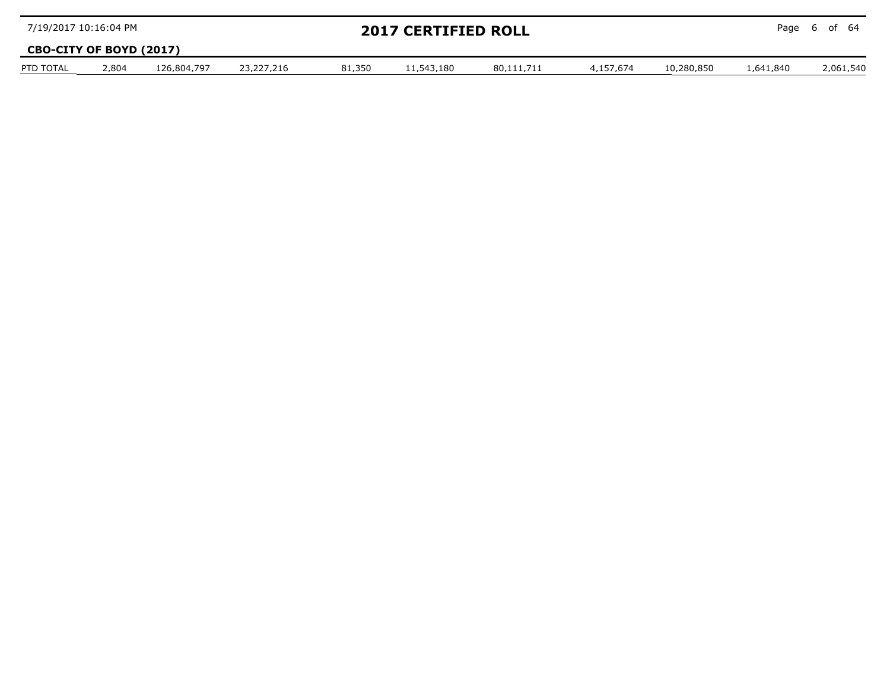| 7/19/2017 10:16:04 PM   |       |             |            |        | <b>2017 CERTIFIED ROLL</b> |            |           |            |           | Page 6 of 64 |
|-------------------------|-------|-------------|------------|--------|----------------------------|------------|-----------|------------|-----------|--------------|
| CBO-CITY OF BOYD (2017) |       |             |            |        |                            |            |           |            |           |              |
| PTD TOTAL               | 2.804 | 126.804.797 | 23.227.216 | 81.350 | 11.543.180                 | 80.111.711 | 4.157.674 | 10.280.850 | 1.641.840 | 2.061.540    |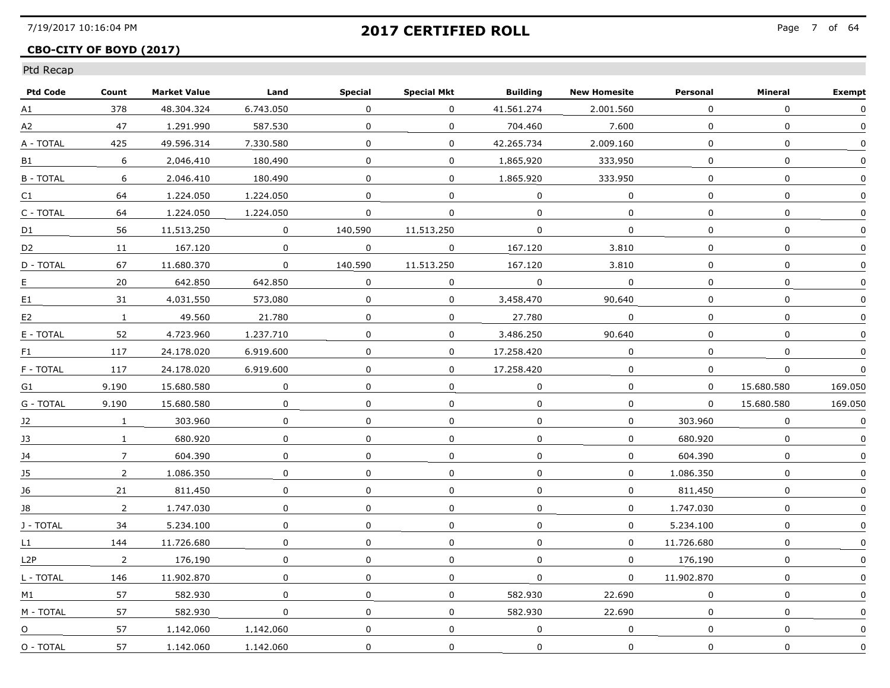## **CBO-CITY OF BOYD (2017)**

| <b>Ptd Code</b> | Count          | <b>Market Value</b> | Land         | <b>Special</b> | <b>Special Mkt</b> | <b>Building</b>         | <b>New Homesite</b> | Personal     | Mineral      | <b>Exempt</b> |
|-----------------|----------------|---------------------|--------------|----------------|--------------------|-------------------------|---------------------|--------------|--------------|---------------|
| A1              | 378            | 48.304.324          | 6.743.050    | 0              | 0                  | 41.561.274              | 2.001.560           | 0            | $\Omega$     | $\Omega$      |
| A2              | 47             | 1,291,990           | 587.530      | 0              | $\mathbf 0$        | 704,460                 | 7.600               | 0            | 0            | $\Omega$      |
| A - TOTAL       | 425            | 49.596.314          | 7.330.580    | 0              | 0                  | 42.265.734              | 2.009.160           | 0            | 0            | $\Omega$      |
| B1              | 6              | 2.046.410           | 180.490      | 0              | $\Omega$           | 1.865.920               | 333.950             | 0            | 0            | $\mathbf{0}$  |
| <b>B-TOTAL</b>  | 6              | 2.046.410           | 180.490      | 0              | 0                  | 1.865.920               | 333.950             | 0            | 0            | 0             |
| C1              | 64             | 1.224.050           | 1,224,050    | $\mathbf{0}$   | $\mathbf{0}$       | $\mathbf 0$             | $\mathbf 0$         | $\mathbf{0}$ | $\mathbf 0$  | $\mathbf 0$   |
| C - TOTAL       | 64             | 1.224.050           | 1,224,050    | 0              | 0                  | $\mathbf 0$             | 0                   | 0            | $\mathbf 0$  | 0             |
| D1              | 56             | 11.513.250          | $\Omega$     | 140.590        | 11.513.250         | 0                       | 0                   | 0            | 0            | $\Omega$      |
| D <sub>2</sub>  | 11             | 167.120             | $\Omega$     | 0              | $\Omega$           | 167.120                 | 3.810               | 0            | 0            | $\mathbf{0}$  |
| D - TOTAL       | 67             | 11.680.370          | $\mathbf 0$  | 140.590        | 11.513.250         | 167.120                 | 3.810               | 0            | $\mathbf{0}$ | $\Omega$      |
| E.              | 20             | 642,850             | 642,850      | 0              | 0                  | $\overline{\mathbf{0}}$ | $\mathbf 0$         | $\Omega$     | $\mathbf 0$  |               |
| E1              | 31             | 4.031.550           | 573.080      | 0              | $\mathbf 0$        | 3.458.470               | 90.640              | 0            | 0            |               |
| E <sub>2</sub>  | $\mathbf{1}$   | 49.560              | 21.780       | 0              | $\Omega$           | 27.780                  | $\Omega$            | 0            | 0            | $\mathbf{0}$  |
| E - TOTAL       | 52             | 4.723.960           | 1.237.710    | 0              | $\Omega$           | 3.486.250               | 90.640              | 0            | 0            | 0             |
| F1              | 117            | 24.178.020          | 6.919.600    | 0              | 0                  | 17.258.420              | $\Omega$            | $\Omega$     | 0            | $\mathbf{0}$  |
| F - TOTAL       | 117            | 24,178,020          | 6.919.600    | 0              | 0                  | 17,258,420              | $\mathbf 0$         | 0            | 0            | 0             |
| G1              | 9.190          | 15.680.580          | $\mathbf{0}$ | 0              | $\mathbf{0}$       | $\mathbf 0$             | $\mathbf 0$         | $\mathbf{0}$ | 15.680.580   | 169.050       |
| G - TOTAL       | 9.190          | 15.680.580          | $\Omega$     | 0              | $\Omega$           | $\Omega$                | 0                   | $\Omega$     | 15.680.580   | 169.050       |
| 12              | 1              | 303.960             | 0            | 0              | $\overline{0}$     | $\Omega$                | 0                   | 303.960      | 0            | 0             |
| 13              | $\mathbf{1}$   | 680.920             | 0            | 0              | 0                  | $\Omega$                | 0                   | 680.920      | 0            | $\mathbf{0}$  |
| J4              | 7              | 604,390             | 0            | 0              | $\mathbf 0$        | $\Omega$                | $\Omega$            | 604,390      | $\mathbf{0}$ | $\Omega$      |
| J5              | $\mathbf{2}$   | 1.086.350           | $\Omega$     | $\Omega$       | $\Omega$           | $\mathbf{0}$            | $\Omega$            | 1.086.350    | $\mathbf 0$  | $\Omega$      |
| 16              | 21             | 811.450             | 0            | 0              | 0                  | 0                       | 0                   | 811.450      | $\mathbf{0}$ |               |
| 18              | $\overline{2}$ | 1.747.030           | $\Omega$     | 0              | $\Omega$           | 0                       | $\Omega$            | 1.747.030    | 0            | $\mathbf{0}$  |
| J - TOTAL       | 34             | 5.234.100           | 0            | 0              | 0                  | $\Omega$                | $\Omega$            | 5.234.100    | 0            | $\Omega$      |
| L1              | 144            | 11,726,680          | 0            | 0              | 0                  | 0                       | 0                   | 11,726,680   | 0            | 0             |
| L2P             | $\mathbf{2}$   | 176,190             | 0            | 0              | 0                  | 0                       | 0                   | 176.190      | 0            |               |
| L - TOTAL       | 146            | 11.902.870          | $\Omega$     | $\Omega$       | $\Omega$           | $\Omega$                | $\Omega$            | 11.902.870   | $\Omega$     | $\mathbf{0}$  |
| M1              | 57             | 582.930             | $\Omega$     | 0              | $\Omega$           | 582.930                 | 22.690              | $\Omega$     | $\mathbf{0}$ | $\Omega$      |
| M - TOTAL       | 57             | 582.930             | 0            | $\mathbf{0}$   | $\Omega$           | 582.930                 | 22.690              | $\Omega$     | 0            | $\Omega$      |
| O               | 57             | 1.142.060           | 1.142.060    | 0              | 0                  | $\mathbf 0$             | 0                   | $\mathbf{0}$ | $\mathbf 0$  | 0             |
| O - TOTAL       | 57             | 1.142.060           | 1.142.060    | 0              | $\mathbf 0$        | 0                       | 0                   | $\mathbf 0$  | 0            | 0             |
|                 |                |                     |              |                |                    |                         |                     |              |              |               |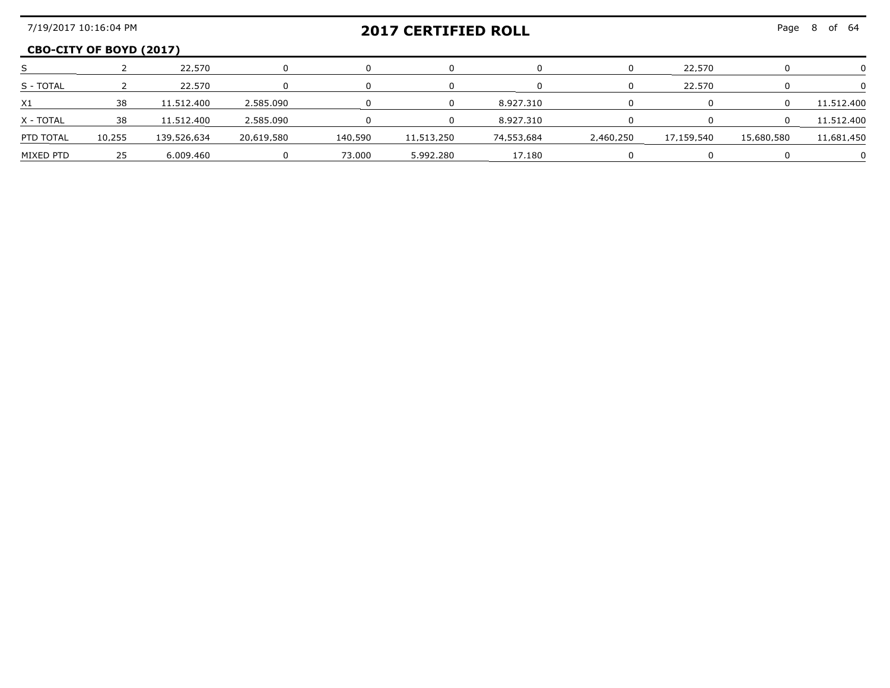| 7/19/2017 10:16:04 PM<br><b>2017 CERTIFIED ROLL</b> |                         |             |            |         |            |               | Page 8    | nf 64      |            |            |
|-----------------------------------------------------|-------------------------|-------------|------------|---------|------------|---------------|-----------|------------|------------|------------|
|                                                     | CBO-CITY OF BOYD (2017) |             |            |         |            |               |           |            |            |            |
|                                                     |                         | 22.570      |            |         |            |               |           | 22.570     |            |            |
| S - TOTAL                                           |                         | 22.570      |            |         |            |               |           | 22.570     |            |            |
| X1                                                  |                         | 11.512.400  | 2 585 090  |         |            | 8 9 2 7 3 1 0 |           |            |            | 11 512 400 |
| X - TOTAI                                           | 38                      | 11.512.400  | 2 585 090  |         |            | 8 927 310     |           |            |            | 11.512.400 |
| PTD TOTAL                                           | 10.255                  | 139.526.634 | 20.619.580 | 140 590 | 11 513 250 | 74.553.684    | 2 460 250 | 17 159 540 | 15.680.580 | 11 681 450 |
| MIXED PTD                                           |                         | 6 009 460   |            | 73.000  | 5.992.280  | 17.180        |           |            |            |            |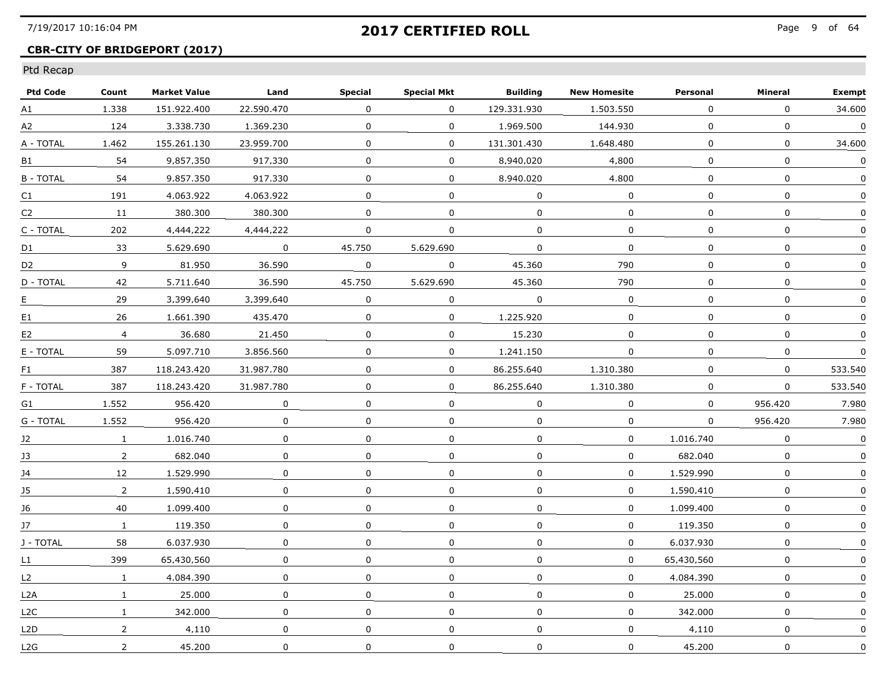## **CBR-CITY OF BRIDGEPORT (2017)**

| <b>Ptd Code</b>  | Count          | <b>Market Value</b> | Land         | <b>Special</b> | <b>Special Mkt</b> | <b>Building</b> | <b>New Homesite</b> | Personal       | Mineral      | <b>Exempt</b> |
|------------------|----------------|---------------------|--------------|----------------|--------------------|-----------------|---------------------|----------------|--------------|---------------|
| A1               | 1.338          | 151.922.400         | 22.590.470   | 0              | 0                  | 129.331.930     | 1,503,550           | 0              | $\Omega$     | 34.600        |
| A2               | 124            | 3.338.730           | 1,369,230    | $\mathbf{0}$   | 0                  | 1.969.500       | 144.930             | $\mathbf{0}$   | $\mathbf 0$  | $\mathbf 0$   |
| A - TOTAL        | 1.462          | 155.261.130         | 23.959.700   | 0              | 0                  | 131.301.430     | 1.648.480           | 0              | $\Omega$     | 34.600        |
| B1               | 54             | 9.857.350           | 917.330      | 0              | 0                  | 8.940.020       | 4.800               | 0              | $\mathbf 0$  | 0             |
| <b>B-TOTAL</b>   | 54             | 9.857.350           | 917.330      | 0              | 0                  | 8.940.020       | 4.800               | $\Omega$       | $\Omega$     |               |
| C <sub>1</sub>   | 191            | 4.063.922           | 4.063.922    | $\mathbf{0}$   | 0                  | $\mathbf 0$     | $\mathbf 0$         | $\overline{0}$ | $\mathbf{0}$ | $\mathbf{0}$  |
| C2               | 11             | 380.300             | 380.300      | $\mathbf 0$    | 0                  | $\Omega$        | $\mathbf 0$         | $\mathbf 0$    | $\mathbf 0$  | $\Omega$      |
| C - TOTAL        | 202            | 4.444.222           | 4.444.222    | 0              | 0                  | 0               | 0                   | 0              | $\mathbf{0}$ | $\Omega$      |
| D1               | 33             | 5.629.690           | $\Omega$     | 45.750         | 5.629.690          | $\mathbf{0}$    | $\Omega$            | 0              | $\Omega$     | $\Omega$      |
| D <sub>2</sub>   | 9              | 81.950              | 36.590       | 0              | 0                  | 45.360          | 790                 | $\Omega$       | $\Omega$     | $\Omega$      |
| D - TOTAL        | 42             | 5.711.640           | 36.590       | 45,750         | 5.629.690          | 45.360          | 790                 | 0              | $\mathbf 0$  | $\Omega$      |
| Е.               | 29             | 3,399,640           | 3.399.640    | 0              | 0                  | 0               | 0                   | 0              | 0            | $\mathbf{0}$  |
| E1               | 26             | 1.661.390           | 435.470      | $\Omega$       | $\Omega$           | 1.225.920       | $\Omega$            | $\Omega$       | $\mathbf 0$  | $\mathbf{0}$  |
| $E2$             | $\overline{4}$ | 36.680              | 21.450       | $\mathbf{0}$   | $\mathbf{0}$       | 15.230          | $\Omega$            | $\Omega$       | $\mathbf{0}$ | 0             |
| E - TOTAL        | 59             | 5.097.710           | 3.856.560    | $\mathbf{0}$   | 0                  | 1.241.150       | 0                   | $\mathbf{0}$   | $\Omega$     | $\Omega$      |
| F1               | 387            | 118,243,420         | 31.987.780   | $\mathbf 0$    | 0                  | 86.255.640      | 1,310,380           | 0              | 0            | 533.540       |
| F - TOTAL        | 387            | 118,243,420         | 31.987.780   | $\mathbf 0$    | 0                  | 86.255.640      | 1,310,380           | $\mathbf{0}$   | $\mathbf 0$  | 533.540       |
| G1               | 1.552          | 956.420             | 0            | $\Omega$       | 0                  | 0               | $\Omega$            | $\Omega$       | 956.420      | 7.980         |
| G - TOTAL        | 1.552          | 956.420             | 0            | 0              | 0                  | 0               | 0                   | 0              | 956.420      | 7.980         |
| 12               | $\mathbf{1}$   | 1.016.740           | 0            | 0              | 0                  | 0               | $\Omega$            | 1.016.740      | $\Omega$     | $\Omega$      |
| J3               | $\overline{2}$ | 682.040             | 0            | $\mathbf 0$    | 0                  | $\mathbf 0$     | 0                   | 682.040        | $\mathbf 0$  | 0             |
| J4               | 12             | 1,529,990           | 0            | $\mathbf{0}$   | 0                  | $\Omega$        | 0                   | 1,529,990      | $\Omega$     | $\Omega$      |
| 15               | $\overline{2}$ | 1.590.410           | $\Omega$     | 0              | 0                  | 0               | $\Omega$            | 1.590.410      | $\mathbf 0$  | 0             |
| 16               | 40             | 1.099.400           | 0            | $\Omega$       | $\mathbf 0$        | $\Omega$        | $\Omega$            | 1.099.400      | $\Omega$     | 0             |
| 17               | $\mathbf{1}$   | 119.350             | $\mathbf 0$  | 0              | 0                  | 0               | $\mathbf 0$         | 119.350        | $\Omega$     | 0             |
| J - TOTAL        | 58             | 6.037.930           | 0            | 0              | 0                  | 0               | 0                   | 6.037.930      | $\mathbf 0$  |               |
| L1               | 399            | 65.430.560          | $\mathbf 0$  | $\mathbf 0$    | 0                  | $\mathbf 0$     | $\mathbf 0$         | 65.430.560     | $\Omega$     | $\mathbf{0}$  |
| L2               | $\mathbf{1}$   | 4.084.390           | 0            | $\mathbf{0}$   | 0                  | 0               | $\mathbf{0}$        | 4.084.390      | $\mathbf{0}$ | $\Omega$      |
| L <sub>2</sub> A | $\mathbf{1}$   | 25.000              | 0            | $\mathbf{0}$   | 0                  | 0               | $\mathbf 0$         | 25.000         | $\Omega$     | $\Omega$      |
| L <sub>2</sub> C | $\mathbf{1}$   | 342.000             | 0            | 0              | 0                  | 0               | 0                   | 342.000        | 0            | 0             |
| L2D              | $\overline{2}$ | 4.110               | $\mathbf{0}$ | $\mathbf 0$    | 0                  | 0               | 0                   | 4,110          | $\mathbf 0$  | 0             |
| L2G              | $\overline{2}$ | 45,200              | $\mathbf 0$  | 0              | 0                  | $\mathbf 0$     | 0                   | 45,200         | $\mathbf 0$  | 0             |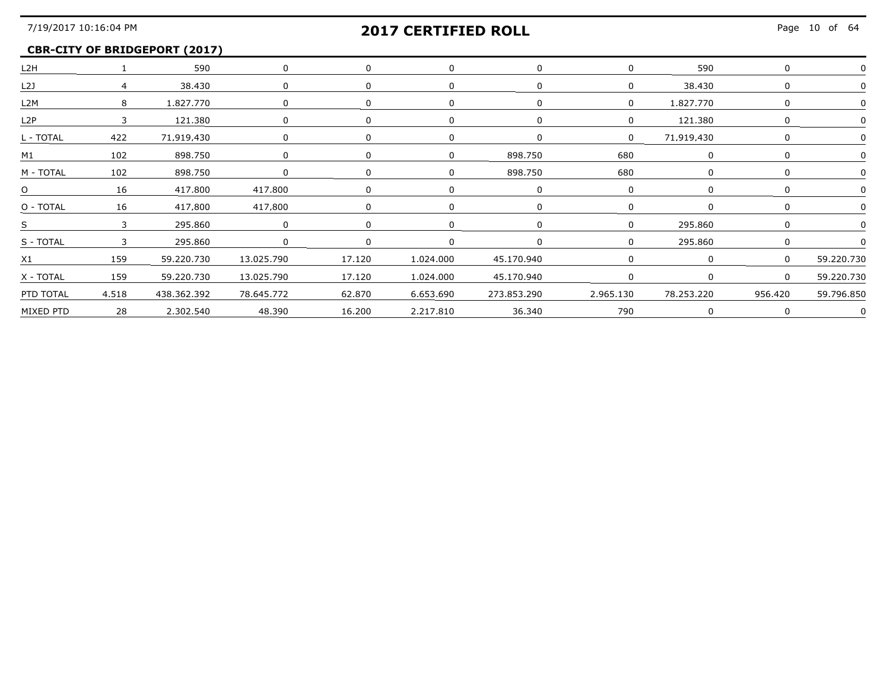### **CBR-CITY OF BRIDGEPORT (2017)**

| L <sub>2</sub> H |                         | 590          | $\Omega$   |        |           |             |           | 590        |          |            |
|------------------|-------------------------|--------------|------------|--------|-----------|-------------|-----------|------------|----------|------------|
| L <sub>2</sub> J |                         | 38,430       |            |        |           |             |           | 38,430     |          |            |
| L2M              | 8                       | 1.827.770    |            |        |           |             |           | .827.770   |          |            |
| L <sub>2</sub> P | $\overline{\mathbf{3}}$ | 121.380      |            |        |           |             |           | 121.380    |          |            |
| L - TOTAL        | 422                     | 71.919.430   |            |        |           |             |           | 71.919.430 |          |            |
| M1               | 102                     | 898.750      |            |        |           | 898,750     | 680       |            |          |            |
| M - TOTAL        | 102                     | 898.750      |            |        |           | 898.750     | 680       |            |          |            |
| $\Omega$         | 16                      | 417.800      | 417.800    |        |           |             |           |            |          |            |
| O - TOTAL        | 16                      | 417.800      | 417.800    |        |           |             |           |            |          |            |
| S.               |                         | 295.860      |            |        |           |             |           | 295 860    |          |            |
| S - TOTAL        | $\overline{\mathbf{3}}$ | 295.860      |            |        |           |             |           | 295.860    |          |            |
| X1               | 159                     | 59,220,730   | 13,025,790 | 17.120 | 1,024,000 | 45,170,940  |           |            |          | 59 220 730 |
| X - TOTAL        | 159                     | 59.220.730   | 13.025.790 | 17.120 | 1.024.000 | 45.170.940  |           |            | $\Omega$ | 59.220.730 |
| PTD TOTAL        | 4.518                   | 438.362.392  | 78.645.772 | 62.870 | 6.653.690 | 273.853.290 | 2.965.130 | 78.253.220 | 956.420  | 59.796.850 |
| MIXED PTD        |                         | 28 2.302.540 | 48.390     | 16.200 | 2.217.810 | 36.340      | 790       |            |          |            |
|                  |                         |              |            |        |           |             |           |            |          |            |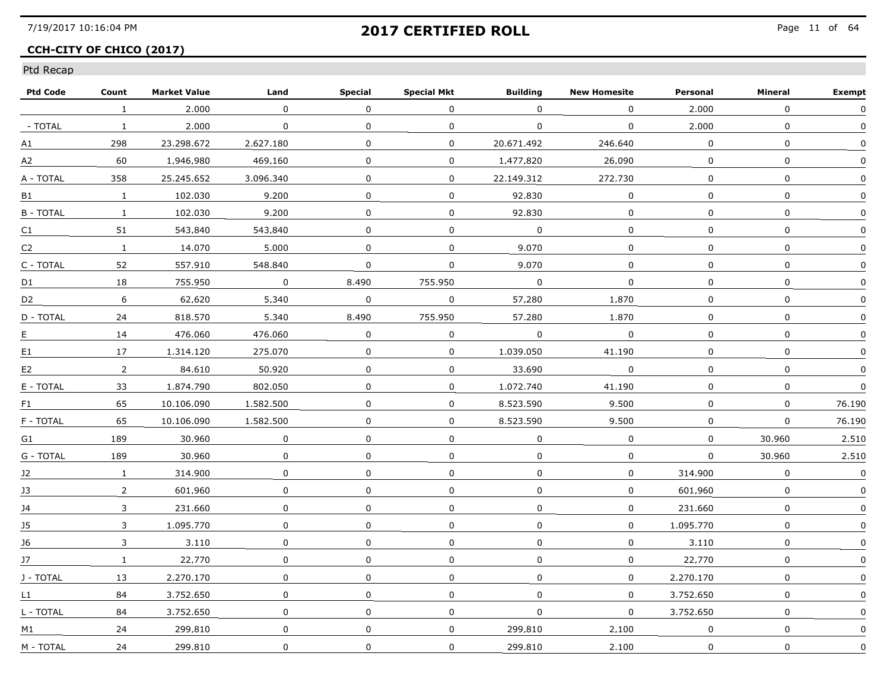### **CCH-CITY OF CHICO (2017)**

| <b>Ptd Code</b> | Count          | <b>Market Value</b> | Land           | <b>Special</b> | <b>Special Mkt</b> | <b>Building</b> | <b>New Homesite</b> | Personal    | Mineral      | <b>Exempt</b> |
|-----------------|----------------|---------------------|----------------|----------------|--------------------|-----------------|---------------------|-------------|--------------|---------------|
|                 | $\mathbf{1}$   | 2,000               | $\Omega$       | $\Omega$       | $\Omega$           | $\Omega$        | 0                   | 2,000       | $\mathbf{0}$ | 0             |
| - TOTAL         | $\mathbf{1}$   | 2,000               | $\mathbf 0$    | 0              | 0                  | 0               | $\Omega$            | 2.000       | $\mathbf 0$  | 0             |
| $\mathsf{A1}$   | 298            | 23.298.672          | 2.627.180      | 0              | $\mathbf 0$        | 20.671.492      | 246.640             | $\Omega$    | $\Omega$     | $\Omega$      |
| A2              | 60             | 1.946.980           | 469.160        | 0              | 0                  | 1.477.820       | 26.090              | $\Omega$    | 0            | $\Omega$      |
| A - TOTAL       | 358            | 25.245.652          | 3.096.340      | 0              | 0                  | 22.149.312      | 272.730             | 0           | 0            | 0             |
| B1              | $\mathbf{1}$   | 102.030             | 9,200          | 0              | 0                  | 92.830          | $\mathbf 0$         | $\mathbf 0$ | 0            | 0             |
| <b>B-TOTAL</b>  | $\mathbf{1}$   | 102.030             | 9,200          | $\Omega$       | $\mathbf 0$        | 92.830          | 0                   | $\Omega$    | $\mathbf 0$  | $\Omega$      |
| C1              | 51             | 543.840             | 543.840        | 0              | 0                  | $\Omega$        | $\mathbf 0$         | $\Omega$    | $\Omega$     | $\Omega$      |
| C2              | $\mathbf{1}$   | 14.070              | 5.000          | $\mathbf{0}$   | 0                  | 9.070           | $\Omega$            | 0           | $\Omega$     |               |
| C - TOTAL       | 52             | 557.910             | 548.840        | $\Omega$       | $\Omega$           | 9.070           | $\mathbf{0}$        | $\Omega$    | 0            | 0             |
| D1              | 18             | 755.950             | $\overline{0}$ | 8.490          | 755.950            | $\mathbf 0$     | $\mathbf 0$         | $\mathbf 0$ | $\mathbf 0$  | $\mathbf 0$   |
| D2              | 6              | 62.620              | 5,340          | $\mathbf 0$    | 0                  | 57.280          | 1.870               | 0           | 0            | 0             |
| D - TOTAL       | 24             | 818.570             | 5.340          | 8.490          | 755.950            | 57.280          | 1.870               | $\Omega$    | 0            | 0             |
| E.              | 14             | 476.060             | 476.060        | $\Omega$       | $\Omega$           | $\mathbf{0}$    | $\mathbf{0}$        | $\Omega$    | $\Omega$     | $\Omega$      |
| E1              | 17             | 1.314.120           | 275.070        | 0              | $\Omega$           | 1.039.050       | 41.190              | $\Omega$    | $\Omega$     | $\Omega$      |
| E2              | $\overline{2}$ | 84,610              | 50,920         | 0              | 0                  | 33.690          | 0                   | 0           | 0            | 0             |
| E - TOTAL       | 33             | 1.874.790           | 802.050        | 0              | 0                  | 1.072.740       | 41.190              | 0           | 0            | $\mathbf 0$   |
| F <sub>1</sub>  | 65             | 10.106.090          | 1.582.500      | 0              | 0                  | 8.523.590       | 9.500               | 0           | 0            | 76.190        |
| F - TOTAL       | 65             | 10.106.090          | 1.582.500      | 0              | 0                  | 8.523.590       | 9.500               | 0           | 0            | 76.190        |
| G1              | 189            | 30.960              | $\Omega$       | 0              | 0                  | $\Omega$        | $\Omega$            | 0           | 30.960       | 2.510         |
| G - TOTAL       | 189            | 30.960              | $\mathbf 0$    | $\Omega$       | $\mathbf 0$        | $\Omega$        | $\mathbf 0$         | $\mathbf 0$ | 30.960       | 2.510         |
| J2              | $\mathbf{1}$   | 314,900             | $\mathbf 0$    | $\Omega$       | $\mathbf 0$        | 0               | $\mathbf 0$         | 314,900     | $\mathbf{0}$ | $\mathbf 0$   |
| 13              | $\overline{2}$ | 601.960             | 0              | 0              | 0                  | 0               | 0                   | 601.960     | 0            | $\Omega$      |
| 14              | 3              | 231.660             | 0              | 0              | $\Omega$           | $\Omega$        | $\Omega$            | 231.660     | 0            | 0             |
| 15              | 3              | 1.095.770           | 0              | 0              | 0                  | $\Omega$        | $\Omega$            | 1.095.770   | 0            | 0             |
| J6              | 3              | 3.110               | 0              | $\mathbf 0$    | 0                  | 0               | 0                   | 3.110       | 0            |               |
| J7              | $\mathbf{1}$   | 22.770              | 0              | 0              | 0                  | 0               | 0                   | 22,770      | 0            | 0             |
| J - TOTAL       | 13             | 2.270.170           | 0              | $\Omega$       | 0                  | $\Omega$        | $\Omega$            | 2.270.170   | 0            | $\Omega$      |
| L1              | 84             | 3.752.650           | 0              | $\Omega$       | 0                  | $\Omega$        | 0                   | 3.752.650   | 0            | $\Omega$      |
| L - TOTAL       | 84             | 3.752.650           | 0              | 0              | 0                  | 0               | 0                   | 3.752.650   | 0            | $\Omega$      |
| M1              | 24             | 299.810             | $\mathbf 0$    | $\mathbf 0$    | 0                  | 299.810         | 2,100               | 0           | 0            | $\Omega$      |
| M - TOTAL       | 24             | 299.810             | 0              | 0              | $\mathbf 0$        | 299.810         | 2,100               | $\mathbf 0$ | 0            | 0             |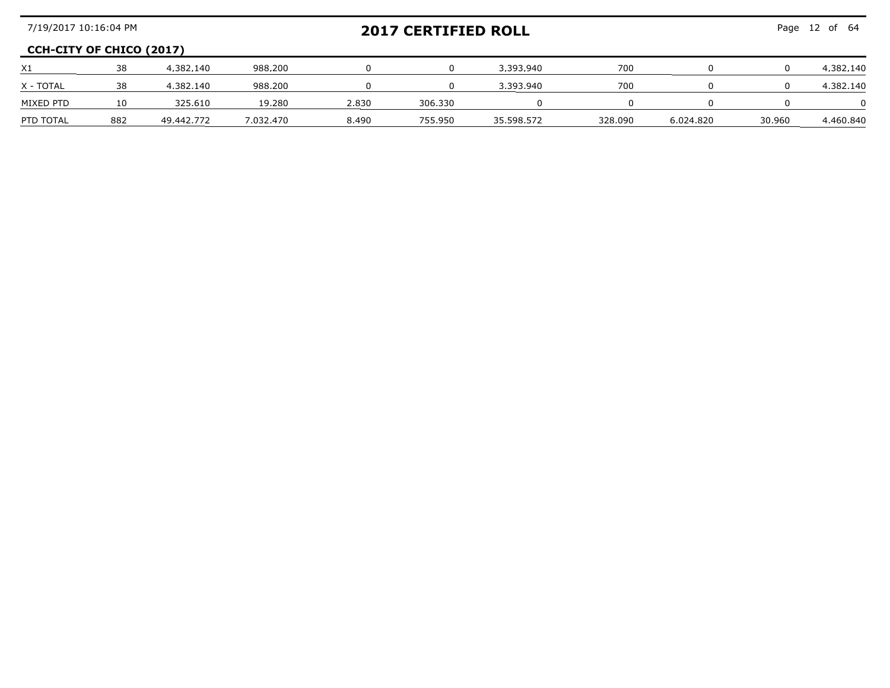| 7/19/2017 10:16:04 PM           |     |            |           |       | <b>2017 CERTIFIED ROLL</b> | Page 12 of 64 |         |           |        |           |
|---------------------------------|-----|------------|-----------|-------|----------------------------|---------------|---------|-----------|--------|-----------|
| <b>CCH-CITY OF CHICO (2017)</b> |     |            |           |       |                            |               |         |           |        |           |
| X1                              | 38  | 4.382.140  | 988.200   |       |                            | 3.393.940     | 700     |           |        | 4,382,140 |
| X - TOTAL                       | 38  | 4.382.140  | 988.200   |       |                            | 3.393.940     | 700     |           |        | 4,382,140 |
| MIXED PTD                       |     | 325.610    | 19.280    | 2.830 | 306.330                    |               |         |           |        |           |
| PTD TOTAL                       | 882 | 49.442.772 | 7.032.470 | 8.490 | 755 950                    | 35.598.572    | 328.090 | 6.024.820 | 30.960 | 4.460.840 |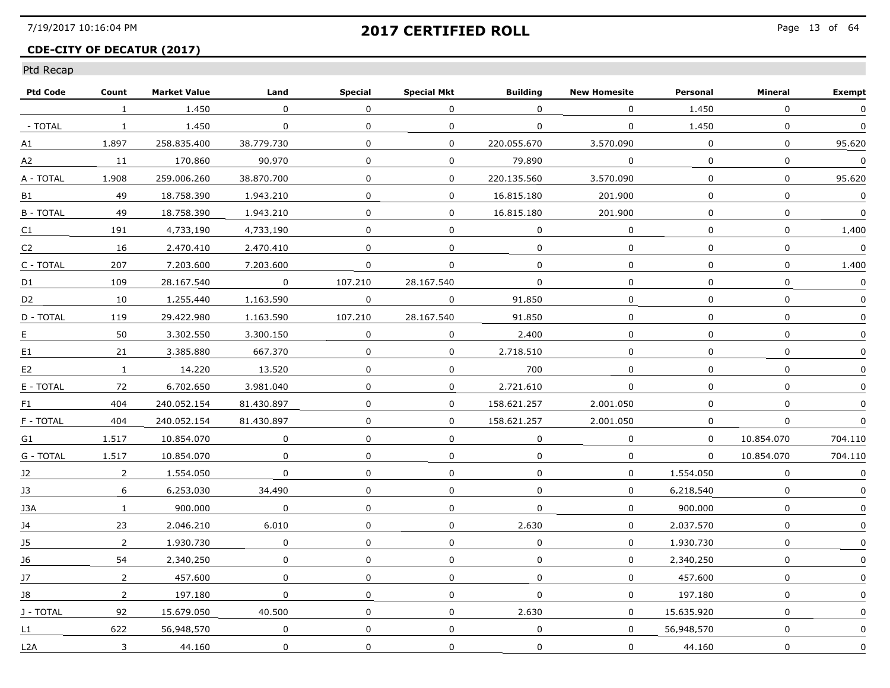## **CDE-CITY OF DECATUR (2017)**

| <b>Ptd Code</b> | Count          | <b>Market Value</b> | Land         | <b>Special</b> | <b>Special Mkt</b> | <b>Building</b> | <b>New Homesite</b> | Personal    | Mineral      | <b>Exempt</b> |
|-----------------|----------------|---------------------|--------------|----------------|--------------------|-----------------|---------------------|-------------|--------------|---------------|
|                 | $\mathbf{1}$   | 1,450               | $\Omega$     | $\mathbf{0}$   | $\mathbf{0}$       | $\Omega$        | $\Omega$            | 1,450       | $\mathbf{0}$ | $\mathbf 0$   |
| - TOTAL         | $\mathbf{1}$   | 1,450               | $\mathbf{0}$ | 0              | 0                  | $\mathbf 0$     | 0                   | 1,450       | 0            | $\mathbf 0$   |
| A1              | 1.897          | 258.835.400         | 38.779.730   | 0              | 0                  | 220.055.670     | 3.570.090           | 0           | 0            | 95.620        |
| A2              | 11             | 170.860             | 90.970       | 0              | 0                  | 79.890          | $\Omega$            | $\Omega$    | 0            | $\Omega$      |
| A - TOTAL       | 1.908          | 259.006.260         | 38.870.700   | $\Omega$       | 0                  | 220.135.560     | 3.570.090           | $\Omega$    | 0            | 95.620        |
| B1              | 49             | 18.758.390          | 1.943.210    | 0              | $\mathbf{0}$       | 16.815.180      | 201.900             | $\mathbf 0$ | $\mathbf 0$  | $\mathbf 0$   |
| <b>B-TOTAL</b>  | 49             | 18.758.390          | 1.943.210    | $\Omega$       | 0                  | 16.815.180      | 201.900             | $\Omega$    | $\mathbf{0}$ | $\mathbf 0$   |
| C1              | 191            | 4.733.190           | 4.733.190    | $\mathbf{0}$   | 0                  | $\Omega$        | 0                   | $\Omega$    | 0            | 1.400         |
| C2              | 16             | 2.470.410           | 2.470.410    | 0              | 0                  | 0               | $\Omega$            | $\Omega$    | 0            | $\Omega$      |
| C - TOTAL       | 207            | 7.203.600           | 7.203.600    | 0              | 0                  | $\Omega$        | 0                   | $\Omega$    | $\Omega$     | 1.400         |
| D1              | 109            | 28.167.540          | $\mathbf 0$  | 107.210        | 28.167.540         | $\Omega$        | 0                   | $\Omega$    | $\mathbf 0$  | $\mathbf 0$   |
| D <sub>2</sub>  | 10             | 1,255,440           | 1.163.590    | 0              | 0                  | 91.850          | 0                   | 0           | $\mathbf 0$  | 0             |
| D - TOTAL       | 119            | 29.422.980          | 1.163.590    | 107.210        | 28.167.540         | 91.850          | $\Omega$            | $\Omega$    | $\mathbf 0$  | $\Omega$      |
| E.              | 50             | 3.302.550           | 3.300.150    | $\Omega$       | 0                  | 2.400           | $\overline{0}$      | $\Omega$    | $\mathbf{0}$ | $\Omega$      |
| E1              | 21             | 3.385.880           | 667.370      | $\mathbf{0}$   | $\mathbf 0$        | 2.718.510       | $\mathbf{0}$        | $\Omega$    | $\mathbf{0}$ | $\Omega$      |
| E <sub>2</sub>  | $\mathbf{1}$   | 14,220              | 13,520       | $\Omega$       | 0                  | 700             | 0                   | 0           | 0            |               |
| E - TOTAL       | 72             | 6.702.650           | 3.981.040    | 0              | $\mathbf{0}$       | 2.721.610       | 0                   | $\mathbf 0$ | $\mathbf 0$  | 0             |
| F1              | 404            | 240.052.154         | 81.430.897   | $\Omega$       | 0                  | 158.621.257     | 2.001.050           | $\Omega$    | $\mathbf{0}$ | $\Omega$      |
| F - TOTAL       | 404            | 240.052.154         | 81.430.897   | $\Omega$       | 0                  | 158.621.257     | 2.001.050           | $\Omega$    | 0            | 0             |
| G1              | 1.517          | 10.854.070          | $\Omega$     | 0              | $\mathbf 0$        | $\Omega$        | $\Omega$            | $\Omega$    | 10.854.070   | 704.110       |
| G - TOTAL       | 1.517          | 10.854.070          | 0            | $\Omega$       | 0                  | $\Omega$        | 0                   | $\Omega$    | 10.854.070   | 704,110       |
| J2              | $\overline{2}$ | 1,554,050           | $\mathbf 0$  | $\mathbf 0$    | 0                  | $\mathbf{0}$    | $\mathbf{0}$        | 1,554,050   | $\mathbf{0}$ | $\Omega$      |
| 13              | 6              | 6.253.030           | 34.490       | 0              | 0                  | 0               | 0                   | 6.218.540   | 0            | 0             |
| 13A             | $\mathbf{1}$   | 900.000             | $\mathbf 0$  | 0              | $\Omega$           | $\Omega$        | 0                   | 900.000     | 0            | $\Omega$      |
| 14              | 23             | 2.046.210           | 6.010        | $\Omega$       | 0                  | 2.630           | 0                   | 2.037.570   | 0            | 0             |
| J5              | $\overline{2}$ | 1.930.730           | 0            | 0              | 0                  | 0               | 0                   | 1.930.730   | $\mathbf 0$  |               |
| J6              | 54             | 2.340.250           | $\mathbf 0$  | 0              | 0                  | 0               | $\mathbf 0$         | 2.340.250   | $\mathbf 0$  | 0             |
| 17              | $\overline{2}$ | 457.600             | $\Omega$     | $\mathbf{0}$   | 0                  | $\Omega$        | $\Omega$            | 457.600     | $\mathbf{0}$ | $\Omega$      |
| 18              | $\overline{2}$ | 197.180             | 0            | 0              | 0                  | $\Omega$        | 0                   | 197.180     | 0            | $\Omega$      |
| J - TOTAL       | 92             | 15.679.050          | 40.500       | 0              | 0                  | 2.630           | 0                   | 15.635.920  | $\mathbf{0}$ |               |
| L1              | 622            | 56.948.570          | $\mathbf 0$  | 0              | $\mathbf{0}$       | $\mathbf{0}$    | $\mathbf 0$         | 56.948.570  | 0            | 0             |
| L2A             | 3              | 44.160              | 0            | $\mathbf 0$    | 0                  | $\mathbf 0$     | $\mathbf 0$         | 44.160      | $\mathbf 0$  | $\mathbf 0$   |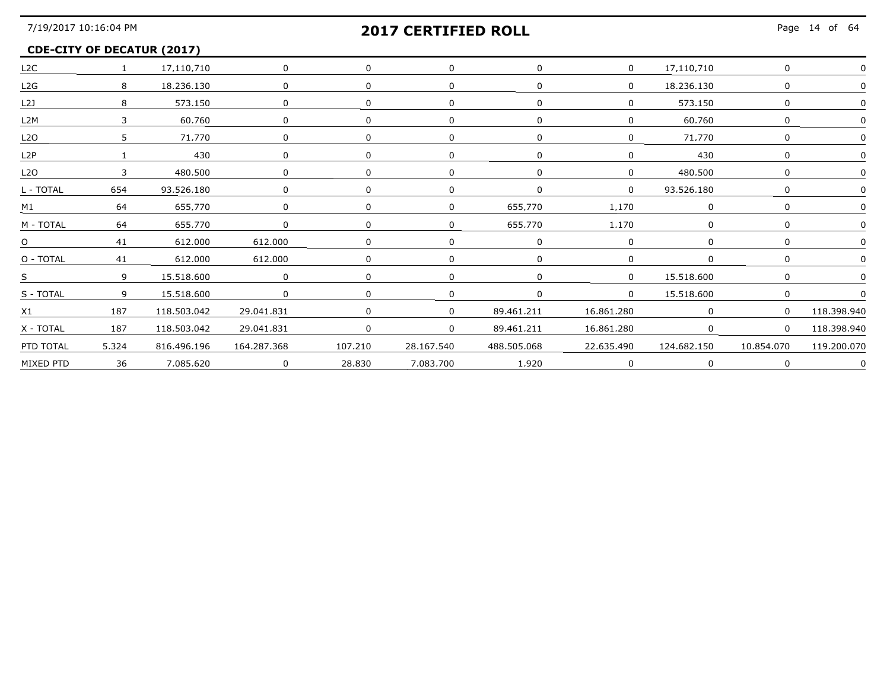### **CDE-CITY OF DECATUR (2017)**

| L2C              | $\sim$ $\sim$ $\sim$ $\sim$ | 17.110.710  | $\mathbf 0$    |                |            |             | $\Omega$   | 17.110.710  |            |             |
|------------------|-----------------------------|-------------|----------------|----------------|------------|-------------|------------|-------------|------------|-------------|
| L2G              | 8                           | 18,236,130  | $\Omega$       |                |            |             | $\Omega$   | 18,236,130  |            |             |
| L21              | 8                           | 573.150     | <sup>n</sup>   |                |            |             |            | 573.150     |            |             |
| L <sub>2</sub> M |                             | 60.760      | 0              |                |            |             |            | 60.760      |            |             |
| L2O              |                             | 71.770      |                |                |            |             |            | 71.770      |            |             |
| L <sub>2</sub> P |                             | 430         | 0              |                |            |             |            | 430         |            |             |
| L2O              |                             | 480,500     | $\Omega$       |                |            |             | $\Omega$   | 480,500     |            |             |
| L - TOTAL        | 654                         | 93.526.180  |                |                |            |             | $\Omega$   | 93.526.180  |            |             |
| M1               | 64                          | 655.770     | 0              | $\Omega$       |            | 655.770     | 1.170      |             |            |             |
| M - TOTAL        | 64                          | 655.770     | $\overline{0}$ |                |            | 655.770     | 1.170      |             |            |             |
| $\overline{O}$   |                             | 41 612.000  | 612,000        | $\overline{0}$ |            |             |            |             |            |             |
| O - TOTAL        |                             | 41 612.000  | 612,000        |                |            |             | $\Omega$   |             |            |             |
| $S \sim$         | $\overline{9}$              | 15,518,600  | $\sim$ 0       |                |            |             | $\Omega$   | 15.518.600  |            |             |
| S - TOTAL        | $\mathsf{q}$                | 15.518.600  | $\Omega$       |                |            |             | $\Omega$   | 15.518.600  |            |             |
| X1               | 187                         | 118.503.042 | 29.041.831     |                |            | 89.461.211  | 16.861.280 | $\Omega$    | $\Omega$   | 118.398.940 |
| X - TOTAL        | 187                         | 118,503,042 | 29.041.831     | $\Omega$       | $\Omega$   | 89,461,211  | 16,861,280 |             |            | 118,398,940 |
| PTD TOTAL        | 5.324                       | 816,496,196 | 164,287,368    | 107,210        | 28.167.540 | 488.505.068 | 22,635,490 | 124.682.150 | 10.854.070 | 119.200.070 |
| MIXED PTD        | 36                          | 7.085.620   | $\overline{0}$ | 28.830         | 7.083.700  | 1.920       |            |             |            |             |
|                  |                             |             |                |                |            |             |            |             |            |             |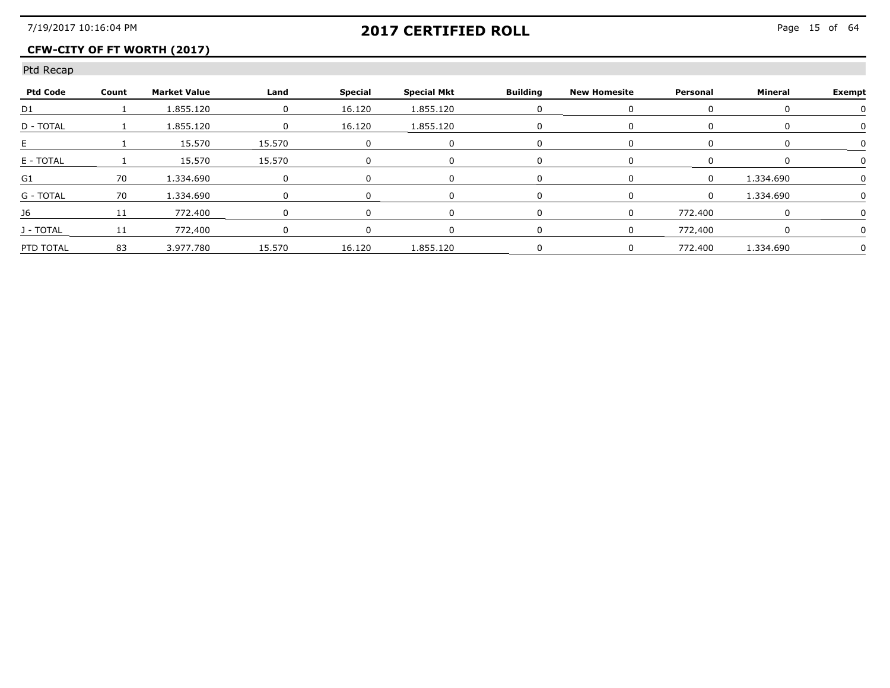## **CFW-CITY OF FT WORTH (2017)**

| <b>Ptd Code</b> | Count | <b>Market Value</b> | Land   | Special | Special Mkt      | <b>Building</b> | New Homesite | Personal | Mineral   | Exempt |
|-----------------|-------|---------------------|--------|---------|------------------|-----------------|--------------|----------|-----------|--------|
| D <sub>1</sub>  |       | 1.855.120           |        | 16.120  | 1.855.120        |                 |              |          |           |        |
| D - TOTAL       |       | 855.120             |        | 16.120  | 1.855.120        |                 |              |          |           |        |
|                 |       | 15 570              | 15 570 |         |                  |                 |              |          |           |        |
| F - TOTAI       |       | 15 570.             | 15 570 |         |                  |                 |              |          |           |        |
|                 |       | 1 334 690           |        |         |                  |                 |              |          | 1 334 690 |        |
| G - TOTAL       |       | 70 1.334.690        |        |         |                  |                 |              |          | 1 334 690 |        |
|                 |       | 772.400             |        |         |                  |                 |              | 772.400  |           |        |
| - TOTAI         |       | 772.400             |        |         |                  |                 |              | 772 400  |           |        |
| PTD TOTAL       | 83    | 3.977.780           | 15.570 |         | 16.120 1.855.120 |                 |              | 772.400  | 1.334.690 |        |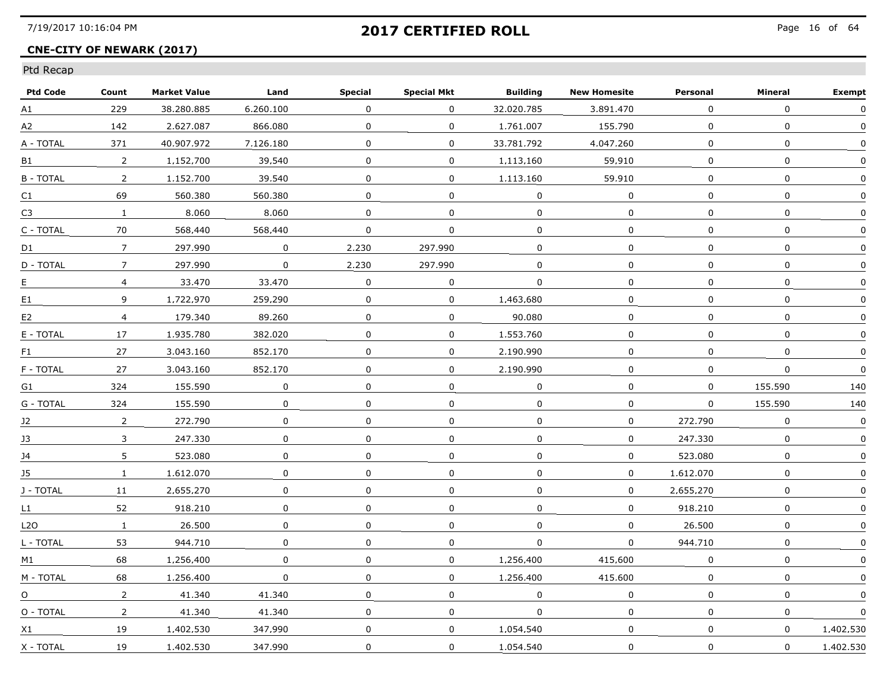### **CNE-CITY OF NEWARK (2017)**

| <b>Ptd Code</b> | Count          | <b>Market Value</b> | Land        | <b>Special</b> | <b>Special Mkt</b> | <b>Building</b> | <b>New Homesite</b> | Personal       | Mineral      | <b>Exempt</b> |
|-----------------|----------------|---------------------|-------------|----------------|--------------------|-----------------|---------------------|----------------|--------------|---------------|
| A1              | 229            | 38.280.885          | 6.260.100   | 0              | 0                  | 32.020.785      | 3.891.470           | $\mathbf 0$    | $\mathbf 0$  | 0             |
| A2              | 142            | 2.627.087           | 866.080     | 0              | $\mathbf{0}$       | 1.761.007       | 155,790             | $\mathbf{0}$   | $\mathbf 0$  | $\Omega$      |
| A - TOTAL       | 371            | 40.907.972          | 7.126.180   | 0              | $\Omega$           | 33.781.792      | 4.047.260           | $\Omega$       | $\mathbf{0}$ | $\Omega$      |
| <b>B1</b>       | $\overline{2}$ | 1.152.700           | 39.540      | 0              | $\Omega$           | 1.113.160       | 59.910              | $\Omega$       | 0            | $\Omega$      |
| <b>B-TOTAL</b>  | 2              | 1.152.700           | 39.540      | 0              | $\Omega$           | 1.113.160       | 59.910              | $\Omega$       | $\mathbf{0}$ |               |
| C1              | 69             | 560.380             | 560.380     | 0              | $\overline{0}$     | $\mathbf 0$     | $\mathbf 0$         | $\mathbf{0}$   | $\mathbf 0$  | $\mathbf 0$   |
| C <sub>3</sub>  | $\mathbf{1}$   | 8,060               | 8.060       | $\mathbf 0$    | $\Omega$           | $\mathbf{0}$    | $\Omega$            | $\Omega$       | $\Omega$     | $\Omega$      |
| C - TOTAL       | 70             | 568.440             | 568.440     | 0              | 0                  | 0               | $\Omega$            | $\Omega$       | $\Omega$     | $\Omega$      |
| D1              | $\overline{7}$ | 297.990             | $\Omega$    | 2.230          | 297.990            | $\Omega$        | $\Omega$            | $\Omega$       | 0            | $\Omega$      |
| D - TOTAL       | $\overline{7}$ | 297.990             | $\Omega$    | 2.230          | 297.990            | $\Omega$        | 0                   | 0              | 0            | 0             |
| E.              | $\overline{4}$ | 33,470              | 33,470      | 0              | 0                  | 0               | 0                   | 0              | 0            | 0             |
| E1              | 9              | 1.722.970           | 259,290     | 0              | $\mathbf{0}$       | 1,463,680       | 0                   | $\mathbf 0$    | 0            | 0             |
| E <sub>2</sub>  | $\overline{4}$ | 179.340             | 89.260      | 0              | $\Omega$           | 90.080          | $\Omega$            | $\overline{0}$ | $\mathbf{0}$ | $\Omega$      |
| E - TOTAL       | 17             | 1.935.780           | 382.020     | 0              | $\mathbf 0$        | 1.553.760       | $\Omega$            | $\Omega$       | $\mathbf{0}$ | $\Omega$      |
| F1              | 27             | 3.043.160           | 852.170     | $\mathbf{0}$   | $\Omega$           | 2.190.990       | $\Omega$            | $\Omega$       | 0            | $\Omega$      |
| F - TOTAL       | 27             | 3.043.160           | 852,170     | $\mathbf 0$    | 0                  | 2.190.990       | 0                   | 0              | $\mathbf 0$  | $\mathbf 0$   |
| G1              | 324            | 155,590             | $\mathbf 0$ | 0              | $\mathbf 0$        | $\mathbf 0$     | $\mathbf 0$         | $\mathbf{0}$   | 155,590      | 140           |
| G - TOTAL       | 324            | 155.590             | $\Omega$    | 0              | 0                  | 0               | 0                   | $\Omega$       | 155.590      | 140           |
| 12              | $\overline{2}$ | 272.790             | 0           | 0              | 0                  | 0               | 0                   | 272.790        | 0            | $\mathbf{0}$  |
| 13              | 3              | 247.330             | $\Omega$    | $\Omega$       | $\Omega$           | 0               | $\Omega$            | 247.330        | 0            | $\mathbf{0}$  |
| J4              | 5              | 523.080             | $\mathbf 0$ | $\mathbf 0$    | $\mathbf 0$        | $\Omega$        | 0                   | 523.080        | $\mathbf 0$  | $\mathbf 0$   |
| J5              | $\mathbf{1}$   | 1.612.070           | 0           | 0              | 0                  | 0               | 0                   | 1.612.070      | 0            | 0             |
| J - TOTAL       | 11             | 2.655.270           | 0           | 0              | 0                  | 0               | $\Omega$            | 2.655.270      | 0            | 0             |
| L1              | 52             | 918.210             | $\Omega$    | $\Omega$       | $\Omega$           | $\Omega$        | $\Omega$            | 918.210        | 0            | $\mathbf{0}$  |
| L2O             | $\mathbf{1}$   | 26.500              | $\Omega$    | 0              | $\Omega$           | $\Omega$        | $\mathbf{0}$        | 26.500         | $\mathbf{0}$ | $\Omega$      |
| L - TOTAL       | 53             | 944,710             | $\mathbf 0$ | $\mathbf 0$    | $\mathbf 0$        | $\mathbf 0$     | $\mathbf 0$         | 944.710        | $\mathbf 0$  | $\Omega$      |
| M1              | 68             | 1,256,400           | $\mathbf 0$ | 0              | $\mathbf 0$        | 1,256,400       | 415,600             | $\mathbf{0}$   | $\mathbf 0$  | $\Omega$      |
| M - TOTAL       | 68             | 1.256.400           | $\Omega$    | 0              | $\Omega$           | 1.256.400       | 415.600             | $\Omega$       | 0            | $\Omega$      |
| $\Omega$        | $\overline{2}$ | 41.340              | 41.340      | 0              | $\Omega$           | $\Omega$        | 0                   | $\Omega$       | 0            |               |
| O - TOTAL       | $\overline{2}$ | 41.340              | 41.340      | 0              | 0                  | $\Omega$        | 0                   | 0              | 0            | $\Omega$      |
| X1              | 19             | 1,402,530           | 347.990     | 0              | $\mathbf 0$        | 1.054.540       | $\mathbf 0$         | $\mathbf{0}$   | 0            | 1.402.530     |
| X - TOTAL       | 19             | 1,402,530           | 347.990     | 0              | $\mathbf 0$        | 1.054.540       | 0                   | $\mathbf 0$    | $\mathbf 0$  | 1.402.530     |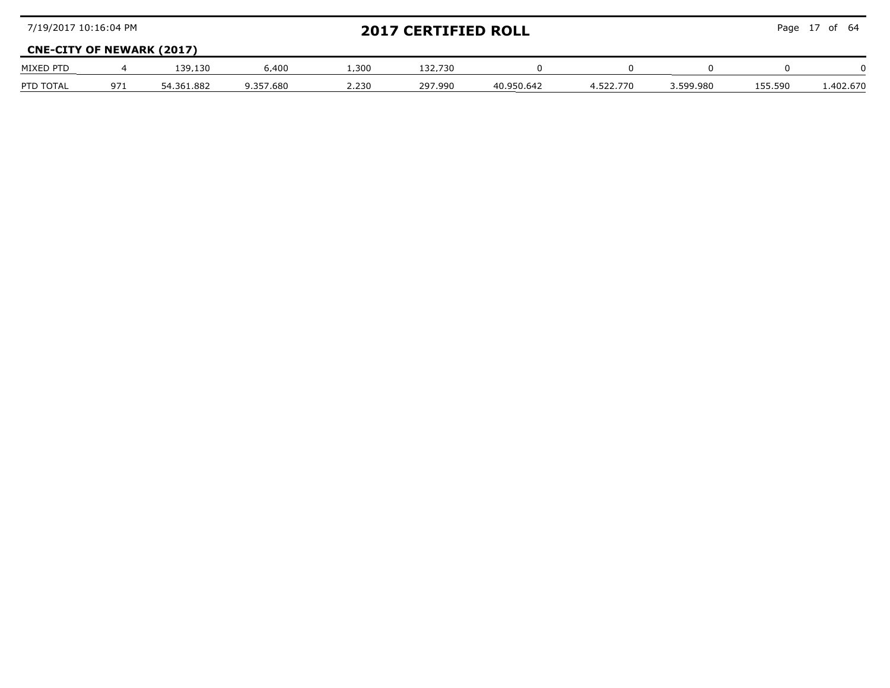| 7/19/2017 10:16:04 PM            |     |            |           |       | <b>2017 CERTIFIED ROLL</b> |            | Page 17 of 64 |           |         |          |
|----------------------------------|-----|------------|-----------|-------|----------------------------|------------|---------------|-----------|---------|----------|
| <b>CNE-CITY OF NEWARK (2017)</b> |     |            |           |       |                            |            |               |           |         |          |
| MIXED PTD                        |     | 139.130    | 6.400     | .300  | 132.730                    |            |               |           |         |          |
| PTD TOTAL                        | 971 | 54.361.882 | 9.357.680 | 2.230 | 297.990                    | 40.950.642 | 4 522 770     | 3.599.980 | 155.590 | .402.670 |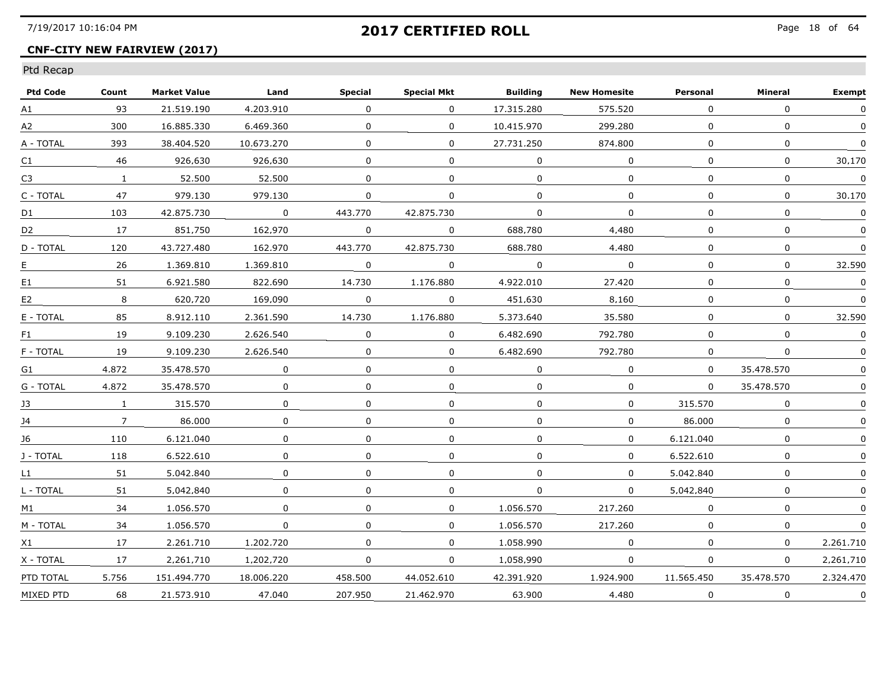## **CNF-CITY NEW FAIRVIEW (2017)**

| <b>Ptd Code</b> | Count        | <b>Market Value</b> | Land         | <b>Special</b> | <b>Special Mkt</b> | <b>Building</b> | <b>New Homesite</b> | Personal     | Mineral      | <b>Exempt</b>             |
|-----------------|--------------|---------------------|--------------|----------------|--------------------|-----------------|---------------------|--------------|--------------|---------------------------|
| A1              | 93           | 21.519.190          | 4.203.910    | $\Omega$       | $\Omega$           | 17.315.280      | 575,520             | $\Omega$     | $\mathbf{0}$ | $\Omega$                  |
| A2              | 300          | 16.885.330          | 6.469.360    | 0              | 0                  | 10,415,970      | 299.280             | $\mathbf{0}$ | $\mathbf 0$  | $\mathbf{0}$              |
| A - TOTAL       | 393          | 38.404.520          | 10.673.270   | $\Omega$       | $\Omega$           | 27.731.250      | 874.800             | $\Omega$     | $\mathbf{0}$ | $\Omega$                  |
| C1              | 46           | 926.630             | 926.630      | $\Omega$       | $\Omega$           | $\Omega$        | $\Omega$            | $\Omega$     | 0            | 30.170                    |
| C <sub>3</sub>  | $\mathbf{1}$ | 52.500              | 52.500       | $\Omega$       | 0                  | $\Omega$        | $\Omega$            | $\Omega$     | $\Omega$     | $\Omega$                  |
| C - TOTAL       | 47           | 979,130             | 979.130      | $\mathbf{0}$   | 0                  | $\Omega$        | 0                   | $\Omega$     | 0            | 30.170                    |
| D1              | 103          | 42.875.730          | $\mathbf 0$  | 443.770        | 42.875.730         | $\Omega$        | $\Omega$            | $\Omega$     | $\Omega$     | 0                         |
| D <sub>2</sub>  | 17           | 851.750             | 162.970      | $\Omega$       | 0                  | 688.780         | 4.480               | $\Omega$     | $\Omega$     | $\Omega$                  |
| D - TOTAL       | 120          | 43.727.480          | 162.970      | 443.770        | 42.875.730         | 688.780         | 4.480               | $\Omega$     | $\Omega$     | $\Omega$                  |
| $E_{\cdot}$     | 26           | 1.369.810           | 1.369.810    | $\Omega$       | 0                  | $\Omega$        | 0                   | $\Omega$     | 0            | 32.590                    |
| E1              | 51           | 6.921.580           | 822.690      | 14,730         | 1.176.880          | 4.922.010       | 27,420              | $\mathbf{0}$ | $\mathbf 0$  | $\mathbf 0$               |
| E <sub>2</sub>  | 8            | 620.720             | 169.090      | $\mathbf 0$    | 0                  | 451.630         | 8,160               | 0            | $\Omega$     | $\Omega$                  |
| E - TOTAL       | 85           | 8.912.110           | 2.361.590    | 14.730         | 1.176.880          | 5.373.640       | 35.580              | $\Omega$     | $\Omega$     | 32.590                    |
| F1              | 19           | 9.109.230           | 2.626.540    | $\Omega$       | 0                  | 6.482.690       | 792.780             | $\Omega$     | $\Omega$     | 0                         |
| F - TOTAL       | 19           | 9.109.230           | 2.626.540    | $\Omega$       | $\Omega$           | 6.482.690       | 792.780             | $\Omega$     | $\Omega$     | $\Omega$                  |
| G1              | 4.872        | 35,478,570          | $\mathbf{0}$ | $\Omega$       | 0                  | $\Omega$        | $\Omega$            | $\mathbf{0}$ | 35.478.570   | $\Omega$                  |
| G - TOTAL       | 4.872        | 35.478.570          | 0            | 0              | 0                  | 0               | 0                   | $\mathbf{0}$ | 35,478,570   | $\Omega$                  |
| 13              | $\mathbf{1}$ | 315.570             | 0            | $\Omega$       | 0                  | $\mathbf{0}$    | 0                   | 315.570      | 0            | $\mathbf{0}$              |
| 14              | $7^{\circ}$  | 86.000              | 0            | $\Omega$       | $\Omega$           | $\Omega$        | $\Omega$            | 86.000       | $\Omega$     | $\Omega$                  |
| 16              | 110          | 6.121.040           | 0            | $\Omega$       | 0                  | $\Omega$        | 0                   | 6.121.040    | 0            |                           |
| J - TOTAL       | 118          | 6.522.610           | 0            | 0              | 0                  | 0               | 0                   | 6.522.610    | $\Omega$     | $\Omega$                  |
| L1              | 51           | 5.042.840           | 0            | $\Omega$       | 0                  | $\Omega$        | 0                   | 5.042.840    | $\mathbf{0}$ |                           |
| L - TOTAL       | 51           | 5.042.840           | 0            | $\Omega$       | $\Omega$           | $\Omega$        | $\Omega$            | 5.042.840    | $\Omega$     | $\Omega$                  |
| M1              | 34           | 1.056.570           | 0            | 0              | 0                  | 1.056.570       | 217.260             | $\Omega$     | $\Omega$     |                           |
| M - TOTAL       | 34           | 1.056.570           | 0            | $\Omega$       | $\Omega$           | 1.056.570       | 217.260             | $\Omega$     | 0            | 0                         |
| X1              | 17           | 2.261.710           | 1,202,720    | 0              | 0                  | 1.058.990       | $\mathbf{0}$        | $\mathbf 0$  | $\mathbf{0}$ | 2.261.710                 |
| X - TOTAL       | 17           | 2.261.710           | 1.202.720    | $\Omega$       | 0                  | 1.058.990       | $\mathbf 0$         | $\mathbf{0}$ | 0            | 2.261.710                 |
| PTD TOTAL       | 5.756        | 151.494.770         | 18.006.220   | 458.500        | 44.052.610         | 42.391.920      | 1.924.900           | 11.565.450   | 35.478.570   | 2.324.470                 |
| MIXED PTD       | 68           | 21.573.910          | 47.040       | 207.950        | 21.462.970         | 63.900          | 4.480               | $\Omega$     | $\Omega$     | $\Omega$<br>------------- |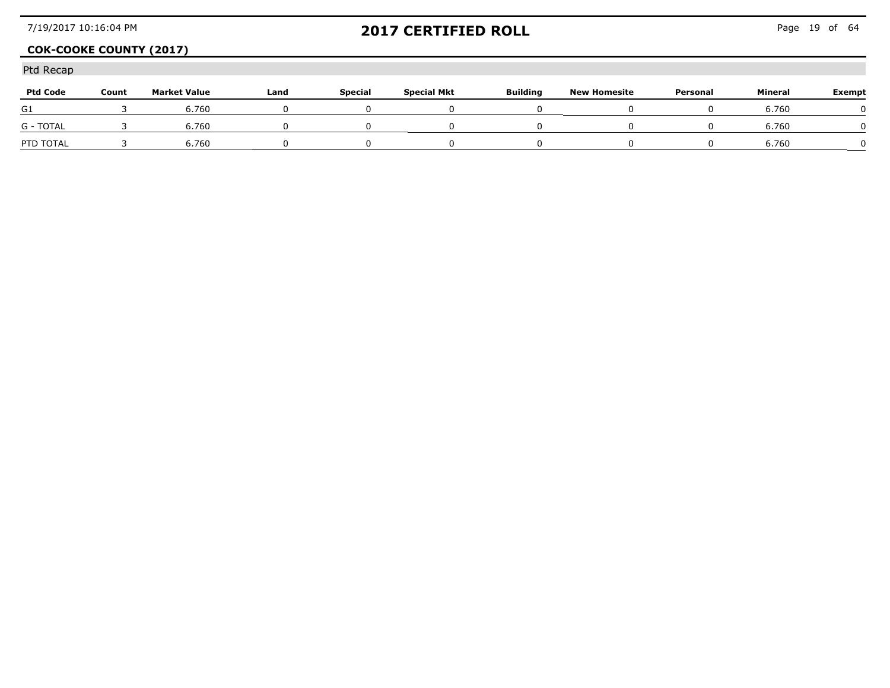## **COK-COOKE COUNTY (2017)**

| <b>Ptd Code</b> | Count | <b>Market Value</b> | Land | <b>Special</b> | <b>Special Mkt</b> | <b>Building</b> | <b>New Homesite</b> | Personal | Mineral | Exempt |
|-----------------|-------|---------------------|------|----------------|--------------------|-----------------|---------------------|----------|---------|--------|
| G1              |       | 6.760               |      |                |                    |                 |                     |          | 6.760   |        |
| G - TOTAL       |       | 6.760               |      |                |                    |                 |                     |          | 6,760   |        |
| PTD TOTAL       |       | .760                |      |                |                    |                 |                     |          | 6.760   |        |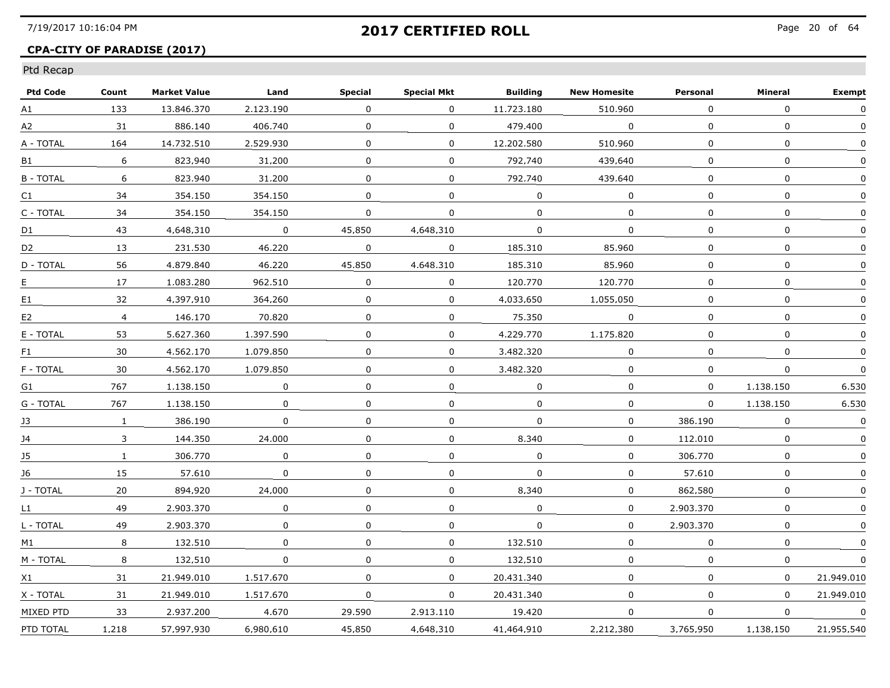## **CPA-CITY OF PARADISE (2017)**

| Count        | <b>Market Value</b> | Land         | Special      | <b>Special Mkt</b> | <b>Building</b> | <b>New Homesite</b> | Personal     | Mineral      | Exempt       |
|--------------|---------------------|--------------|--------------|--------------------|-----------------|---------------------|--------------|--------------|--------------|
| 133          | 13.846.370          | 2.123.190    | $\mathbf{0}$ | $\mathbf{0}$       | 11,723,180      | 510.960             | 0            | $\Omega$     | $\Omega$     |
| 31           | 886.140             | 406.740      | 0            | $\mathbf{0}$       | 479,400         | $\mathbf 0$         | $\mathbf{0}$ | 0            | $\Omega$     |
| 164          | 14.732.510          | 2.529.930    | 0            | $\Omega$           | 12.202.580      | 510.960             | $\Omega$     | 0            | $\mathbf{0}$ |
| 6            | 823.940             | 31.200       | 0            | $\Omega$           | 792.740         | 439.640             | 0            | 0            | 0            |
| 6            | 823.940             | 31.200       | $\Omega$     | $\Omega$           | 792.740         | 439.640             | $\Omega$     | 0            | $\Omega$     |
| 34           | 354,150             | 354,150      | 0            | $\mathbf{0}$       | $\Omega$        | $\Omega$            |              | $\mathbf{0}$ | $\Omega$     |
| 34           | 354,150             | 354,150      | 0            | $\mathbf{0}$       | $\Omega$        | 0                   | 0            | $\mathbf{0}$ |              |
| 43           | 4.648.310           | $\Omega$     | 45.850       | 4.648.310          | 0               | 0                   | 0            | 0            | $\Omega$     |
| 13           | 231.530             | 46.220       | 0            | $\Omega$           | 185.310         | 85.960              | $\Omega$     | $\Omega$     | 0            |
| 56           | 4.879.840           | 46.220       | 45.850       | 4.648.310          | 185.310         | 85.960              | $\Omega$     | $\Omega$     | 0            |
| 17           | 1.083.280           | 962,510      | 0            | $\mathbf{0}$       | 120.770         | 120.770             | 0            | $\mathbf 0$  | $\mathbf 0$  |
| 32           | 4,397,910           | 364,260      | 0            | $\Omega$           | 4.033.650       | 1.055.050           | 0            | $\mathbf{0}$ |              |
| 4            | 146.170             | 70.820       | 0            | 0                  | 75.350          | $\Omega$            | 0            | 0            | 0            |
| 53           | 5.627.360           | 1.397.590    | 0            | $\Omega$           | 4.229.770       | 1.175.820           | 0            | 0            | 0            |
| 30           | 4.562.170           | 1.079.850    | 0            | $\Omega$           | 3.482.320       | $\Omega$            | 0            | 0            | $\mathbf{0}$ |
| 30           | 4,562,170           | 1,079,850    | 0            | $\mathbf{0}$       | 3,482,320       | 0                   | 0            | 0            | $\Omega$     |
| 767          | 1,138,150           | $\mathbf 0$  | $\Omega$     | $\Omega$           | $\Omega$        | $\mathbf 0$         | $\Omega$     | 1,138,150    | 6.530        |
| 767          | 1.138.150           | 0            | 0            | 0                  | $\Omega$        | $\Omega$            | $\Omega$     | 1.138.150    | 6.530        |
| $\mathbf{1}$ | 386.190             | $\Omega$     | 0            | $\Omega$           | $\Omega$        | $\Omega$            | 386.190      | $\Omega$     | 0            |
| 3            | 144.350             | 24.000       | 0            | $\Omega$           | 8.340           | $\Omega$            | 112.010      | $\mathbf{0}$ | $\mathbf{0}$ |
| 1            | 306.770             | $\mathbf{0}$ | 0            | $\mathbf{0}$       | 0               | 0                   | 306.770      | 0            | $\mathbf{0}$ |
| 15           | 57.610              | $\mathbf 0$  | 0            | $\mathbf{0}$       | $\mathbf 0$     | $\mathbf 0$         | 57.610       | 0            | 0            |
| 20           | 894.920             | 24.000       | $\Omega$     | $\Omega$           | 8.340           | $\Omega$            | 862.580      | $\Omega$     | 0            |
| 49           | 2.903.370           | 0            | 0            | 0                  | $\Omega$        | 0                   | 2.903.370    | 0            | 0            |
| 49           | 2.903.370           | $\Omega$     | $\Omega$     | $\Omega$           | $\Omega$        | $\Omega$            | 2.903.370    | $\mathbf{0}$ | $\Omega$     |
| 8            | 132,510             | $\mathbf 0$  | 0            | 0                  | 132,510         | 0                   | 0            | 0            |              |
| 8            | 132,510             | 0            | 0            | 0                  | 132,510         | 0                   | 0            | 0            | 0            |
| 31           | 21.949.010          | 1.517.670    | $\Omega$     | $\Omega$           | 20.431.340      | $\Omega$            | $\Omega$     | $\Omega$     | 21.949.010   |
| 31           | 21.949.010          | 1.517.670    | 0            | $\Omega$           | 20.431.340      | $\Omega$            | $\Omega$     | $\Omega$     | 21.949.010   |
| 33           | 2.937.200           | 4.670        | 29.590       | 2.913.110          | 19.420          | $\Omega$            | 0            | 0            | $\Omega$     |
| 1,218        | 57.997.930          | 6.980.610    | 45.850       | 4.648.310          | 41.464.910      | 2,212,380           | 3,765,950    | 1,138,150    | 21.955.540   |
|              |                     |              |              |                    |                 |                     |              |              |              |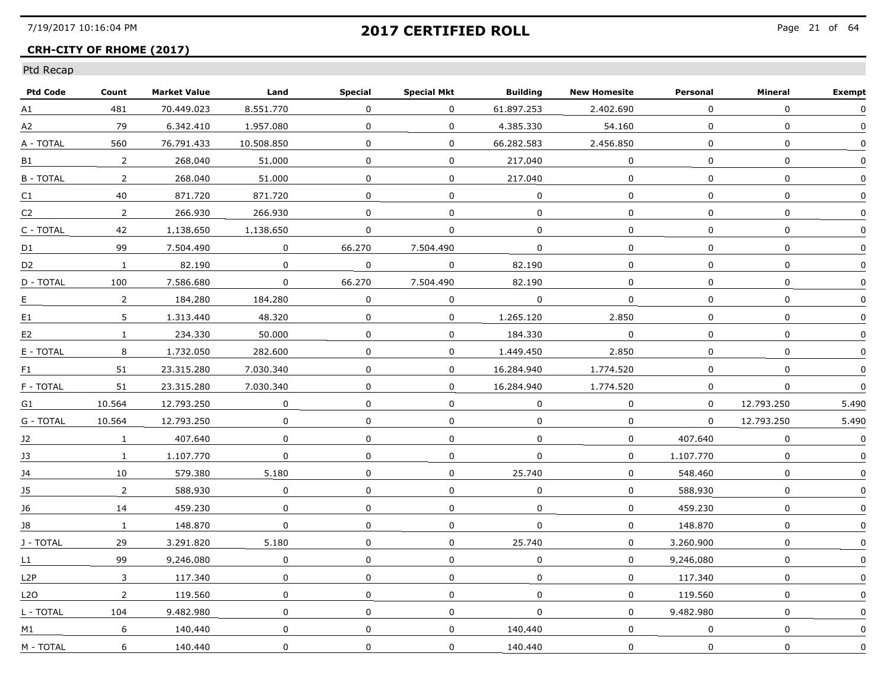## **CRH-CITY OF RHOME (2017)**

| <b>Ptd Code</b>  | Count          | <b>Market Value</b> | Land         | <b>Special</b> | <b>Special Mkt</b> | <b>Building</b> | <b>New Homesite</b> | Personal     | Mineral      | <b>Exempt</b> |
|------------------|----------------|---------------------|--------------|----------------|--------------------|-----------------|---------------------|--------------|--------------|---------------|
| A1               | 481            | 70.449.023          | 8.551.770    | 0              | $\Omega$           | 61.897.253      | 2,402,690           | $\Omega$     | $\Omega$     | $\Omega$      |
| A2               | 79             | 6.342.410           | 1.957.080    | 0              | $\mathbf{0}$       | 4,385,330       | 54.160              | $\mathbf{0}$ | 0            | $\Omega$      |
| A - TOTAL        | 560            | 76.791.433          | 10.508.850   | 0              | $\Omega$           | 66.282.583      | 2.456.850           | 0            | 0            | $\Omega$      |
| B1               | 2              | 268.040             | 51.000       | 0              | $\Omega$           | 217.040         | $\Omega$            | 0            | 0            | $\mathbf{0}$  |
| <b>B-TOTAL</b>   | 2              | 268.040             | 51.000       | 0              | $\Omega$           | 217.040         | $\Omega$            | 0            | 0            | 0             |
| C1               | 40             | 871.720             | 871.720      | $\mathbf{0}$   | $\mathbf{0}$       | $\mathbf 0$     | $\mathbf 0$         | $\mathbf{0}$ | $\mathbf 0$  | $\mathbf 0$   |
| C <sub>2</sub>   | $\overline{2}$ | 266.930             | 266.930      | $\mathbf 0$    | $\Omega$           | $\Omega$        | $\Omega$            | $\Omega$     | $\mathbf{0}$ | $\Omega$      |
| C - TOTAL        | 42             | 1.138.650           | 1.138.650    | 0              | $\Omega$           | $\Omega$        | $\mathbf{0}$        | $\Omega$     | $\mathbf{0}$ | $\mathbf{0}$  |
| D1               | 99             | 7.504.490           | $\Omega$     | 66.270         | 7.504.490          | 0               | 0                   | 0            | 0            | $\mathbf{0}$  |
| D <sub>2</sub>   | $\mathbf{1}$   | 82.190              | $\Omega$     | 0              | $\Omega$           | 82.190          | $\Omega$            | $\Omega$     | $\mathbf{0}$ | $\Omega$      |
| D - TOTAL        | 100            | 7.586.680           | $\mathbf{0}$ | 66,270         | 7,504,490          | 82,190          | 0                   | 0            | 0            |               |
| E.               | $\overline{2}$ | 184,280             | 184,280      | 0              | 0                  | 0               | $\Omega$            | 0            | $\Omega$     |               |
| E1               | 5              | 1.313.440           | 48.320       | 0              | $\Omega$           | 1.265.120       | 2.850               | $\Omega$     | $\mathbf{0}$ | $\Omega$      |
| E <sub>2</sub>   | $\mathbf{1}$   | 234.330             | 50.000       | 0              | $\Omega$           | 184.330         | $\Omega$            | $\Omega$     | 0            | $\Omega$      |
| E - TOTAL        | 8              | 1.732.050           | 282.600      | 0              | $\Omega$           | 1.449.450       | 2.850               | $\Omega$     | $\mathbf{0}$ | $\mathbf{0}$  |
| F1               | 51             | 23.315.280          | 7.030.340    | 0              | $\mathbf{0}$       | 16.284.940      | 1,774,520           | 0            | 0            | 0             |
| F - TOTAL        | 51             | 23.315.280          | 7.030.340    | 0              | $\mathbf{0}$       | 16,284,940      | 1,774,520           | $\mathbf{0}$ | 0            | $\mathbf 0$   |
| G1               | 10.564         | 12.793.250          | $\mathbf 0$  | $\Omega$       | $\Omega$           | $\Omega$        | $\Omega$            | $\Omega$     | 12.793.250   | 5.490         |
| G - TOTAL        | 10.564         | 12.793.250          | $\Omega$     | 0              | $\Omega$           | $\Omega$        | 0                   | $\Omega$     | 12.793.250   | 5.490         |
| 12               | $\mathbf{1}$   | 407.640             | $\Omega$     | 0              | $\Omega$           | 0               | $\Omega$            | 407.640      | $\Omega$     | $\Omega$      |
| J3               | $\mathbf{1}$   | 1.107.770           | $\mathbf{0}$ | 0              | $\mathbf 0$        | $\mathbf 0$     | $\mathbf 0$         | 1.107.770    | $\mathbf 0$  | $\mathbf 0$   |
| J4               | 10             | 579,380             | 5,180        | 0              | 0                  | 25,740          | 0                   | 548.460      | $\mathbf 0$  | $\Omega$      |
| 15               | $\overline{2}$ | 588.930             | $\Omega$     | 0              | 0                  | 0               | 0                   | 588.930      | 0            | 0             |
| 16               | 14             | 459.230             | $\Omega$     | 0              | $\Omega$           | 0               | $\Omega$            | 459.230      | 0            | $\Omega$      |
| 18               | $\mathbf{1}$   | 148.870             | $\Omega$     | 0              | $\Omega$           | $\Omega$        | 0                   | 148.870      | 0            | $\Omega$      |
| J - TOTAL        | 29             | 3.291.820           | 5.180        | 0              | $\mathbf{0}$       | 25,740          | 0                   | 3.260.900    | $\mathbf 0$  | $\Omega$      |
| L1               | 99             | 9.246.080           | 0            | 0              | 0                  | $\mathbf 0$     | 0                   | 9.246.080    | $\mathbf 0$  | $\Omega$      |
| L <sub>2</sub> P | 3              | 117.340             | $\Omega$     | 0              | $\Omega$           | $\Omega$        | $\Omega$            | 117.340      | 0            | 0             |
| L2O              | $2^{\circ}$    | 119.560             | $\mathbf{0}$ | $\Omega$       | $\overline{0}$     | $\Omega$        | $\Omega$            | 119.560      | $\mathbf{0}$ | $\mathbf{0}$  |
| L - TOTAL        | 104            | 9.482.980           | $\Omega$     | 0              | $\Omega$           | $\Omega$        | $\Omega$            | 9.482.980    | 0            | $\mathbf{0}$  |
| M1               | 6              | 140.440             | $\mathbf 0$  | 0              | $\mathbf 0$        | 140.440         | 0                   | $\mathbf 0$  | 0            | 0             |
| M - TOTAL        | 6              | 140.440             | 0            | 0              | 0                  | 140.440         | $\mathbf 0$         | $\mathbf 0$  | 0            | 0             |
|                  |                |                     |              |                |                    |                 |                     |              |              |               |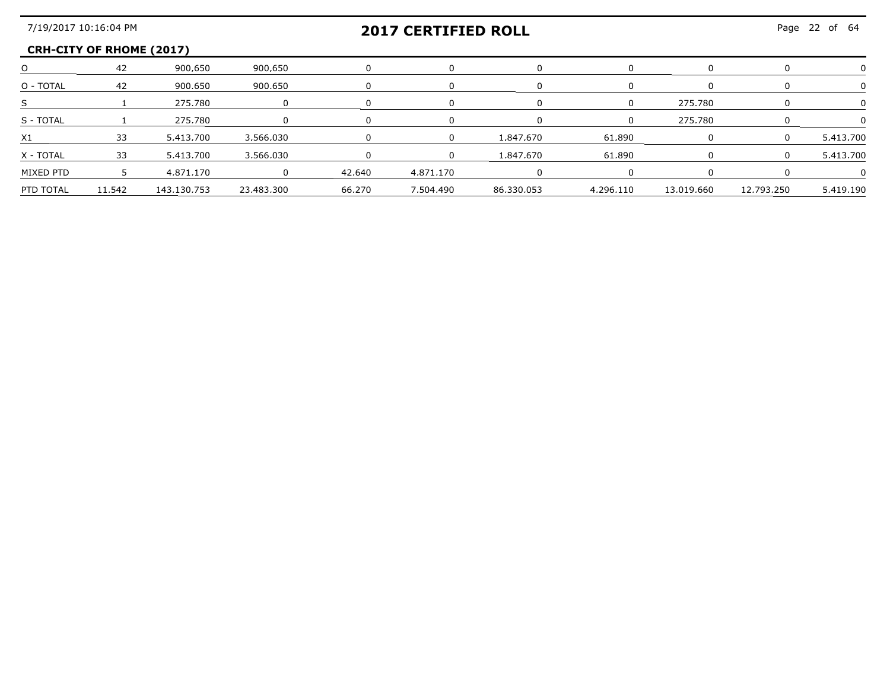#### **CRH-CITY OF RHOME (2017)**

|           |        | 900.650     | 900.650    |        |           |            |           |            |            |           |
|-----------|--------|-------------|------------|--------|-----------|------------|-----------|------------|------------|-----------|
| O - TOTAL |        | 900,650     | 900.650    |        |           |            |           |            |            |           |
|           |        | 275.780     |            |        |           |            |           | 275.780    |            |           |
| S - TOTAL |        | 275 780     |            |        |           |            |           | 275.780    |            |           |
|           |        | 5.413.700   | 3.566.030  |        |           | 1 847 670  | 61.890    |            |            | 5.413.700 |
| X - TOTAL | 33.    | 5.413.700   | 3.566.030  |        |           | 1.847.670  | 61.890    |            |            | 5.413.700 |
| MIXED PTD |        | 4.871.170   |            | 42.640 | 4.871.170 |            |           |            |            |           |
| PTD TOTAL | 11.542 | 143.130.753 | 23.483.300 | 66.270 | 7.504.490 | 86.330.053 | 4.296.110 | 13.019.660 | 12.793.250 | 5.419.190 |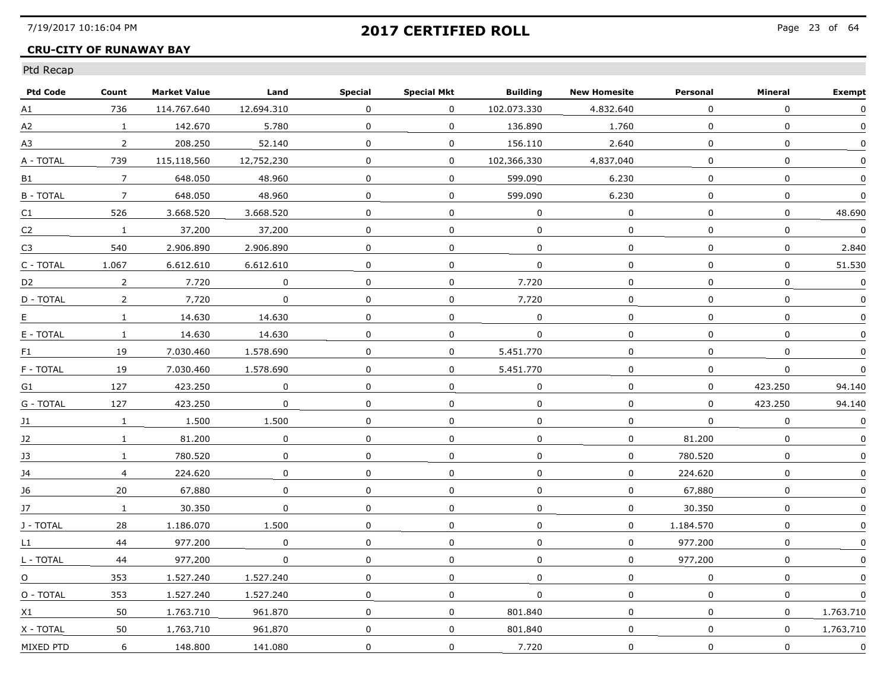### **CRU-CITY OF RUNAWAY BAY**

| <b>Ptd Code</b> | Count          | <b>Market Value</b> | Land        | <b>Special</b> | <b>Special Mkt</b> | <b>Building</b> | <b>New Homesite</b> | Personal     | Mineral     | <b>Exempt</b> |
|-----------------|----------------|---------------------|-------------|----------------|--------------------|-----------------|---------------------|--------------|-------------|---------------|
| A1              | 736            | 114.767.640         | 12.694.310  | $\Omega$       | $\mathbf 0$        | 102.073.330     | 4.832.640           | 0            | $\Omega$    | $\mathbf 0$   |
| A2              | $\mathbf{1}$   | 142,670             | 5,780       | 0              | $\mathbf 0$        | 136.890         | 1,760               | $\mathbf 0$  | $\mathbf 0$ | $\Omega$      |
| A3              | $\overline{2}$ | 208.250             | 52.140      | $\Omega$       | 0                  | 156.110         | 2.640               | $\Omega$     | 0           | $\Omega$      |
| A - TOTAL       | 739            | 115.118.560         | 12.752.230  | 0              | 0                  | 102.366.330     | 4.837.040           | 0            | 0           | $\Omega$      |
| B1              | $\overline{7}$ | 648.050             | 48.960      | 0              | 0                  | 599.090         | 6.230               | 0            | 0           | $\Omega$      |
| <b>B-TOTAL</b>  | $\overline{7}$ | 648.050             | 48.960      | $\mathbf 0$    | $\mathbf 0$        | 599.090         | 6,230               | $\mathbf 0$  | $\mathbf 0$ | $\Omega$      |
| C1              | 526            | 3.668.520           | 3.668.520   | $\mathbf 0$    | 0                  | $\mathbf 0$     | 0                   | 0            | $\mathbf 0$ | 48,690        |
| C2              | $\mathbf{1}$   | 37.200              | 37.200      | 0              | 0                  | $\Omega$        | 0                   | 0            | 0           | $\Omega$      |
| C <sub>3</sub>  | 540            | 2.906.890           | 2.906.890   | 0              | 0                  | 0               | 0                   | 0            | $\Omega$    | 2.840         |
| C - TOTAL       | 1.067          | 6.612.610           | 6.612.610   | $\Omega$       | $\mathbf 0$        | $\Omega$        | 0                   | $\mathbf 0$  | 0           | 51.530        |
| D <sub>2</sub>  | $\overline{2}$ | 7.720               | $\mathbf 0$ | $\pmb{0}$      | 0                  | 7.720           | 0                   | 0            | $\mathbf 0$ | $\pmb{0}$     |
| D - TOTAL       | $\overline{2}$ | 7.720               | 0           | 0              | 0                  | 7.720           | 0                   | 0            | 0           | 0             |
| E.              | $\mathbf{1}$   | 14.630              | 14.630      | 0              | $\Omega$           | $\Omega$        | $\Omega$            | 0            | 0           | 0             |
| E - TOTAL       | $\mathbf{1}$   | 14.630              | 14.630      | $\Omega$       | $\mathbf 0$        | $\mathbf{0}$    | 0                   | $\Omega$     | 0           | $\Omega$      |
| F <sub>1</sub>  | 19             | 7.030.460           | 1.578.690   | 0              | 0                  | 5.451.770       | 0                   | $\mathbf{0}$ | $\Omega$    | $\Omega$      |
| F - TOTAL       | 19             | 7.030.460           | 1,578,690   | $\mathbf 0$    | 0                  | 5.451.770       | 0                   | 0            | 0           | 0             |
| G1              | 127            | 423.250             | $\mathbf 0$ | 0              | $\mathbf 0$        | $\Omega$        | $\mathbf 0$         | 0            | 423.250     | 94.140        |
| G - TOTAL       | 127            | 423.250             | $\mathbf 0$ | $\Omega$       | 0                  | $\Omega$        | 0                   | $\Omega$     | 423.250     | 94.140        |
| 11              | $\mathbf{1}$   | 1.500               | 1.500       | 0              | 0                  | 0               | 0                   | 0            | 0           | $\Omega$      |
| 12              | $\mathbf{1}$   | 81.200              | 0           | 0              | $\mathbf{0}$       | 0               | 0                   | 81.200       | 0           | 0             |
| J3              | $\mathbf{1}$   | 780.520             | 0           | $\mathbf 0$    | 0                  | 0               | 0                   | 780.520      | $\mathbf 0$ | $\mathbf 0$   |
| J <sub>4</sub>  | $\overline{4}$ | 224,620             | $\mathbf 0$ | $\Omega$       | $\mathbf 0$        | $\Omega$        | $\mathbf 0$         | 224.620      | $\mathbf 0$ |               |
| 16              | 20             | 67.880              | 0           | 0              | 0                  | 0               | 0                   | 67.880       | $\Omega$    | 0             |
| 17              | $\mathbf{1}$   | 30.350              | 0           | 0              | $\Omega$           | 0               | $\Omega$            | 30.350       | 0           | $\Omega$      |
| J - TOTAL       | 28             | 1.186.070           | 1.500       | 0              | 0                  | $\Omega$        | 0                   | 1.184.570    | 0           | $\Omega$      |
| L1              | 44             | 977.200             | 0           | $\pmb{0}$      | 0                  | $\Omega$        | 0                   | 977.200      | $\pmb{0}$   |               |
| L - TOTAL       | 44             | 977.200             | $\mathbf 0$ | $\mathbf 0$    | 0                  | 0               | 0                   | 977,200      | $\mathbf 0$ |               |
| $\Omega$        | 353            | 1.527.240           | 1.527.240   | 0              | $\mathbf{0}$       | $\mathbf{0}$    | 0                   | $\Omega$     | 0           | $\Omega$      |
| O - TOTAL       | 353            | 1.527.240           | 1.527.240   | $\Omega$       | $\Omega$           | $\mathbf{0}$    | 0                   | $\Omega$     | 0           | $\Omega$      |
| X1              | 50             | 1.763.710           | 961.870     | 0              | 0                  | 801.840         | 0                   | 0            | 0           | 1.763.710     |
| X - TOTAL       | 50             | 1.763.710           | 961.870     | $\mathbf 0$    | $\mathbf 0$        | 801.840         | 0                   | $\mathbf 0$  | $\mathbf 0$ | 1.763.710     |
| MIXED PTD       | 6              | 148,800             | 141.080     | $\pmb{0}$      | 0                  | 7.720           | $\mathbf 0$         | 0            | $\mathbf 0$ | $\pmb{0}$     |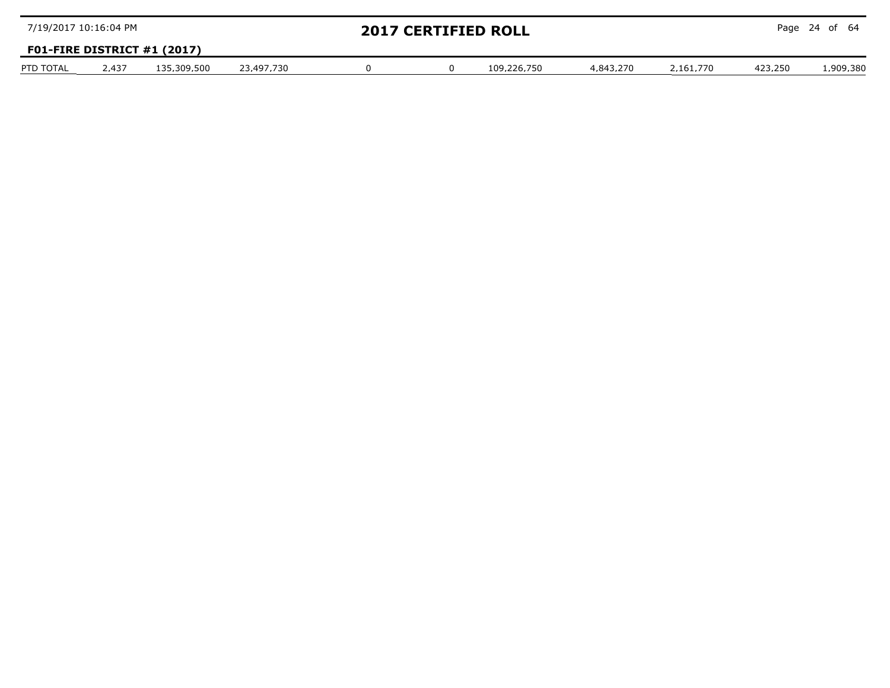| 7/19/2017 10:16:04 PM |       |                               |            |  | <b>2017 CERTIFIED ROLL</b> |           |           |         | Page 24 of $64$ |
|-----------------------|-------|-------------------------------|------------|--|----------------------------|-----------|-----------|---------|-----------------|
|                       |       | F01-FIRE DISTRICT $#1$ (2017) |            |  |                            |           |           |         |                 |
| PTD TOTAL             | 2.437 | 135.309.500                   | 23.497.730 |  | 109.226.750                | 4.843.270 | 2 161 770 | 423.250 | 1.909.380       |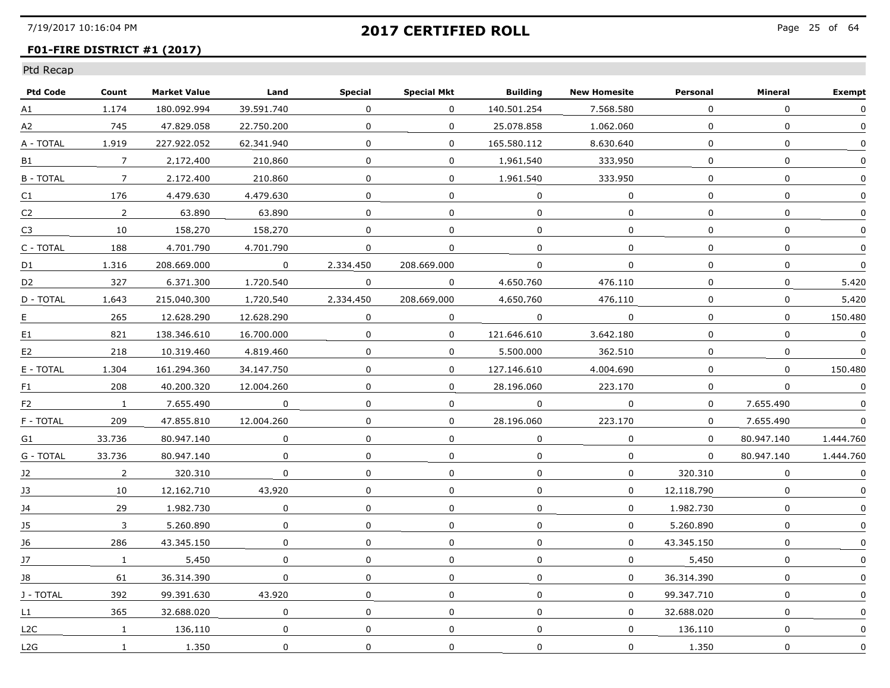### **F01-FIRE DISTRICT #1 (2017)**

| <b>Ptd Code</b> | Count           | <b>Market Value</b> | Land         | <b>Special</b> | <b>Special Mkt</b> | <b>Building</b> | <b>New Homesite</b> | Personal    | Mineral      | <b>Exempt</b> |
|-----------------|-----------------|---------------------|--------------|----------------|--------------------|-----------------|---------------------|-------------|--------------|---------------|
| A1              | 1.174           | 180.092.994         | 39.591.740   | 0              | $\mathbf{0}$       | 140.501.254     | 7,568,580           | 0           | 0            | $\Omega$      |
| A2              | 745             | 47.829.058          | 22.750.200   | $\mathbf{0}$   | $\mathbf 0$        | 25,078,858      | 1.062.060           | $\mathbf 0$ | $\Omega$     | $\Omega$      |
| A - TOTAL       | 1.919           | 227.922.052         | 62.341.940   | $\Omega$       | $\Omega$           | 165.580.112     | 8.630.640           | $\Omega$    | $\Omega$     | $\Omega$      |
| B1              | 7               | 2.172.400           | 210.860      | 0              | 0                  | 1.961.540       | 333.950             | $\Omega$    | $\Omega$     | $\mathbf{0}$  |
| <b>B-TOTAL</b>  | $7\overline{ }$ | 2.172.400           | 210.860      | $\Omega$       | 0                  | 1.961.540       | 333.950             | $\Omega$    | $\Omega$     | $\mathbf{0}$  |
| C1              | 176             | 4,479,630           | 4.479.630    | $\Omega$       | $\Omega$           | $\Omega$        | $\Omega$            | $\Omega$    | $\Omega$     | $\mathbf{0}$  |
| C <sub>2</sub>  | $\overline{2}$  | 63,890              | 63,890       | $\mathbf{0}$   | $\Omega$           | $\Omega$        | $\Omega$            | $\Omega$    | $\Omega$     | $\Omega$      |
| C <sub>3</sub>  | 10              | 158.270             | 158.270      | $\Omega$       | 0                  | $\Omega$        | $\Omega$            | $\Omega$    | $\Omega$     | $\mathbf{0}$  |
| C - TOTAL       | 188             | 4.701.790           | 4.701.790    | 0              | $\Omega$           | $\Omega$        | $\Omega$            | $\Omega$    | $\Omega$     | 0             |
| D1              | 1.316           | 208.669.000         | $\Omega$     | 2.334.450      | 208.669.000        | $\Omega$        | $\Omega$            | 0           | $\Omega$     | $\Omega$      |
| D <sub>2</sub>  | 327             | 6,371,300           | 1,720,540    | $\mathbf{0}$   | $\mathbf{0}$       | 4,650,760       | 476.110             | $\Omega$    | $\Omega$     | 5,420         |
| D - TOTAL       | 1.643           | 215.040.300         | 1.720.540    | 2,334,450      | 208,669,000        | 4,650,760       | 476.110             | $\Omega$    | $\Omega$     | 5.420         |
| E.              | 265             | 12.628.290          | 12.628.290   | $\Omega$       | $\Omega$           | $\Omega$        | $\mathbf 0$         | $\Omega$    | $\Omega$     | 150.480       |
| E1              | 821             | 138.346.610         | 16.700.000   | $\Omega$       | $\Omega$           | 121.646.610     | 3.642.180           | $\Omega$    | $\Omega$     | $\Omega$      |
| E <sub>2</sub>  | 218             | 10.319.460          | 4.819.460    | 0              | $\Omega$           | 5.500.000       | 362.510             | 0           | $\mathbf{0}$ | $\Omega$      |
| E - TOTAL       | 1.304           | 161.294.360         | 34,147,750   | $\Omega$       | $\mathbf{0}$       | 127.146.610     | 4,004,690           | $\Omega$    | $\Omega$     | 150,480       |
| F1              | 208             | 40.200.320          | 12.004.260   | $\Omega$       | $\mathbf{0}$       | 28,196,060      | 223,170             | $\Omega$    | $\Omega$     | $\mathbf 0$   |
| F <sub>2</sub>  | $\mathbf{1}$    | 7.655.490           | $\Omega$     | 0              | 0                  | $\Omega$        | $\Omega$            | $\Omega$    | 7.655.490    | $\mathbf{0}$  |
| F - TOTAL       | 209             | 47.855.810          | 12.004.260   | $\Omega$       | 0                  | 28.196.060      | 223.170             | 0           | 7.655.490    | 0             |
| G1              | 33.736          | 80.947.140          | $\Omega$     | 0              | $\Omega$           | $\Omega$        | $\Omega$            | $\Omega$    | 80.947.140   | 1.444.760     |
| G - TOTAL       | 33,736          | 80.947.140          | $\mathbf 0$  | $\Omega$       | 0                  | $\Omega$        | $\mathbf 0$         | $\Omega$    | 80.947.140   | 1,444,760     |
| J2              | $\overline{2}$  | 320,310             | $\mathbf 0$  | $\Omega$       | $\Omega$           | $\Omega$        | $\mathbf{0}$        | 320,310     | $\Omega$     | $\Omega$      |
| 13              | 10              | 12.162.710          | 43.920       | $\Omega$       | 0                  | $\Omega$        | $\mathbf{0}$        | 12.118.790  | $\Omega$     | $\mathbf{0}$  |
| 14              | 29              | 1.982.730           | $\Omega$     | $\Omega$       | $\Omega$           | $\Omega$        | $\Omega$            | 1.982.730   | $\Omega$     | 0             |
| 15              | 3               | 5.260.890           | $\Omega$     | $\Omega$       | 0                  | $\Omega$        | 0                   | 5.260.890   | $\Omega$     | 0             |
| J6              | 286             | 43.345.150          | $\Omega$     | $\mathbf{0}$   | $\Omega$           | 0               | 0                   | 43.345.150  | $\Omega$     |               |
| J7              | $\mathbf{1}$    | 5.450               | $\mathbf 0$  | $\Omega$       | $\mathbf 0$        | $\Omega$        | $\Omega$            | 5.450       | $\Omega$     | $\Omega$      |
| 18              | 61              | 36.314.390          | $\Omega$     | $\Omega$       | 0                  | $\Omega$        | $\Omega$            | 36.314.390  | $\mathbf{0}$ | 0             |
| J - TOTAL       | 392             | 99.391.630          | 43.920       | $\Omega$       | 0                  | $\Omega$        | 0                   | 99.347.710  | $\mathbf{0}$ | $\mathbf{0}$  |
| L1              | 365             | 32.688.020          | 0            | 0              | 0                  | 0               | $\Omega$            | 32.688.020  | 0            | 0             |
| L2C             | $\mathbf{1}$    | 136,110             | $\mathbf{0}$ | $\mathbf{0}$   | $\mathbf{0}$       | $\Omega$        | $\mathbf{0}$        | 136,110     | $\mathbf 0$  | 0             |
| L2G             | 1               | 1,350               | $\mathbf 0$  | $\mathbf 0$    | $\mathbf 0$        | $\mathbf 0$     | $\mathbf 0$         | 1,350       | $\mathbf 0$  | $\mathbf 0$   |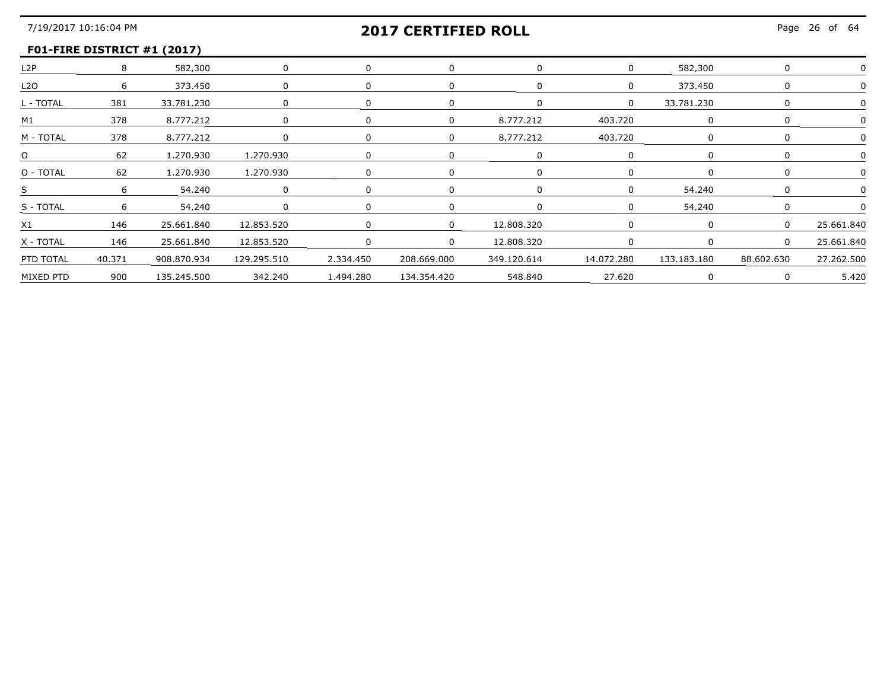## **F01-FIRE DISTRICT #1 (2017)**

|                |        | 582,300     |             |           |             |            |         | 582.300     |            |            |
|----------------|--------|-------------|-------------|-----------|-------------|------------|---------|-------------|------------|------------|
| L2O            |        | 373,450     | $\Omega$    |           |             |            |         | 373.450     |            |            |
| - TOTAL        | 381    | 33.781.230  |             |           |             |            |         | 33.781.230  |            |            |
| M1             | 378    | 8.777.212   |             |           | $\Omega$    | 8.777.212  | 403.720 |             |            |            |
| M - TOTAI      | 378    | 8.777.212   |             |           | $\Omega$    | 8.777.212  | 403.720 |             |            |            |
|                | 62     | 1,270,930   | 1,270,930   |           |             |            |         |             |            |            |
| O - TOTAL      | 62     | 1,270,930   | 1,270,930   |           |             |            |         |             |            |            |
|                |        | 54.240      |             |           |             |            |         | 54 240      |            |            |
| S - TOTAL      |        | 54.240      |             |           |             |            |         | 54 240      |            |            |
| X <sub>1</sub> | 146    | 25.661.840  | 12.853.520  |           | $\Omega$    | 12.808.320 |         |             |            | 25 661 840 |
| Χ - ΤΟΤΑΙ      | 146    | 25,661,840  | 12,853,520  |           | $\Omega$    | 12.808.320 |         |             |            |            |
| PTD TOTAL      | 40.371 | 908.870.934 | 129.295.510 | 2,334,450 | 208,669,000 |            |         | 133,183,180 | 88.602.630 | 27 262 501 |
| MIXED PTD      | 900    | 135.245.500 |             |           |             | 548.840    | 27.620  |             |            | 5.420      |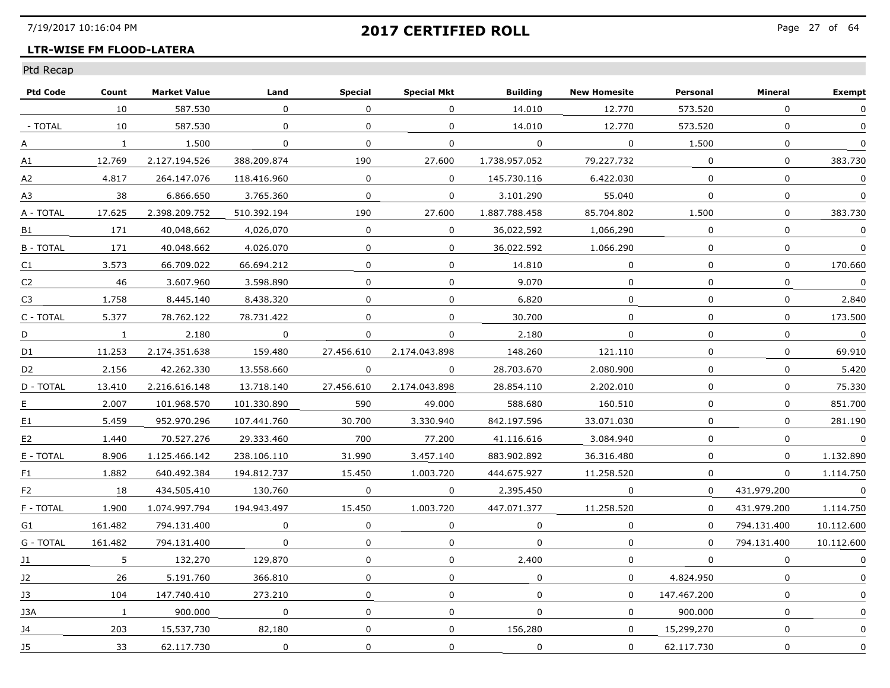### **LTR-WISE FM FLOOD-LATERA**

| <b>Ptd Code</b> | Count        | <b>Market Value</b> | Land        | <b>Special</b> | <b>Special Mkt</b> | <b>Building</b> | <b>New Homesite</b> | Personal     | Mineral      | <b>Exempt</b> |
|-----------------|--------------|---------------------|-------------|----------------|--------------------|-----------------|---------------------|--------------|--------------|---------------|
|                 | 10           | 587,530             | $\Omega$    | $\Omega$       | $\Omega$           | 14.010          | 12,770              | 573,520      | $\Omega$     | $\Omega$      |
| - TOTAL         | 10           | 587.530             | 0           | 0              | 0                  | 14,010          | 12,770              | 573.520      | $\mathbf 0$  | $\mathbf{0}$  |
| А               | $\mathbf{1}$ | 1.500               | $\Omega$    | $\mathbf 0$    | 0                  | $\Omega$        | $\Omega$            | 1.500        | $\Omega$     | $\Omega$      |
| A1              | 12.769       | 2.127.194.526       | 388.209.874 | 190            | 27.600             | 1.738.957.052   | 79.227.732          | $\Omega$     | 0            | 383.730       |
| А2              | 4.817        | 264.147.076         | 118.416.960 | 0              | 0                  | 145.730.116     | 6.422.030           | $\Omega$     | $\mathbf{0}$ | $\Omega$      |
| A3              | 38           | 6.866.650           | 3.765.360   | $\Omega$       | $\mathbf{0}$       | 3.101.290       | 55,040              | $\Omega$     | $\mathbf 0$  | 0             |
| A - TOTAL       | 17.625       | 2.398.209.752       | 510.392.194 | 190            | 27.600             | 1.887.788.458   | 85.704.802          | 1,500        | $\mathbf 0$  | 383.730       |
| <b>B1</b>       | 171          | 40.048.662          | 4.026.070   | 0              | $\Omega$           | 36.022.592      | 1.066.290           | 0            | 0            | 0             |
| <b>B-TOTAL</b>  | 171          | 40.048.662          | 4.026.070   | $\Omega$       | $\Omega$           | 36.022.592      | 1.066.290           | $\Omega$     | $\mathbf{0}$ | $\Omega$      |
| C <sub>1</sub>  | 3.573        | 66.709.022          | 66.694.212  | $\Omega$       | 0                  | 14.810          | 0                   | 0            | $\Omega$     | 170.660       |
| C <sub>2</sub>  | 46           | 3.607.960           | 3,598,890   | 0              | 0                  | 9.070           | $\mathbf 0$         | $\Omega$     | $\Omega$     | $\pmb{0}$     |
| C <sub>3</sub>  | 1,758        | 8,445,140           | 8,438,320   | $\mathbf 0$    | 0                  | 6,820           | 0                   | 0            | $\mathbf 0$  | 2.840         |
| C - TOTAL       | 5.377        | 78.762.122          | 78.731.422  | $\Omega$       | $\Omega$           | 30.700          | 0                   | $\Omega$     | 0            | 173.500       |
| D               | $\mathbf{1}$ | 2.180               | $\Omega$    | $\Omega$       | 0                  | 2.180           | $\mathbf{0}$        | $\Omega$     | $\Omega$     | $\Omega$      |
| D <sub>1</sub>  | 11.253       | 2.174.351.638       | 159.480     | 27.456.610     | 2.174.043.898      | 148.260         | 121.110             | 0            | 0            | 69.910        |
| D <sub>2</sub>  | 2.156        | 42.262.330          | 13.558.660  | 0              | 0                  | 28.703.670      | 2.080.900           | 0            | $\mathbf 0$  | 5.420         |
| D - TOTAL       | 13,410       | 2.216.616.148       | 13,718,140  | 27.456.610     | 2.174.043.898      | 28.854.110      | 2,202,010           | $\Omega$     | 0            | 75.330        |
| Е               | 2.007        | 101.968.570         | 101.330.890 | 590            | 49.000             | 588.680         | 160.510             | $\Omega$     | 0            | 851.700       |
| E <sub>1</sub>  | 5.459        | 952.970.296         | 107.441.760 | 30.700         | 3.330.940          | 842.197.596     | 33.071.030          | 0            | $\Omega$     | 281.190       |
| E <sub>2</sub>  | 1.440        | 70.527.276          | 29.333.460  | 700            | 77.200             | 41.116.616      | 3.084.940           | $\Omega$     | $\mathbf{0}$ | $\Omega$      |
| E - TOTAL       | 8.906        | 1.125.466.142       | 238.106.110 | 31,990         | 3.457.140          | 883.902.892     | 36.316.480          | $\mathbf{0}$ | $\mathbf 0$  | 1.132.890     |
| F1              | 1.882        | 640.492.384         | 194.812.737 | 15,450         | 1.003.720          | 444.675.927     | 11,258,520          | $\mathbf 0$  | $\mathbf 0$  | 1.114.750     |
| F <sub>2</sub>  | 18           | 434.505.410         | 130.760     | 0              | 0                  | 2.395.450       | 0                   | $\Omega$     | 431.979.200  | $\Omega$      |
| F - TOTAL       | 1.900        | 1.074.997.794       | 194.943.497 | 15.450         | 1.003.720          | 447.071.377     | 11.258.520          | $\Omega$     | 431.979.200  | 1.114.750     |
| G1              | 161.482      | 794.131.400         | $\Omega$    | $\Omega$       | 0                  | $\Omega$        | 0                   | $\Omega$     | 794.131.400  | 10.112.600    |
| G - TOTAL       | 161.482      | 794.131.400         | $\mathbf 0$ | 0              | 0                  | $\Omega$        | $\Omega$            | $\Omega$     | 794.131.400  | 10.112.600    |
| J1              | 5.           | 132,270             | 129,870     | $\Omega$       | 0                  | 2,400           | $\mathbf 0$         | $\Omega$     | $\mathbf{0}$ | $\mathbf{0}$  |
| 12              | 26           | 5.191.760           | 366.810     | $\Omega$       | $\Omega$           | $\Omega$        | $\Omega$            | 4.824.950    | $\Omega$     | $\mathbf{0}$  |
| 13              | 104          | 147.740.410         | 273.210     | 0              | 0                  | $\Omega$        | 0                   | 147.467.200  | $\Omega$     | $\mathbf{0}$  |
| 13A             | $\mathbf{1}$ | 900.000             | 0           | 0              | 0                  | 0               | 0                   | 900.000      | 0            |               |
| J4              | 203          | 15,537,730          | 82,180      | $\Omega$       | 0                  | 156.280         | $\mathbf 0$         | 15,299,270   | $\mathbf 0$  | 0             |
| J5              | 33           | 62.117.730          | 0           | $\mathbf 0$    | 0                  | $\mathbf 0$     | 0                   | 62.117.730   | $\mathbf 0$  | 0             |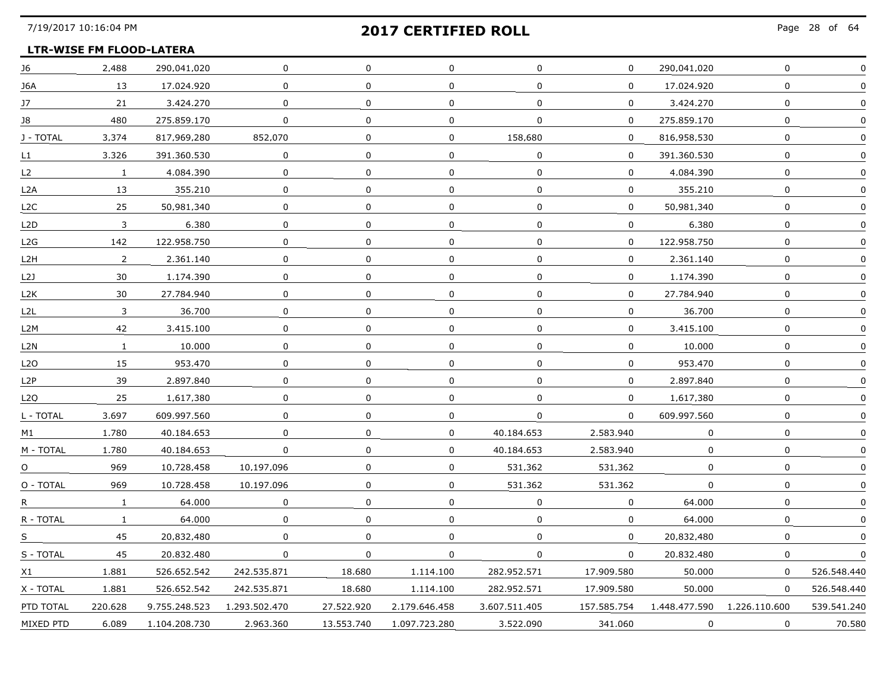### **LTR-WISE FM FLOOD-LATERA**

| J6        | 2,488          | 290.041.020   | 0             | 0            | 0             | 0             | 0            | 290.041.020   | 0             |             |
|-----------|----------------|---------------|---------------|--------------|---------------|---------------|--------------|---------------|---------------|-------------|
| J6A       | 13             | 17.024.920    | $\Omega$      | $\mathbf{0}$ | $\mathbf 0$   | $\mathbf{0}$  | $\Omega$     | 17.024.920    | $\mathbf 0$   |             |
| 17        | 21             | 3.424.270     | $\Omega$      | $\mathbf{0}$ | $\mathbf{0}$  | $\Omega$      | $\mathbf{0}$ | 3.424.270     | $\mathbf{0}$  |             |
| 18        | 480            | 275.859.170   | 0             | 0            | 0             | $\Omega$      | $\Omega$     | 275.859.170   | $\mathbf 0$   |             |
| J - TOTAL | 3.374          | 817.969.280   | 852.070       | $\Omega$     | 0             | 158.680       | $\Omega$     | 816.958.530   | 0             |             |
| L1.       | 3,326          | 391.360.530   | $\mathbf 0$   | $\Omega$     | $\mathbf 0$   | $\mathbf 0$   | $\mathbf{0}$ | 391.360.530   | $\mathsf{O}$  | $\Omega$    |
| L2        | $\mathbf{1}$   | 4.084.390     | 0             | $\Omega$     | $\Omega$      | $\Omega$      | 0            | 4.084.390     | 0             |             |
| L2A       | 13             | 355.210       | 0             | $\Omega$     | 0             | 0             | 0            | 355.210       | 0             |             |
| L2C       | 25             | 50.981.340    | 0             | $\Omega$     | 0             | 0             | $\Omega$     | 50.981.340    | 0             |             |
| L2D       | $\mathbf{3}$   | 6.380         | 0             | 0            | 0             | 0             | 0            | 6.380         | 0             |             |
| L2G       | 142            | 122.958.750   | 0             | 0            | 0             | 0             | 0            | 122.958.750   | $\mathbf 0$   |             |
| L2H       | $\overline{2}$ | 2.361.140     | 0             | 0            | 0             | 0             | $\mathbf 0$  | 2.361.140     | 0             |             |
| L2J       | 30             | 1.174.390     | 0             | $\Omega$     | 0             | 0             | $\Omega$     | 1.174.390     | $\Omega$      |             |
| L2K       | 30             | 27.784.940    | 0             | 0            | 0             | 0             | $\Omega$     | 27.784.940    | 0             |             |
| L2L       | 3              | 36.700        | 0             | $\Omega$     | $\Omega$      | $\Omega$      | 0            | 36.700        | 0             |             |
| L2M       | 42             | 3.415.100     | $\mathbf 0$   | $\mathbf 0$  | 0             | 0             | 0            | 3.415.100     | 0             |             |
| L2N       | $\mathbf{1}$   | 10,000        | $\mathbf 0$   | $\mathbf{0}$ | $\mathbf 0$   | $\mathbf 0$   | $\mathbf{0}$ | 10,000        | $\mathbf{0}$  |             |
| L2O       | 15             | 953.470       | $\Omega$      | $\Omega$     | $\Omega$      | $\Omega$      | $\mathbf{0}$ | 953.470       | $\mathbf{0}$  |             |
| L2P       | 39             | 2.897.840     | 0             | 0            | 0             | $\Omega$      | $\Omega$     | 2.897.840     | 0             |             |
| L2O       | 25             | 1.617.380     | 0             | $\Omega$     | $\Omega$      | $\Omega$      | $\Omega$     | 1.617.380     | 0             |             |
| L - TOTAL | 3.697          | 609.997.560   | $\mathbf 0$   | $\mathbf{0}$ | $\mathbf 0$   | $\mathbf 0$   | $\mathbf{0}$ | 609.997.560   | $\mathsf{O}$  | $\Omega$    |
| M1        | 1,780          | 40.184.653    | $\mathbf 0$   | $\Omega$     | $\mathbf 0$   | 40.184.653    | 2,583,940    | $\mathbf 0$   | 0             |             |
| M - TOTAL | 1.780          | 40.184.653    | 0             | $\Omega$     | 0             | 40.184.653    | 2.583.940    | 0             | 0             |             |
| O         | 969            | 10.728.458    | 10.197.096    | $\Omega$     | 0             | 531.362       | 531.362      | $\Omega$      | $\Omega$      |             |
| O - TOTAL | 969            | 10.728.458    | 10.197.096    | 0            | $\mathbf 0$   | 531.362       | 531.362      | 0             | 0             |             |
| R,        | $\mathbf{1}$   | 64,000        | 0             | 0            | 0             | 0             | 0            | 64,000        | 0             |             |
| R - TOTAL | $\mathbf{1}$   | 64,000        | 0             | 0            | 0             | 0             | 0            | 64,000        | 0             |             |
| S.        | 45             | 20.832.480    | $\Omega$      | $\Omega$     | 0             | 0             | $\Omega$     | 20.832.480    | $\Omega$      |             |
| S - TOTAL | 45             | 20.832.480    | $\Omega$      | $\Omega$     | 0             | 0             | $\Omega$     | 20.832.480    | $\mathbf{0}$  | $\Omega$    |
| X1        | 1.881          | 526.652.542   | 242.535.871   | 18.680       | 1.114.100     | 282.952.571   | 17.909.580   | 50.000        | 0             | 526.548.440 |
| X - TOTAL | 1.881          | 526.652.542   | 242.535.871   | 18,680       | 1.114.100     | 282.952.571   | 17.909.580   | 50.000        | 0             | 526.548.440 |
| PTD TOTAL | 220.628        | 9.755.248.523 | 1.293.502.470 | 27.522.920   | 2.179.646.458 | 3.607.511.405 | 157.585.754  | 1,448,477,590 | 1.226.110.600 | 539.541.240 |
| MIXED PTD | 6.089          | 1.104.208.730 | 2.963.360     | 13.553.740   | 1.097.723.280 | 3.522.090     | 341.060      | 0             | $\Omega$      | 70.580      |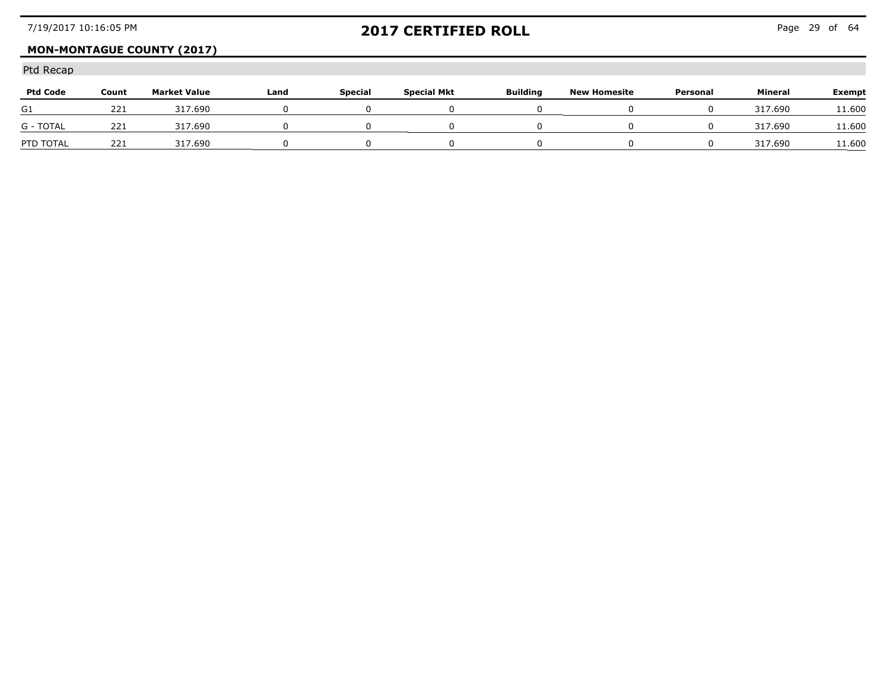## **MON-MONTAGUE COUNTY (2017)**

| <b>Ptd Code</b>  | Count | <b>Market Value</b> | Land | <b>Special</b> | <b>Special Mkt</b> | <b>Building</b> | <b>New Homesite</b> | Personal | Mineral | Exempt               |
|------------------|-------|---------------------|------|----------------|--------------------|-----------------|---------------------|----------|---------|----------------------|
| G1               | 221   | 317.690             |      |                |                    |                 |                     |          | 317.690 | 11,600<br>---------- |
| <b>G - TOTAL</b> | 221   | 317.690             |      |                |                    |                 |                     |          | 317.690 | L <b>1.600</b>       |
| PTD TOTAL        | 221   | 317.690             |      |                |                    |                 |                     |          | 317.690 | 1.600                |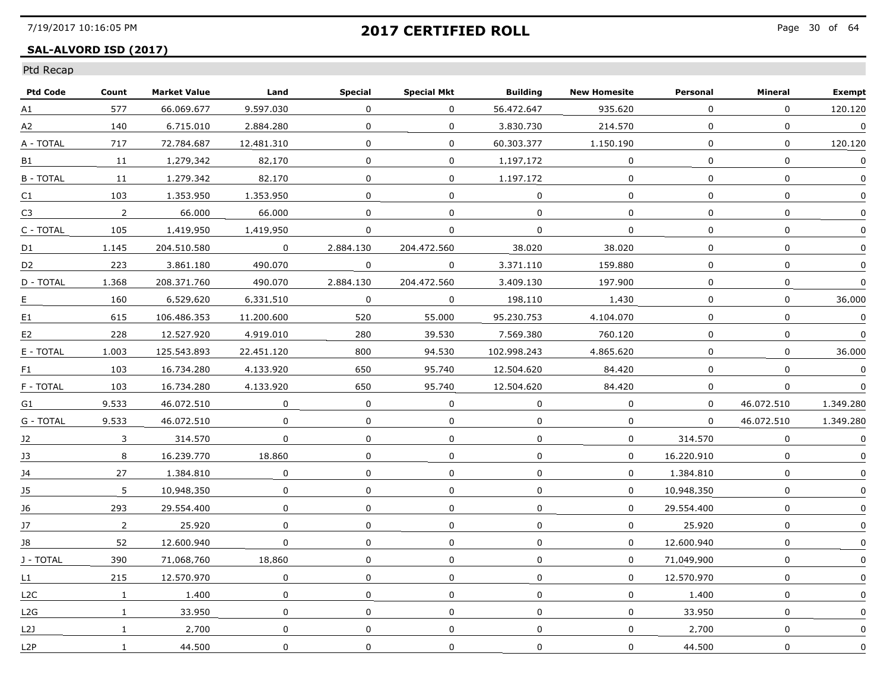### **SAL-ALVORD ISD (2017)**

| <b>Ptd Code</b>  | Count          | <b>Market Value</b> | Land         | <b>Special</b> | <b>Special Mkt</b> | <b>Building</b> | <b>New Homesite</b> | Personal     | Mineral      | <b>Exempt</b> |
|------------------|----------------|---------------------|--------------|----------------|--------------------|-----------------|---------------------|--------------|--------------|---------------|
| A1               | 577            | 66.069.677          | 9.597.030    | 0              | $\mathbf{0}$       | 56.472.647      | 935,620             | $\mathbf 0$  | $\mathbf 0$  | 120.120       |
| A2               | 140            | 6.715.010           | 2.884.280    | 0              | $\mathbf{0}$       | 3.830.730       | 214,570             | $\mathbf{0}$ | 0            | $\mathbf 0$   |
| A - TOTAL        | 717            | 72.784.687          | 12.481.310   | 0              | $\Omega$           | 60.303.377      | 1.150.190           | 0            | 0            | 120.120       |
| B1               | 11             | 1.279.342           | 82.170       | 0              | 0                  | 1.197.172       | $\Omega$            | $\Omega$     | $\mathbf{0}$ | $\Omega$      |
| <b>B-TOTAL</b>   | 11             | 1.279.342           | 82.170       | 0              | $\Omega$           | 1.197.172       | $\Omega$            | $\Omega$     | $\mathbf{0}$ | $\mathbf{0}$  |
| C1               | 103            | 1,353,950           | 1.353.950    | 0              | $\mathbf 0$        | $\mathbf 0$     | $\Omega$            | $\mathbf{0}$ | $\mathbf 0$  | $\mathbf 0$   |
| C3               | $\overline{2}$ | 66,000              | 66.000       | 0              | $\mathbf{0}$       | $\Omega$        | 0                   | $\Omega$     | $\mathbf 0$  | $\Omega$      |
| C - TOTAL        | 105            | 1.419.950           | 1.419.950    | 0              | $\Omega$           | 0               | 0                   | 0            | 0            | $\mathbf{0}$  |
| D1               | 1.145          | 204.510.580         | $\Omega$     | 2.884.130      | 204.472.560        | 38.020          | 38.020              | 0            | 0            | 0             |
| D <sub>2</sub>   | 223            | 3.861.180           | 490.070      | 0              | 0                  | 3.371.110       | 159.880             | $\Omega$     | 0            | $\Omega$      |
| D - TOTAL        | 1.368          | 208.371.760         | 490.070      | 2.884.130      | 204,472,560        | 3,409,130       | 197.900             | 0            | $\mathbf 0$  | $\Omega$      |
| Е.               | 160            | 6,529,620           | 6.331.510    | $\mathbf 0$    | $\mathbf 0$        | 198.110         | 1.430               | 0            | 0            | 36,000        |
| E1               | 615            | 106.486.353         | 11.200.600   | 520            | 55.000             | 95.230.753      | 4.104.070           | $\Omega$     | $\Omega$     | 0             |
| E <sub>2</sub>   | 228            | 12.527.920          | 4.919.010    | 280            | 39.530             | 7.569.380       | 760.120             | $\Omega$     | 0            | $\Omega$      |
| E - TOTAL        | 1.003          | 125.543.893         | 22.451.120   | 800            | 94.530             | 102.998.243     | 4.865.620           | $\Omega$     | 0            | 36.000        |
| F1               | 103            | 16,734,280          | 4,133,920    | 650            | 95.740             | 12,504,620      | 84,420              | $\Omega$     | $\Omega$     | $\mathbf{0}$  |
| F - TOTAL        | 103            | 16.734.280          | 4.133.920    | 650            | 95,740             | 12.504.620      | 84,420              | $\mathbf{0}$ | $\Omega$     | $\mathbf 0$   |
| G1               | 9.533          | 46.072.510          | 0            | 0              | $\Omega$           | 0               | $\Omega$            | 0            | 46.072.510   | 1.349.280     |
| G - TOTAL        | 9.533          | 46.072.510          | 0            | 0              | $\Omega$           | $\Omega$        | $\Omega$            | $\Omega$     | 46.072.510   | 1.349.280     |
| 12               | $\mathbf{3}$   | 314.570             | $\Omega$     | 0              | $\Omega$           | $\mathbf{0}$    | $\Omega$            | 314.570      | $\Omega$     | $\mathbf{0}$  |
| J3               | 8              | 16.239.770          | 18,860       | 0              | $\mathbf 0$        | 0               | 0                   | 16,220,910   | $\mathbf 0$  | 0             |
| J4               | 27             | 1,384,810           | 0            | 0              | 0                  | 0               | 0                   | 1,384,810    | 0            | 0             |
| 15               | 5.             | 10.948.350          | $\Omega$     | 0              | $\Omega$           | $\Omega$        | $\Omega$            | 10.948.350   | $\Omega$     | O             |
| 16               | 293            | 29.554.400          | $\Omega$     | 0              | $\Omega$           | $\Omega$        | $\Omega$            | 29.554.400   | $\Omega$     | $\Omega$      |
| 17               | $\overline{2}$ | 25.920              | $\Omega$     | $\Omega$       | $\mathbf{0}$       | $\mathbf{0}$    | $\mathbf{0}$        | 25.920       | $\mathbf{0}$ | $\Omega$      |
| J8               | 52             | 12.600.940          | $\mathbf 0$  | 0              | $\Omega$           | $\mathbf{0}$    | 0                   | 12.600.940   | 0            | 0             |
| J - TOTAL        | 390            | 71.068.760          | 18.860       | 0              | $\mathbf 0$        | 0               | 0                   | 71.049.900   | $\mathbf 0$  | $\Omega$      |
| L1               | 215            | 12.570.970          | 0            | 0              | 0                  | 0               | 0                   | 12.570.970   | 0            | $\Omega$      |
| L2C              | $\mathbf{1}$   | 1.400               | 0            | 0              | 0                  | 0               | 0                   | 1.400        | 0            | $\Omega$      |
| L2G              | $\mathbf{1}$   | 33.950              | $\Omega$     | 0              | $\Omega$           | $\mathbf{0}$    | $\mathbf{0}$        | 33.950       | $\mathbf{0}$ |               |
| L2J              | $\mathbf{1}$   | 2,700               | $\mathbf{0}$ | 0              | $\mathbf{0}$       | $\mathbf{0}$    | $\mathbf 0$         | 2.700        | 0            | $\mathbf{0}$  |
| L <sub>2</sub> P | $\mathbf{1}$   | 44,500              | 0            | $\mathbf 0$    | $\mathbf 0$        | $\mathbf 0$     | 0                   | 44,500       | $\mathbf 0$  | $\mathbf 0$   |
|                  |                |                     |              |                |                    |                 |                     |              |              |               |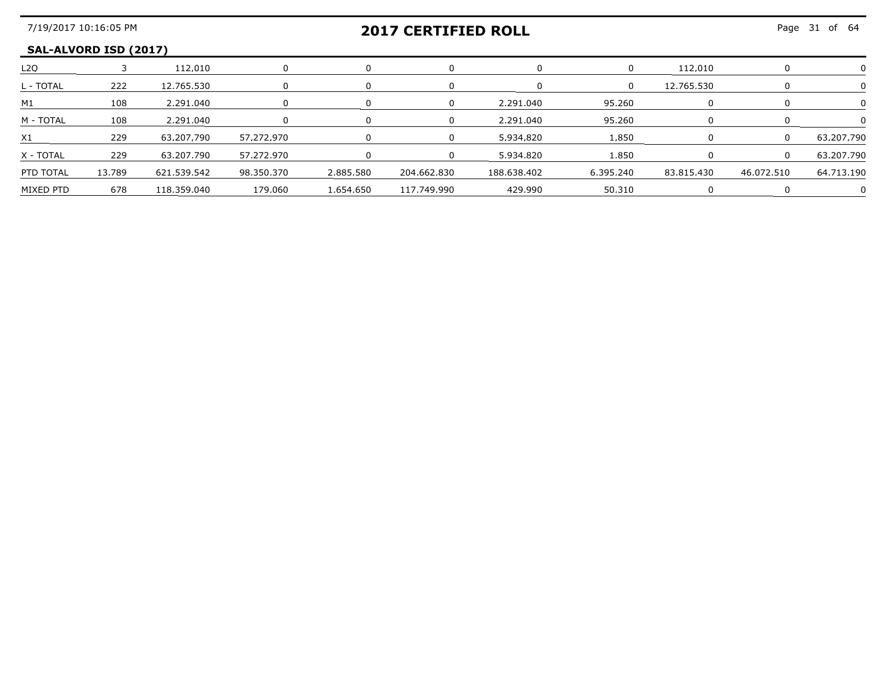#### **SAL-ALVORD ISD (2017)**

| L <sub>2</sub> O |        | 112.010     |            |           |             |             |           | 112.010    |            |            |
|------------------|--------|-------------|------------|-----------|-------------|-------------|-----------|------------|------------|------------|
| L - TOTAL        | 222    | 12.765.530  |            |           |             |             |           | 12.765.530 |            |            |
| M1               | 108    | 2.291.040   |            |           |             | 2.291.040   | 95.260    |            |            |            |
| M - TOTAL        | 108    | 2.291.040   |            |           |             | 2.291.040   | 95.260    |            |            |            |
|                  | 229    | 63.207.790  | 57.272.970 |           |             | 5934820     | 850       |            |            | 63.207.790 |
| X - TOTAL        | 229    | 63.207.790  | 57.272.970 |           |             | 5.934.820   | 850       |            |            | 63.207.790 |
| PTD TOTAL        | 13.789 | 621.539.542 | 98.350.370 | 2.885.580 | 204.662.830 | 188.638.402 | 6.395.240 | 83,815,430 | 46.072.510 | 64.713.190 |
| MIXED PTD        | 678    | 118 359 040 | 179 በ6በ    | 1.654.650 | 117.749.990 | 429.990     | 50.310    |            |            |            |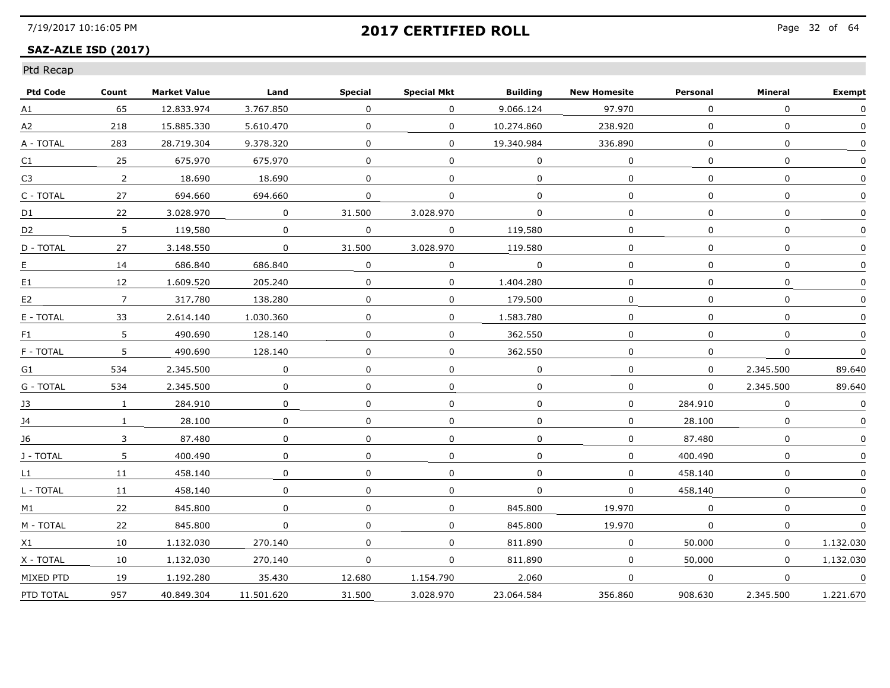#### **SAZ-AZLE ISD (2017)**

|  | Ptd Recap |
|--|-----------|
|--|-----------|

| <b>Ptd Code</b> | Count          | <b>Market Value</b> | Land        | <b>Special</b> | <b>Special Mkt</b> | <b>Building</b> | <b>New Homesite</b> | Personal     | Mineral      | <b>Exempt</b> |
|-----------------|----------------|---------------------|-------------|----------------|--------------------|-----------------|---------------------|--------------|--------------|---------------|
| A1              | 65             | 12.833.974          | 3.767.850   | $\mathbf{0}$   | 0                  | 9.066.124       | 97.970              | $\Omega$     | $\Omega$     | $\Omega$      |
| A2              | 218            | 15.885.330          | 5.610.470   | $\mathbf 0$    | 0                  | 10,274,860      | 238,920             | 0            | $\mathbf 0$  | $\Omega$      |
| A - TOTAL       | 283            | 28.719.304          | 9.378.320   | $\mathbf{0}$   | $\mathbf{0}$       | 19.340.984      | 336.890             | 0            | $\mathbf{0}$ | $\mathbf{0}$  |
| C1              | 25             | 675.970             | 675.970     | 0              | 0                  | $\Omega$        | 0                   | $\Omega$     | $\mathbf{0}$ | <sup>n</sup>  |
| C3              | $\overline{2}$ | 18.690              | 18.690      | $\Omega$       | 0                  | $\Omega$        | $\Omega$            | $\Omega$     | 0            | <sup>0</sup>  |
| C - TOTAL       | 27             | 694.660             | 694.660     | 0              | 0                  | 0               | 0                   | $\mathbf 0$  | $\mathbf 0$  |               |
| D1              | 22             | 3.028.970           | $\mathbf 0$ | 31,500         | 3.028.970          | $\Omega$        | $\Omega$            | $\mathbf 0$  | $\mathbf{0}$ | $\Omega$      |
| D <sub>2</sub>  | 5              | 119.580             | 0           | 0              | 0                  | 119.580         | 0                   | 0            | 0            |               |
| D - TOTAL       | 27             | 3.148.550           | 0           | 31.500         | 3.028.970          | 119.580         | 0                   | 0            | 0            |               |
| $E_{\perp}$     | 14             | 686.840             | 686.840     | 0              | 0                  | $\Omega$        | 0                   | $\Omega$     | 0            | ∩             |
| E1              | 12             | 1.609.520           | 205.240     | $\Omega$       | $\mathbf{0}$       | 1,404,280       | $\Omega$            | $\mathbf 0$  | $\Omega$     |               |
| E <sub>2</sub>  | $\overline{7}$ | 317.780             | 138.280     | 0              | 0                  | 179,500         | 0                   | $\mathbf 0$  | 0            |               |
| E - TOTAL       | 33             | 2.614.140           | 1.030.360   | 0              | 0                  | 1.583.780       | 0                   | 0            | 0            |               |
| F <sub>1</sub>  | 5              | 490.690             | 128.140     | 0              | 0                  | 362.550         | 0                   | $\Omega$     | 0            | $\Omega$      |
| F - TOTAL       | 5              | 490.690             | 128.140     | $\Omega$       | 0                  | 362.550         | $\Omega$            | 0            | $\Omega$     | $\Omega$      |
| G1              | 534            | 2,345,500           | 0           | 0              | 0                  | 0               | 0                   | $\mathbf{0}$ | 2,345,500    | 89.640        |
| G - TOTAL       | 534            | 2.345.500           | 0           | 0              | 0                  | 0               | $\mathbf 0$         | $\mathbf 0$  | 2.345.500    | 89.640        |
| 13              | $\mathbf{1}$   | 284.910             | 0           | $\mathbf{0}$   | 0                  | 0               | 0                   | 284.910      | 0            | $\Omega$      |
| 14              | $\mathbf{1}$   | 28.100              | 0           | $\Omega$       | 0                  | 0               | 0                   | 28.100       | $\Omega$     | $\Omega$      |
| 16              | 3              | 87.480              | 0           | 0              | 0                  | 0               | 0                   | 87.480       | 0            |               |
| J - TOTAL       | 5              | 400.490             | 0           | 0              | 0                  | $\mathbf 0$     | $\mathbf 0$         | 400.490      | 0            | $\Omega$      |
| $\mathsf{L}1$   | 11             | 458.140             | 0           | 0              | 0                  | 0               | 0                   | 458,140      | 0            |               |
| L - TOTAL       | 11             | 458.140             | 0           | $\mathbf{0}$   | 0                  | $\Omega$        | 0                   | 458.140      | $\mathbf{0}$ |               |
| M1              | 22             | 845.800             | 0           | 0              | 0                  | 845.800         | 19.970              | $\Omega$     | $\Omega$     |               |
| M - TOTAL       | 22             | 845.800             | 0           | 0              | 0                  | 845.800         | 19.970              | $\Omega$     | 0            | 0             |
| X1              | 10             | 1,132,030           | 270.140     | 0              | 0                  | 811.890         | 0                   | 50,000       | 0            | 1.132.030     |
| X - TOTAL       | 10             | 1.132.030           | 270.140     | $\mathbf 0$    | 0                  | 811.890         | 0                   | 50.000       | $\mathbf 0$  | 1.132.030     |
| MIXED PTD       | 19             | 1.192.280           | 35.430      | 12.680         | 1.154.790          | 2.060           | 0                   | $\Omega$     | 0            | 0             |
| PTD TOTAL       | 957            | 40.849.304          | 11.501.620  | 31.500         | 3.028.970          | 23.064.584      | 356.860             | 908.630      | 2.345.500    | 1.221.670     |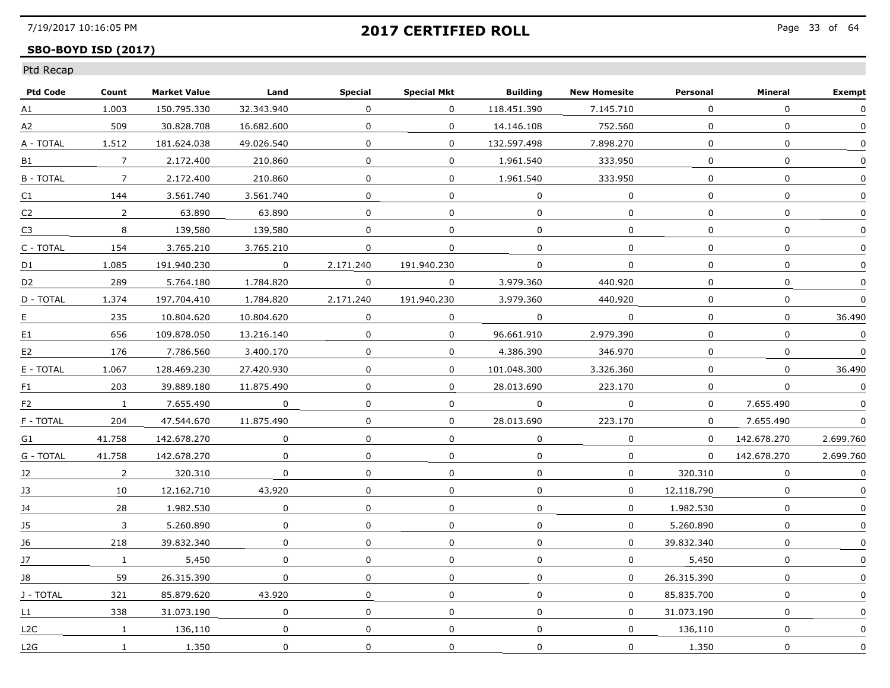## **SBO-BOYD ISD (2017)**

| <b>Ptd Code</b> | Count           | <b>Market Value</b> | Land         | <b>Special</b> | <b>Special Mkt</b> | <b>Building</b> | <b>New Homesite</b> | Personal     | Mineral      | <b>Exempt</b> |
|-----------------|-----------------|---------------------|--------------|----------------|--------------------|-----------------|---------------------|--------------|--------------|---------------|
| A1              | 1.003           | 150.795.330         | 32.343.940   | $\Omega$       | $\Omega$           | 118,451,390     | 7.145.710           | $\Omega$     | $\Omega$     | 0             |
| A2              | 509             | 30.828.708          | 16.682.600   | $\mathbf{0}$   | $\mathbf{0}$       | 14,146,108      | 752,560             | $\mathbf{0}$ | 0            | $\mathbf{0}$  |
| A - TOTAL       | 1.512           | 181.624.038         | 49.026.540   | 0              | $\Omega$           | 132.597.498     | 7.898.270           | 0            | 0            | 0             |
| B1              | $7\overline{ }$ | 2.172.400           | 210.860      | 0              | $\Omega$           | 1.961.540       | 333.950             | 0            | 0            | $\Omega$      |
| <b>B-TOTAL</b>  | 7               | 2.172.400           | 210.860      | $\Omega$       | $\Omega$           | 1.961.540       | 333.950             | $\Omega$     | $\Omega$     | $\Omega$      |
| C1              | 144             | 3.561.740           | 3.561.740    | $\Omega$       | $\Omega$           | $\Omega$        | $\Omega$            | $\Omega$     | $\Omega$     | $\Omega$      |
| C <sub>2</sub>  | $\overline{2}$  | 63.890              | 63.890       | $\Omega$       | $\mathbf 0$        | $\mathbf{0}$    | $\mathbf 0$         | $\Omega$     | $\mathbf 0$  | 0             |
| C <sub>3</sub>  | 8               | 139.580             | 139.580      | 0              | $\Omega$           | $\Omega$        | 0                   | $\Omega$     | $\Omega$     |               |
| C - TOTAL       | 154             | 3.765.210           | 3.765.210    | 0              | $\Omega$           | $\Omega$        | $\Omega$            | $\Omega$     | $\Omega$     | $\Omega$      |
| D1              | 1.085           | 191.940.230         | $\Omega$     | 2.171.240      | 191.940.230        | 0               | $\Omega$            | $\mathbf{0}$ | $\mathbf{0}$ | $\Omega$      |
| D <sub>2</sub>  | 289             | 5,764,180           | 1,784,820    | $\mathbf{0}$   | $\mathbf{0}$       | 3.979.360       | 440.920             | 0            | 0            | $\Omega$      |
| D - TOTAL       | 1,374           | 197.704.410         | 1,784,820    | 2.171.240      | 191.940.230        | 3.979.360       | 440.920             | $\Omega$     | $\mathbf{0}$ | 0             |
| E.              | 235             | 10.804.620          | 10.804.620   | $\Omega$       | $\mathbf{0}$       | $\overline{0}$  | $\Omega$            | $\Omega$     | $\mathbf{0}$ | 36.490        |
| E1              | 656             | 109.878.050         | 13.216.140   | $\Omega$       | $\Omega$           | 96.661.910      | 2.979.390           | $\mathbf{0}$ | $\Omega$     | 0             |
| E <sub>2</sub>  | 176             | 7.786.560           | 3.400.170    | $\Omega$       | $\Omega$           | 4.386.390       | 346.970             | 0            | 0            | 0             |
| E - TOTAL       | 1.067           | 128,469,230         | 27,420,930   | $\Omega$       | $\mathbf{0}$       | 101.048.300     | 3,326,360           | $\Omega$     | 0            | 36,490        |
| F1              | 203             | 39.889.180          | 11.875.490   | 0              | $\mathbf{0}$       | 28.013.690      | 223,170             | $\mathbf{0}$ | $\Omega$     | $\mathbf 0$   |
| F <sub>2</sub>  | $\mathbf{1}$    | 7.655.490           | $\Omega$     | 0              | 0                  | $\mathbf{0}$    | $\Omega$            | 0            | 7.655.490    |               |
| F - TOTAL       | 204             | 47.544.670          | 11.875.490   | $\mathbf{0}$   | 0                  | 28.013.690      | 223.170             | 0            | 7.655.490    | $\Omega$      |
| G1              | 41.758          | 142.678.270         | $\Omega$     | $\Omega$       | $\Omega$           | $\Omega$        | $\Omega$            | $\Omega$     | 142.678.270  | 2.699.760     |
| G - TOTAL       | 41.758          | 142.678.270         | $\mathbf 0$  | $\Omega$       | $\mathbf 0$        | $\mathbf 0$     | $\mathbf 0$         | $\mathbf{0}$ | 142.678.270  | 2.699.760     |
| J2              | $\overline{2}$  | 320.310             | $\mathbf 0$  | $\Omega$       | $\mathbf{0}$       | $\mathbf{0}$    | $\mathbf{0}$        | 320.310      | 0            | $\mathbf{0}$  |
| 13              | 10              | 12.162.710          | 43.920       | 0              | 0                  | $\Omega$        | $\Omega$            | 12.118.790   | 0            |               |
| 14              | 28              | 1.982.530           | $\Omega$     | $\Omega$       | $\Omega$           | $\Omega$        | $\Omega$            | 1.982.530    | 0            | $\Omega$      |
| 15              | 3               | 5.260.890           | $\mathbf{0}$ | 0              | 0                  | $\Omega$        | $\Omega$            | 5.260.890    | $\mathbf{0}$ | $\Omega$      |
| J6              | 218             | 39.832.340          | 0            | 0              | 0                  | $\mathbf{0}$    | $\Omega$            | 39.832.340   | 0            |               |
| J7              | $\mathbf{1}$    | 5,450               | $\mathbf{0}$ | 0              | $\mathbf 0$        | 0               | $\mathbf{0}$        | 5,450        | 0            | 0             |
| 18              | 59              | 26.315.390          | $\Omega$     | $\Omega$       | $\mathbf{0}$       | $\mathbf{0}$    | $\Omega$            | 26.315.390   | $\Omega$     | $\Omega$      |
| J - TOTAL       | 321             | 85.879.620          | 43.920       | $\mathbf{0}$   | 0                  | $\Omega$        | $\Omega$            | 85.835.700   | 0            | $\Omega$      |
| L1              | 338             | 31.073.190          | 0            | 0              | $\Omega$           | 0               | $\Omega$            | 31.073.190   | 0            |               |
| L2C             | $\mathbf{1}$    | 136.110             | $\mathbf 0$  | 0              | $\mathbf 0$        | $\mathbf{0}$    | $\mathbf{0}$        | 136.110      | 0            | 0             |
| L2G             | $\mathbf{1}$    | 1,350               | $\mathbf 0$  | $\mathbf 0$    | $\mathbf 0$        | $\mathbf 0$     | $\Omega$            | 1,350        | $\mathbf 0$  | $\mathbf 0$   |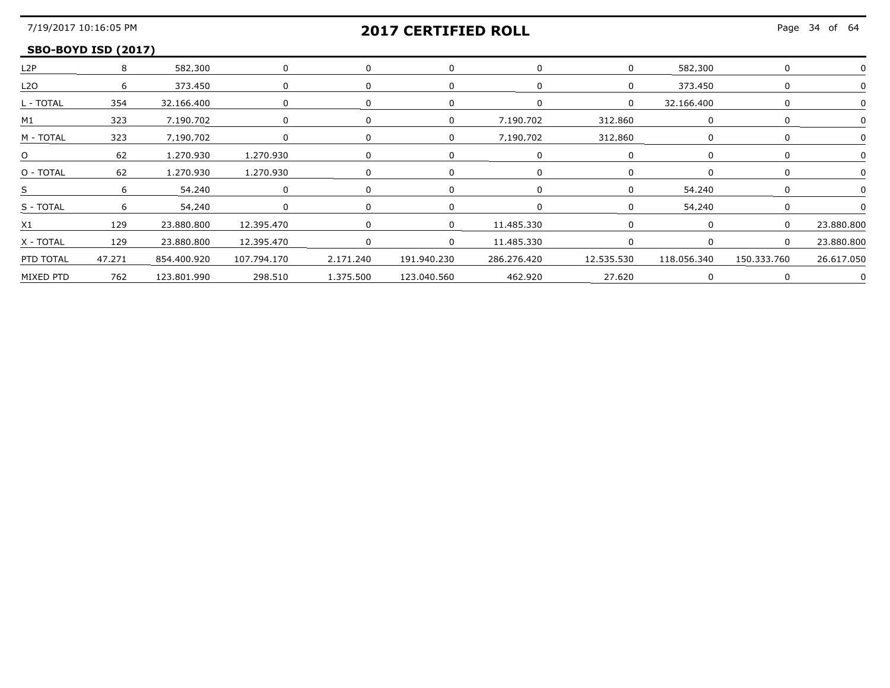## **2017 CERTIFIED ROLL**

#### **SBO-BOYD ISD (2017)**

|                |        | 582.300         |             |           |             |                             |            | 582.300     |             |            |
|----------------|--------|-----------------|-------------|-----------|-------------|-----------------------------|------------|-------------|-------------|------------|
| <b>L2O</b>     |        | 373,450         |             |           |             |                             | $\Omega$   | 373.450     |             |            |
| . - TOTAL      | 354    | 32.166.400      |             |           |             |                             | $\Omega$   | 32.166.400  |             |            |
| M1             | 323    | 7.190.702       |             |           | $\Omega$    | 7.190.702                   | 312.860    |             |             |            |
| M - TOTAI      | 323    | 7.190.702       |             |           | $\Omega$    | 7.190.702                   | 312.860    |             |             |            |
|                | 62     | 1,270,930       | 1,270,930   |           |             |                             |            |             |             |            |
| O - TOTAL      |        | 62 1.270.930    | 1,270,930   |           |             |                             |            |             |             |            |
|                |        | 54.240          |             |           |             |                             |            | 54.240      |             |            |
| S - TOTAL      |        | 54.240          |             |           |             |                             |            | 54 240      |             |            |
| X <sub>1</sub> | 129    | 23.880.800      | 12.395.470  |           | $\Omega$    | 11 485 330                  |            |             |             | 23.880.800 |
| X - TOTAL      | 129    | 23,880,800      | 12,395,470  |           | $\Omega$    | 11,485,330                  |            |             |             | 23 880 800 |
| PTD TOTAL      | 47,271 | 854,400,920     | 107,794,170 | 2,171,240 | 191,940,230 | 286,276,420                 | 12.535.530 | 118.056.340 | 150.333.760 | 26.617.050 |
| MIXED PTD      |        | 762 123.801.990 |             |           |             | 462.920<br>---------------- | 27.620     |             |             |            |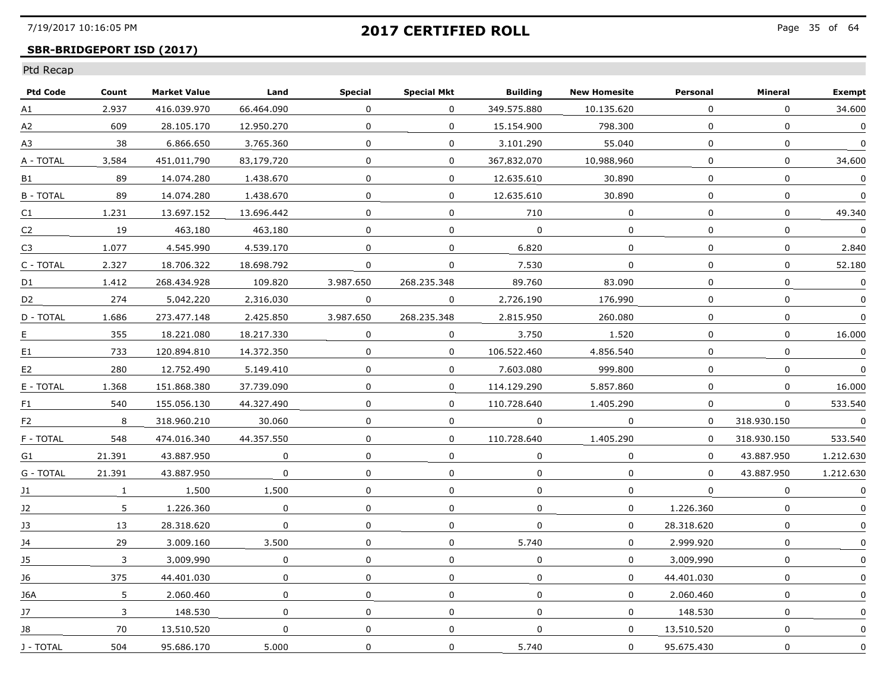## **SBR-BRIDGEPORT ISD (2017)**

| <b>Ptd Code</b> | Count        | <b>Market Value</b> | Land        | <b>Special</b> | <b>Special Mkt</b> | <b>Building</b> | <b>New Homesite</b> | Personal     | Mineral      | <b>Exempt</b> |
|-----------------|--------------|---------------------|-------------|----------------|--------------------|-----------------|---------------------|--------------|--------------|---------------|
| A1              | 2.937        | 416.039.970         | 66.464.090  | $\mathbf{0}$   | $\Omega$           | 349.575.880     | 10.135.620          | 0            | $\Omega$     | 34,600        |
| A2              | 609          | 28.105.170          | 12.950.270  | 0              | $\mathbf{0}$       | 15,154,900      | 798,300             | $\mathbf{0}$ | $\mathbf 0$  | $\mathbf 0$   |
| A3              | 38           | 6.866.650           | 3.765.360   | $\Omega$       | 0                  | 3.101.290       | 55.040              | 0            | $\Omega$     | $\Omega$      |
| A - TOTAL       | 3.584        | 451.011.790         | 83.179.720  | 0              | 0                  | 367.832.070     | 10.988.960          | $\Omega$     | 0            | 34.600        |
| B1              | 89           | 14.074.280          | 1.438.670   | 0              | 0                  | 12.635.610      | 30.890              | 0            | $\Omega$     | 0             |
| <b>B-TOTAL</b>  | 89           | 14.074.280          | 1.438.670   | $\Omega$       | $\Omega$           | 12.635.610      | 30.890              | $\Omega$     | $\mathbf{0}$ | $\Omega$      |
| C1              | 1.231        | 13.697.152          | 13.696.442  | $\Omega$       | $\Omega$           | 710             | $\overline{0}$      | $\Omega$     | $\mathbf 0$  | 49,340        |
| C2              | 19           | 463.180             | 463.180     | 0              | 0                  | $\Omega$        | 0                   | $\Omega$     | $\mathbf{0}$ | 0             |
| C3              | 1.077        | 4.545.990           | 4.539.170   | 0              | $\Omega$           | 6.820           | $\Omega$            | $\Omega$     | $\Omega$     | 2.840         |
| C - TOTAL       | 2.327        | 18.706.322          | 18.698.792  | 0              | $\Omega$           | 7.530           | 0                   | 0            | $\Omega$     | 52.180        |
| D1              | 1.412        | 268.434.928         | 109.820     | 3.987.650      | 268.235.348        | 89.760          | 83.090              | $\mathbf 0$  | $\Omega$     | $\Omega$      |
| D <sub>2</sub>  | 274          | 5.042.220           | 2.316.030   | $\mathbf 0$    | $\mathbf 0$        | 2.726.190       | 176.990             | $\mathbf{0}$ | 0            | 0             |
| D - TOTAL       | 1.686        | 273.477.148         | 2.425.850   | 3.987.650      | 268.235.348        | 2.815.950       | 260.080             | $\Omega$     | $\Omega$     | 0             |
| E.              | 355          | 18.221.080          | 18.217.330  | $\Omega$       | 0                  | 3.750           | 1.520               | 0            | 0            | 16.000        |
| E1              | 733          | 120.894.810         | 14.372.350  | 0              | $\Omega$           | 106.522.460     | 4.856.540           | $\Omega$     | $\Omega$     | $\Omega$      |
| E2              | 280          | 12.752.490          | 5,149,410   | $\Omega$       | $\mathbf 0$        | 7.603.080       | 999.800             | $\Omega$     | $\mathbf{0}$ | $\mathbf{0}$  |
| E - TOTAL       | 1.368        | 151.868.380         | 37.739.090  | 0              | $\mathbf 0$        | 114,129,290     | 5.857.860           | $\mathbf 0$  | $\mathbf 0$  | 16,000        |
| F1.             | 540          | 155.056.130         | 44.327.490  | $\Omega$       | 0                  | 110.728.640     | 1.405.290           | $\Omega$     | $\Omega$     | 533.540       |
| F <sub>2</sub>  | 8            | 318.960.210         | 30.060      | 0              | 0                  | 0               | $\Omega$            | 0            | 318.930.150  | $\Omega$      |
| F - TOTAL       | 548          | 474.016.340         | 44.357.550  | 0              | $\Omega$           | 110.728.640     | 1.405.290           | 0            | 318.930.150  | 533.540       |
| G1              | 21,391       | 43.887.950          | $\mathbf 0$ | $\Omega$       | $\mathbf 0$        | $\Omega$        | $\Omega$            | $\Omega$     | 43.887.950   | 1.212.630     |
| G - TOTAL       | 21.391       | 43.887.950          | $\mathbf 0$ | 0              | 0                  | $\Omega$        | 0                   | $\Omega$     | 43.887.950   | 1.212.630     |
| 11              | $\mathbf{1}$ | 1.500               | 1.500       | $\mathbf{0}$   | 0                  | 0               | 0                   | $\Omega$     | $\Omega$     | $\Omega$      |
| $12 \,$         | 5            | 1.226.360           | $\Omega$    | 0              | $\mathbf{0}$       | $\Omega$        | $\Omega$            | 1.226.360    | $\Omega$     | 0             |
| 13              | 13           | 28.318.620          | $\Omega$    | $\Omega$       | $\Omega$           | $\mathbf{0}$    | $\Omega$            | 28.318.620   | $\Omega$     | $\Omega$      |
| J4              | 29           | 3.009.160           | 3.500       | $\mathbf 0$    | $\mathbf{0}$       | 5,740           | $\Omega$            | 2,999,920    | $\mathbf 0$  | 0             |
| J5              | 3            | 3.009.990           | $\mathbf 0$ | $\mathbf{0}$   | 0                  | $\Omega$        | 0                   | 3.009.990    | $\mathbf{0}$ |               |
| 16              | 375          | 44.401.030          | $\Omega$    | $\mathbf{0}$   | 0                  | $\mathbf{0}$    | $\Omega$            | 44.401.030   | $\mathbf{0}$ | $\mathbf{0}$  |
| 16A             | 5            | 2.060.460           | 0           | 0              | 0                  | 0               | $\mathbf{0}$        | 2.060.460    | $\mathbf{0}$ | $\mathbf{0}$  |
| 17              | 3            | 148.530             | 0           | $\Omega$       | 0                  | $\mathbf{0}$    | $\Omega$            | 148.530      | $\mathbf{0}$ |               |
| J8              | 70           | 13,510,520          | $\mathbf 0$ | 0              | $\mathbf 0$        | $\mathbf 0$     | $\mathbf{0}$        | 13,510,520   | $\mathbf 0$  | 0             |
| J - TOTAL       | 504          | 95.686.170          | 5,000       | $\mathbf 0$    | 0                  | 5.740           | 0                   | 95.675.430   | $\mathbf 0$  | 0             |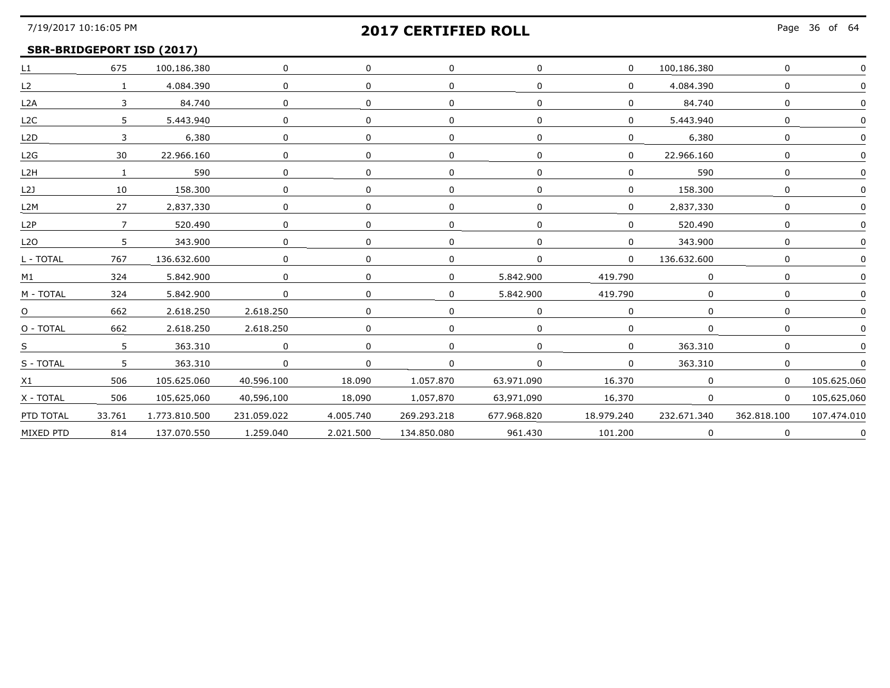### **SBR-BRIDGEPORT ISD (2017)**

| L1               | 675            | 100.186.380   | $\mathbf 0$    | $\mathbf 0$ |              |             | $\mathbf{0}$                | 100.186.380 | $\mathbf{0}$ |             |
|------------------|----------------|---------------|----------------|-------------|--------------|-------------|-----------------------------|-------------|--------------|-------------|
| L2               | $\mathbf{1}$   | 4,084,390     | $\Omega$       | $\Omega$    | 0            |             | $\overline{0}$              | 4,084,390   | $\Omega$     |             |
| L2A              | $\overline{3}$ | 84.740        | $\Omega$       | $\Omega$    | $\Omega$     |             | $\Omega$                    | 84.740      | $\Omega$     |             |
| L <sub>2C</sub>  | 5.             | 5.443.940     | $\Omega$       | $\Omega$    | $\Omega$     |             | 0                           | 5.443.940   | <sup>n</sup> |             |
| L2D              |                | 6.380         |                | $\Omega$    | $\Omega$     |             | 0                           | 6.380       |              |             |
| L2G              | 30             | 22.966.160    | $\Omega$       | $\Omega$    | $\Omega$     |             | 0                           | 22.966.160  | $\Omega$     |             |
| L <sub>2</sub> H |                | 590           | $\Omega$       | $\Omega$    | $\mathbf{0}$ |             | $\Omega$                    | 590         | $\Omega$     |             |
| L2J              | 10             | 158.300       |                |             |              |             | $\Omega$                    | 158.300     |              |             |
| L <sub>2</sub> M | 27             | 2.837.330     | $\Omega$       | $\Omega$    | 0            |             | 0                           | 2.837.330   | <sup>n</sup> |             |
| L2P              | $\overline{7}$ | 520.490       | $\Omega$       | $\Omega$    | $\Omega$     |             | $\Omega$                    | 520.490     | $\Omega$     |             |
| L <sub>20</sub>  | 5              | 343,900       | $\mathbf 0$    | $\Omega$    |              |             | $\mathbf{0}$                | 343,900     | 0            |             |
| L - TOTAL        | 767            | 136.632.600   |                | $\Omega$    | 0            |             | $\overline{0}$              | 136.632.600 |              |             |
| M1               | 324            | 5.842.900     |                | $\Omega$    | $\Omega$     | 5.842.900   | 419.790                     | $\Omega$    | $\Omega$     |             |
| M - TOTAL        | 324            | 5.842.900     | $\overline{0}$ | $\Omega$    | $\Omega$     | 5.842.900   | 419.790                     | $\Omega$    | $\Omega$     |             |
| $\overline{O}$   | 662            | 2.618.250     | 2.618.250      | $\Omega$    | 0            |             |                             | $\Omega$    |              |             |
| O - TOTAL        | 662            | 2,618,250     | 2,618,250      | $\Omega$    | <sup>n</sup> |             | 0                           | $\Omega$    | $\Omega$     |             |
| S                | 5 <sup>1</sup> | 363,310       | $\Omega$       | $\Omega$    | $\Omega$     |             | 0                           | 363,310     | $\Omega$     |             |
| S - TOTAL        | $\frac{5}{2}$  | 363.310       |                | $\Omega$    | $\Omega$     |             | $\Omega$                    | 363.310     | $\Omega$     |             |
| X1               | 506            | 105.625.060   | 40.596.100     | 18.090      | 1.057.870    | 63.971.090  | 16.370                      | $\Omega$    | $\Omega$     | 105.625.060 |
| X - TOTAL        | 506            | 105.625.060   | 40.596.100     | 18.090      | 1.057.870    | 63.971.090  | 16.370                      | $\Omega$    | $\Omega$     | 105.625.060 |
| PTD TOTAL        | 33.761         | 1,773,810,500 | 231.059.022    | 4,005,740   | 269,293,218  | 677.968.820 | 18.979.240                  | 232.671.340 | 362.818.100  | 107.474.010 |
| MIXED PTD        | 814            | 137.070.550   | 1,259,040      | 2,021,500   |              |             | 134.850.080 961.430 101.200 | $\mathbf 0$ | $\Omega$     |             |
|                  |                |               |                |             |              |             |                             |             |              |             |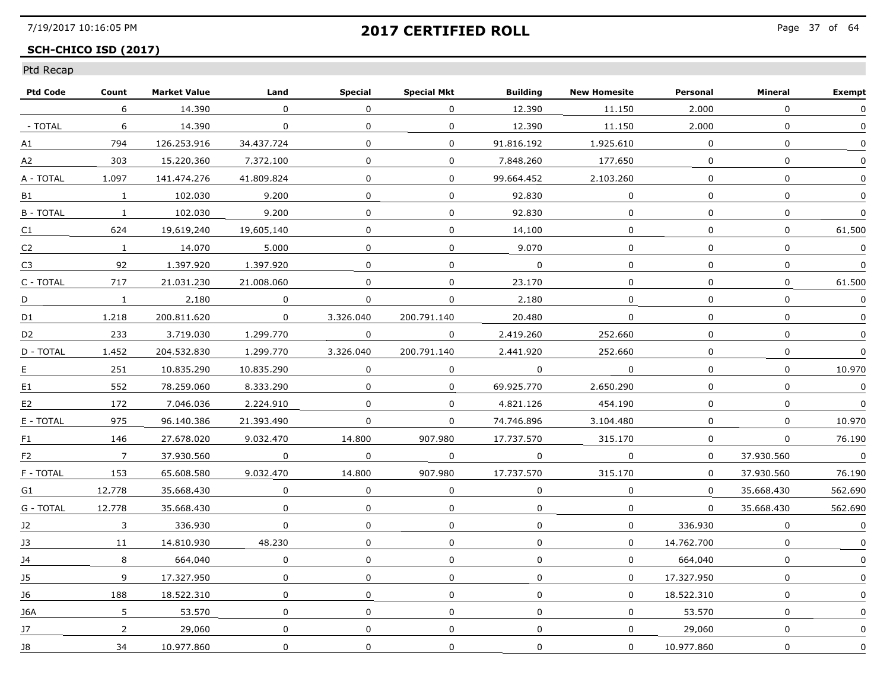## **SCH-CHICO ISD (2017)**

| <b>Ptd Code</b>  | Count           | <b>Market Value</b> | Land         | <b>Special</b> | <b>Special Mkt</b> | <b>Building</b> | <b>New Homesite</b> | Personal     | Mineral      | <b>Exempt</b> |
|------------------|-----------------|---------------------|--------------|----------------|--------------------|-----------------|---------------------|--------------|--------------|---------------|
|                  | 6               | 14,390              | $\mathbf{0}$ | $\Omega$       | $\Omega$           | 12,390          | 11.150              | 2,000        | $\Omega$     | $\mathbf{0}$  |
| - TOTAL          | 6               | 14,390              | 0            | $\mathbf{0}$   | 0                  | 12,390          | 11,150              | 2,000        | $\mathbf 0$  | 0             |
| А1               | 794             | 126.253.916         | 34.437.724   | $\Omega$       | 0                  | 91.816.192      | 1.925.610           | 0            | $\mathbf{0}$ | 0             |
| A2               | 303             | 15.220.360          | 7.372.100    | 0              | 0                  | 7.848.260       | 177.650             | 0            | 0            | $\Omega$      |
| A - TOTAL        | 1.097           | 141.474.276         | 41.809.824   | $\mathbf{0}$   | 0                  | 99.664.452      | 2.103.260           | $\Omega$     | $\mathbf{0}$ | 0             |
| B1               | $\mathbf{1}$    | 102.030             | 9,200        | $\mathbf 0$    | 0                  | 92.830          | 0                   | $\Omega$     | $\mathbf 0$  | $\Omega$      |
| <b>B</b> - TOTAL | $\mathbf{1}$    | 102.030             | 9,200        | $\mathbf 0$    | 0                  | 92.830          | $\mathbf 0$         | $\mathbf 0$  | $\mathbf 0$  |               |
| C <sub>1</sub>   | 624             | 19.619.240          | 19.605.140   | $\Omega$       | 0                  | 14.100          | 0                   | $\Omega$     | 0            | 61.500        |
| C <sub>2</sub>   | $\mathbf{1}$    | 14.070              | 5.000        | $\Omega$       | 0                  | 9.070           | 0                   | $\Omega$     | 0            | $\Omega$      |
| C <sub>3</sub>   | 92              | 1.397.920           | 1.397.920    | $\Omega$       | $\mathbf 0$        | $\Omega$        | $\mathbf 0$         | $\Omega$     | $\mathbf{0}$ | $\Omega$      |
| C - TOTAL        | 717             | 21.031.230          | 21.008.060   | $\Omega$       | 0                  | 23.170          | 0                   | $\Omega$     | $\mathbf 0$  | 61,500        |
| D                | $\mathbf{1}$    | 2.180               | 0            | 0              | 0                  | 2,180           | 0                   | 0            | $\mathbf 0$  | 0             |
| D1               | 1.218           | 200.811.620         | $\Omega$     | 3.326.040      | 200.791.140        | 20.480          | 0                   | $\Omega$     | 0            | 0             |
| D2               | 233             | 3.719.030           | 1.299.770    | $\mathbf 0$    | $\Omega$           | 2.419.260       | 252.660             | $\Omega$     | $\mathbf{0}$ | 0             |
| D - TOTAL        | 1.452           | 204.532.830         | 1.299.770    | 3.326.040      | 200.791.140        | 2.441.920       | 252.660             | $\Omega$     | 0            | $\Omega$      |
| E                | 251             | 10.835.290          | 10.835.290   | 0              | 0                  | $\mathbf 0$     | 0                   | $\mathbf{0}$ | 0            | 10.970        |
| E1               | 552             | 78.259.060          | 8.333.290    | $\Omega$       | $\mathbf 0$        | 69.925.770      | 2.650.290           | $\Omega$     | $\Omega$     | $\mathbf 0$   |
| E <sub>2</sub>   | 172             | 7.046.036           | 2.224.910    | $\Omega$       | 0                  | 4.821.126       | 454.190             | $\Omega$     | 0            | $\mathbf{0}$  |
| E - TOTAL        | 975             | 96.140.386          | 21.393.490   | $\Omega$       | 0                  | 74.746.896      | 3.104.480           | $\Omega$     | 0            | 10.970        |
| F1               | 146             | 27.678.020          | 9.032.470    | 14.800         | 907.980            | 17.737.570      | 315.170             | $\Omega$     | 0            | 76.190        |
| F <sub>2</sub>   | $7\overline{ }$ | 37.930.560          | 0            | $\mathbf 0$    | 0                  | $\mathbf 0$     | $\mathbf 0$         | $\mathbf{0}$ | 37.930.560   | $\mathbf 0$   |
| F - TOTAL        | 153             | 65.608.580          | 9.032.470    | 14,800         | 907.980            | 17.737.570      | 315,170             | $\Omega$     | 37.930.560   | 76.190        |
| G1               | 12.778          | 35.668.430          | 0            | 0              | 0                  | $\Omega$        | 0                   | $\Omega$     | 35.668.430   | 562.690       |
| G - TOTAL        | 12.778          | 35.668.430          | 0            | $\Omega$       | $\Omega$           | $\Omega$        | $\Omega$            | $\Omega$     | 35.668.430   | 562.690       |
| 12               | 3               | 336.930             | 0            | 0              | 0                  | 0               | 0                   | 336.930      | $\Omega$     | $\mathbf 0$   |
| J3               | 11              | 14.810.930          | 48,230       | $\mathbf{0}$   | $\Omega$           | $\Omega$        | 0                   | 14.762.700   | $\mathbf 0$  |               |
| J4               | 8               | 664.040             | $\mathbf 0$  | $\mathbf 0$    | 0                  | 0               | 0                   | 664.040      | $\mathbf 0$  |               |
| 15               | 9               | 17.327.950          | 0            | $\mathbf{0}$   | 0                  | $\Omega$        | $\Omega$            | 17.327.950   | $\mathbf{0}$ | $\Omega$      |
| 16               | 188             | 18.522.310          | 0            | 0              | 0                  | 0               | 0                   | 18.522.310   | 0            | 0             |
| 16A              | 5               | 53.570              | 0            | 0              | 0                  | 0               | 0                   | 53.570       | 0            |               |
| J7               | $\overline{2}$  | 29.060              | $\mathbf 0$  | $\mathbf 0$    | 0                  | $\mathbf 0$     | $\mathbf 0$         | 29,060       | $\mathbf 0$  | 0             |
| J8               | 34              | 10.977.860          | 0            | $\mathbf 0$    | 0                  | $\mathbf 0$     | $\mathbf 0$         | 10.977.860   | 0            | $\mathbf 0$   |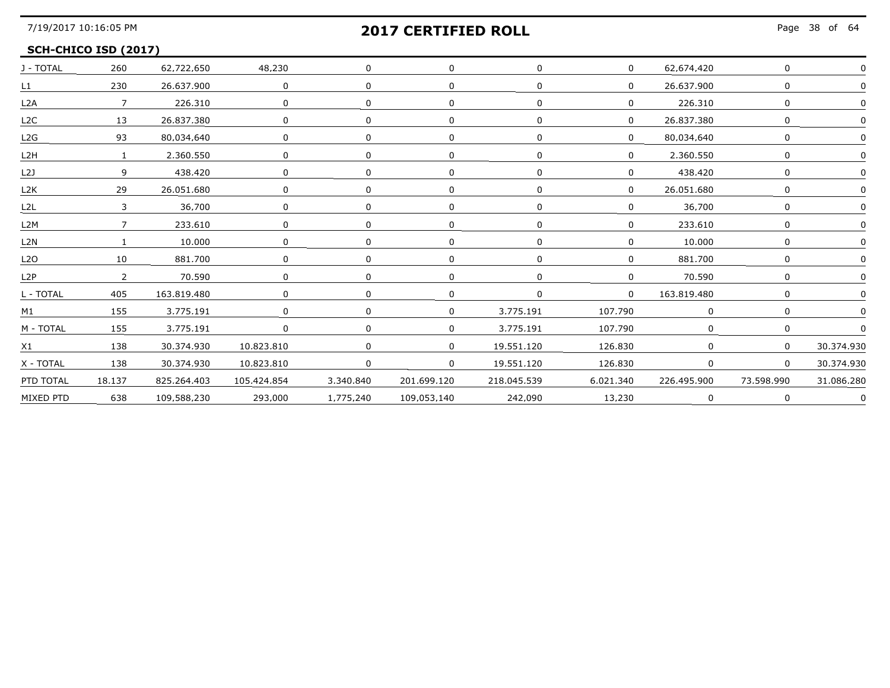Page 38 of 64

### **SCH-CHICO ISD (2017)**

| J - TOTAL        | 260            | 62,722,650  | 48,230       |             |             | $\mathbf 0$ | $\mathbf{0}$ | 62.674.420  | 0              |            |
|------------------|----------------|-------------|--------------|-------------|-------------|-------------|--------------|-------------|----------------|------------|
| L1               | 230            | 26.637.900  | $\mathbf 0$  |             |             |             |              | 26.637.900  | 0              |            |
| L2A              | $\overline{7}$ | 226.310     | 0            |             |             |             |              | 226.310     |                |            |
| L2C              | 13             | 26.837.380  | 0            |             |             |             |              | 26.837.380  |                |            |
| L2G              | 93             | 80.034.640  | $\Omega$     |             |             |             |              | 80.034.640  | $\Omega$       |            |
| L2H              | $\overline{1}$ | 2,360,550   | $\Omega$     | $\Omega$    |             |             |              | 2,360,550   | $\Omega$       |            |
| L2J              | 9              | 438,420     | $\mathbf{0}$ | $\Omega$    | 0           | $\Omega$    |              | 438,420     |                |            |
| L <sub>2</sub> K | 29             | 26.051.680  | $\Omega$     |             |             | $\Omega$    | $\Omega$     | 26.051.680  | 0              |            |
| L2L              | 3              | 36.700      | 0            | 0           |             | $\Omega$    |              | 36.700      |                |            |
| L <sub>2</sub> M |                | 233.610     | 0            |             |             |             |              | 233.610     |                |            |
| L2N              |                | 10,000      | 0            |             |             |             |              | 10,000      | $\Omega$       |            |
| L <sub>2</sub> O | 10             | 881.700     | <sup>0</sup> |             |             | $\Omega$    |              | 881.700     |                |            |
| L2P              | $\overline{2}$ | 70.590      | $\Omega$     |             |             |             |              | 70.590      | $\cap$         |            |
| L - TOTAL        | 405            | 163.819.480 | $\Omega$     |             |             | $\Omega$    | n.           | 163.819.480 |                |            |
| M1               | 155            | 3.775.191   | 0            | $\Omega$    | 0           | 3.775.191   | 107.790      | $\Omega$    | $\Omega$       |            |
| M - TOTAL        | 155            | 3,775,191   | $\mathbf 0$  | $\mathbf 0$ | $\mathbf 0$ | 3.775.191   | 107.790      |             |                |            |
| X1               | 138            | 30.374.930  | 10.823.810   |             |             | 19,551,120  | 126,830      | $\mathbf 0$ | $\overline{0}$ | 30.374.930 |
| X - TOTAL        | 138            | 30.374.930  | 10.823.810   | $\Omega$    | $\Omega$    | 19.551.120  | 126.830      |             | $\Omega$       | 30.374.930 |
| PTD TOTAL        | 18.137         | 825.264.403 | 105.424.854  | 3.340.840   | 201.699.120 | 218.045.539 | 6.021.340    | 226.495.900 | 73.598.990     | 31.086.280 |
| MIXED PTD        | 638            | 109.588.230 | 293.000      | 1.775.240   | 109.053.140 | 242.090     | 13.230       |             |                |            |
|                  |                |             |              |             |             |             |              |             |                |            |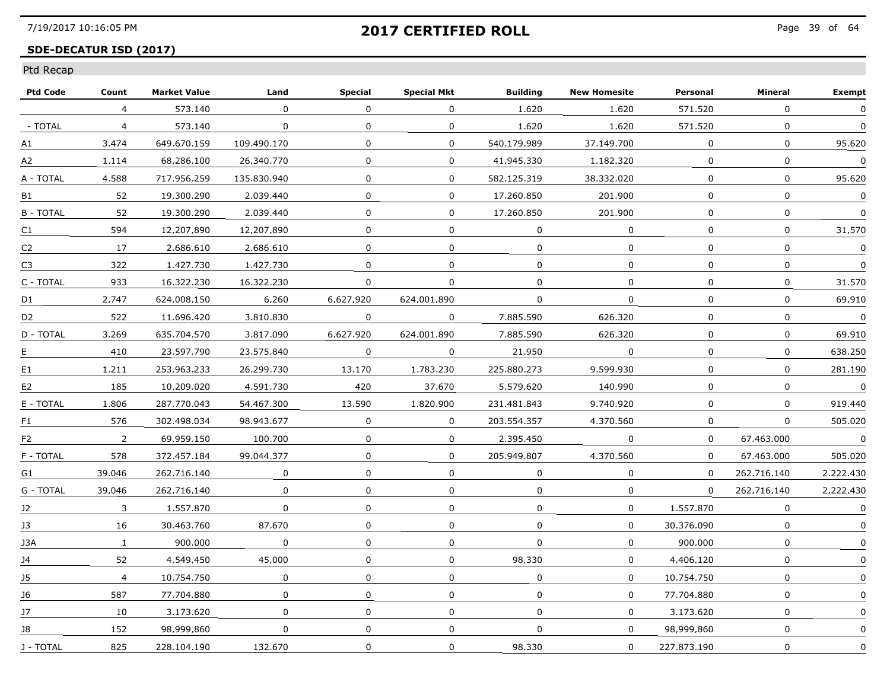### **SDE-DECATUR ISD (2017)**

| 573.140<br>4<br>- TOTAL<br>573,140<br>$\overline{4}$<br>3.474<br>649.670.159<br>A1<br>68.286.100<br>A <sub>2</sub><br>1.114<br>717.956.259<br>A - TOTAL<br>4.588<br>52<br>19,300,290<br>B1<br><b>B-TOTAL</b><br>52<br>19,300,290<br>594<br>12.207.890<br>C1 | $\Omega$<br>$\mathbf 0$<br>109.490.170<br>26.340.770<br>135.830.940<br>2.039.440<br>2.039.440<br>12.207.890<br>2.686.610<br>1.427.730<br>16,322,230 | $\Omega$<br>$\mathbf 0$<br>$\Omega$<br>$\Omega$<br>0<br>$\mathbf{0}$<br>$\mathbf{0}$<br>$\Omega$<br>$\Omega$<br>$\Omega$ | 0<br>$\mathbf 0$<br>0<br>0<br>0<br>$\mathbf{0}$<br>$\Omega$<br>$\Omega$<br>0<br>$\Omega$ | 1,620<br>1.620<br>540.179.989<br>41.945.330<br>582.125.319<br>17.260.850<br>17,260,850<br>$\Omega$<br>$\Omega$ | 1,620<br>1.620<br>37.149.700<br>1.182.320<br>38.332.020<br>201.900<br>201.900<br>0<br>0 | 571.520<br>571.520<br>0<br>$\Omega$<br>0<br>$\mathbf 0$<br>0<br>0<br>$\Omega$ | $\Omega$<br>$\mathbf 0$<br>0<br>$\mathbf 0$<br>0<br>$\mathbf{0}$<br>$\mathbf 0$<br>0<br>$\mathbf 0$ | 0<br>$\Omega$<br>95.620<br>$\Omega$<br>95.620<br>$\mathbf 0$<br>$\Omega$<br>31.570<br>$\Omega$ |
|-------------------------------------------------------------------------------------------------------------------------------------------------------------------------------------------------------------------------------------------------------------|-----------------------------------------------------------------------------------------------------------------------------------------------------|--------------------------------------------------------------------------------------------------------------------------|------------------------------------------------------------------------------------------|----------------------------------------------------------------------------------------------------------------|-----------------------------------------------------------------------------------------|-------------------------------------------------------------------------------|-----------------------------------------------------------------------------------------------------|------------------------------------------------------------------------------------------------|
|                                                                                                                                                                                                                                                             |                                                                                                                                                     |                                                                                                                          |                                                                                          |                                                                                                                |                                                                                         |                                                                               |                                                                                                     |                                                                                                |
|                                                                                                                                                                                                                                                             |                                                                                                                                                     |                                                                                                                          |                                                                                          |                                                                                                                |                                                                                         |                                                                               |                                                                                                     |                                                                                                |
|                                                                                                                                                                                                                                                             |                                                                                                                                                     |                                                                                                                          |                                                                                          |                                                                                                                |                                                                                         |                                                                               |                                                                                                     |                                                                                                |
|                                                                                                                                                                                                                                                             |                                                                                                                                                     |                                                                                                                          |                                                                                          |                                                                                                                |                                                                                         |                                                                               |                                                                                                     |                                                                                                |
|                                                                                                                                                                                                                                                             |                                                                                                                                                     |                                                                                                                          |                                                                                          |                                                                                                                |                                                                                         |                                                                               |                                                                                                     |                                                                                                |
|                                                                                                                                                                                                                                                             |                                                                                                                                                     |                                                                                                                          |                                                                                          |                                                                                                                |                                                                                         |                                                                               |                                                                                                     |                                                                                                |
|                                                                                                                                                                                                                                                             |                                                                                                                                                     |                                                                                                                          |                                                                                          |                                                                                                                |                                                                                         |                                                                               |                                                                                                     |                                                                                                |
|                                                                                                                                                                                                                                                             |                                                                                                                                                     |                                                                                                                          |                                                                                          |                                                                                                                |                                                                                         |                                                                               |                                                                                                     |                                                                                                |
| 17<br>2.686.610<br>C2                                                                                                                                                                                                                                       |                                                                                                                                                     |                                                                                                                          |                                                                                          |                                                                                                                |                                                                                         |                                                                               |                                                                                                     |                                                                                                |
| 322<br>1.427.730<br>C <sub>3</sub>                                                                                                                                                                                                                          |                                                                                                                                                     |                                                                                                                          |                                                                                          | $\Omega$                                                                                                       | $\mathbf 0$                                                                             | 0                                                                             | $\mathbf 0$                                                                                         | $\Omega$                                                                                       |
| C - TOTAL<br>933<br>16,322,230                                                                                                                                                                                                                              |                                                                                                                                                     | $\Omega$                                                                                                                 | 0                                                                                        | $\mathbf 0$                                                                                                    | $\mathbf{0}$                                                                            | 0                                                                             | $\mathbf 0$                                                                                         | 31.570                                                                                         |
| 2.747<br>624.008.150<br>D1                                                                                                                                                                                                                                  | 6,260                                                                                                                                               | 6.627.920                                                                                                                | 624.001.890                                                                              | $\Omega$                                                                                                       | $\mathbf{0}$                                                                            | 0                                                                             | 0                                                                                                   | 69.910                                                                                         |
| 522<br>11.696.420<br>D <sub>2</sub>                                                                                                                                                                                                                         | 3.810.830                                                                                                                                           | $\Omega$                                                                                                                 | $\Omega$                                                                                 | 7.885.590                                                                                                      | 626.320                                                                                 | $\Omega$                                                                      | $\mathbf 0$                                                                                         | $\Omega$                                                                                       |
| D - TOTAL<br>3.269<br>635.704.570                                                                                                                                                                                                                           | 3.817.090                                                                                                                                           | 6.627.920                                                                                                                | 624.001.890                                                                              | 7.885.590                                                                                                      | 626.320                                                                                 | $\mathbf{0}$                                                                  | $\mathbf 0$                                                                                         | 69.910                                                                                         |
| 410<br>23.597.790<br>E.                                                                                                                                                                                                                                     | 23.575.840                                                                                                                                          | $\Omega$                                                                                                                 | $\Omega$                                                                                 | 21.950                                                                                                         | $\Omega$                                                                                | 0                                                                             | 0                                                                                                   | 638.250                                                                                        |
| 253.963.233<br>E1<br>1.211                                                                                                                                                                                                                                  | 26.299.730                                                                                                                                          | 13,170                                                                                                                   | 1,783,230                                                                                | 225.880.273                                                                                                    | 9.599.930                                                                               | 0                                                                             | $\mathbf 0$                                                                                         | 281.190                                                                                        |
| 185<br>10.209.020<br>E <sub>2</sub>                                                                                                                                                                                                                         | 4.591.730                                                                                                                                           | 420                                                                                                                      | 37.670                                                                                   | 5.579.620                                                                                                      | 140.990                                                                                 | $\mathbf{0}$                                                                  | 0                                                                                                   | $\mathbf 0$                                                                                    |
| E - TOTAL<br>1.806<br>287.770.043                                                                                                                                                                                                                           | 54.467.300                                                                                                                                          | 13.590                                                                                                                   | 1.820.900                                                                                | 231.481.843                                                                                                    | 9.740.920                                                                               | $\Omega$                                                                      | $\boldsymbol{0}$                                                                                    | 919.440                                                                                        |
| 576<br>302.498.034<br>F1                                                                                                                                                                                                                                    | 98.943.677                                                                                                                                          | $\Omega$                                                                                                                 | 0                                                                                        | 203.554.357                                                                                                    | 4.370.560                                                                               | 0                                                                             | 0                                                                                                   | 505.020                                                                                        |
| 69.959.150<br>F <sub>2</sub><br>$\overline{2}$                                                                                                                                                                                                              | 100.700                                                                                                                                             | $\Omega$                                                                                                                 | 0                                                                                        | 2.395.450                                                                                                      | $\Omega$                                                                                | $\Omega$                                                                      | 67.463.000                                                                                          | $\Omega$                                                                                       |
| F - TOTAL<br>578<br>372.457.184                                                                                                                                                                                                                             | 99.044.377                                                                                                                                          | $\mathbf 0$                                                                                                              | 0                                                                                        | 205.949.807                                                                                                    | 4,370,560                                                                               | $\mathbf{0}$                                                                  | 67.463.000                                                                                          | 505.020                                                                                        |
| 39.046<br>262.716.140<br>G1                                                                                                                                                                                                                                 | $\mathbf 0$                                                                                                                                         | $\mathbf 0$                                                                                                              | 0                                                                                        | $\mathbf 0$                                                                                                    | $\mathbf{0}$                                                                            | $\mathbf{0}$                                                                  | 262.716.140                                                                                         | 2.222.430                                                                                      |
| G - TOTAL<br>39.046<br>262.716.140                                                                                                                                                                                                                          | $\Omega$                                                                                                                                            | 0                                                                                                                        | 0                                                                                        | 0                                                                                                              | 0                                                                                       | $\Omega$                                                                      | 262.716.140                                                                                         | 2.222.430                                                                                      |
| 1.557.870<br>12<br>3                                                                                                                                                                                                                                        | $\Omega$                                                                                                                                            | $\Omega$                                                                                                                 | 0                                                                                        | $\Omega$                                                                                                       | $\Omega$                                                                                | 1.557.870                                                                     | 0                                                                                                   | $\Omega$                                                                                       |
| 13<br>16<br>30.463.760                                                                                                                                                                                                                                      | 87.670                                                                                                                                              | $\Omega$                                                                                                                 | 0                                                                                        | $\Omega$                                                                                                       | $\Omega$                                                                                | 30.376.090                                                                    | 0                                                                                                   | $\Omega$                                                                                       |
| 900.000<br>J3A<br>$\mathbf{1}$                                                                                                                                                                                                                              | 0                                                                                                                                                   | $\mathbf 0$                                                                                                              | 0                                                                                        | $\mathbf{0}$                                                                                                   | $\mathbf{0}$                                                                            | 900.000                                                                       | $\mathbf 0$                                                                                         | $\Omega$                                                                                       |
| 52<br>4,549,450<br>J4                                                                                                                                                                                                                                       | 45,000                                                                                                                                              | 0                                                                                                                        | 0                                                                                        | 98,330                                                                                                         | $\mathbf{0}$                                                                            | 4.406.120                                                                     | $\mathbf 0$                                                                                         |                                                                                                |
| $\overline{4}$<br>10.754.750<br>15                                                                                                                                                                                                                          | $\Omega$                                                                                                                                            | $\Omega$                                                                                                                 | $\Omega$                                                                                 | $\Omega$                                                                                                       | $\Omega$                                                                                | 10.754.750                                                                    | $\mathbf 0$                                                                                         | $\Omega$                                                                                       |
| 587<br>16<br>77.704.880                                                                                                                                                                                                                                     | 0                                                                                                                                                   | $\mathbf{0}$                                                                                                             | $\Omega$                                                                                 | $\Omega$                                                                                                       | $\Omega$                                                                                | 77.704.880                                                                    | $\mathbf{0}$                                                                                        | $\Omega$                                                                                       |
| 17<br>10<br>3.173.620                                                                                                                                                                                                                                       | 0                                                                                                                                                   | 0                                                                                                                        | 0                                                                                        | $\Omega$                                                                                                       | $\Omega$                                                                                | 3.173.620                                                                     | $\mathbf 0$                                                                                         | $\Omega$                                                                                       |
| 152<br>98.999.860<br>J8                                                                                                                                                                                                                                     | $\mathbf 0$                                                                                                                                         | $\Omega$                                                                                                                 | 0                                                                                        | $\mathbf 0$                                                                                                    | $\mathbf{0}$                                                                            | 98.999.860                                                                    | $\mathbf 0$                                                                                         | $\Omega$                                                                                       |
| 825<br>J - TOTAL<br>228.104.190                                                                                                                                                                                                                             | 132.670                                                                                                                                             | $\mathbf 0$                                                                                                              | 0                                                                                        | 98,330                                                                                                         | $\mathbf 0$                                                                             | 227.873.190                                                                   | $\mathbf 0$                                                                                         | $\mathbf 0$                                                                                    |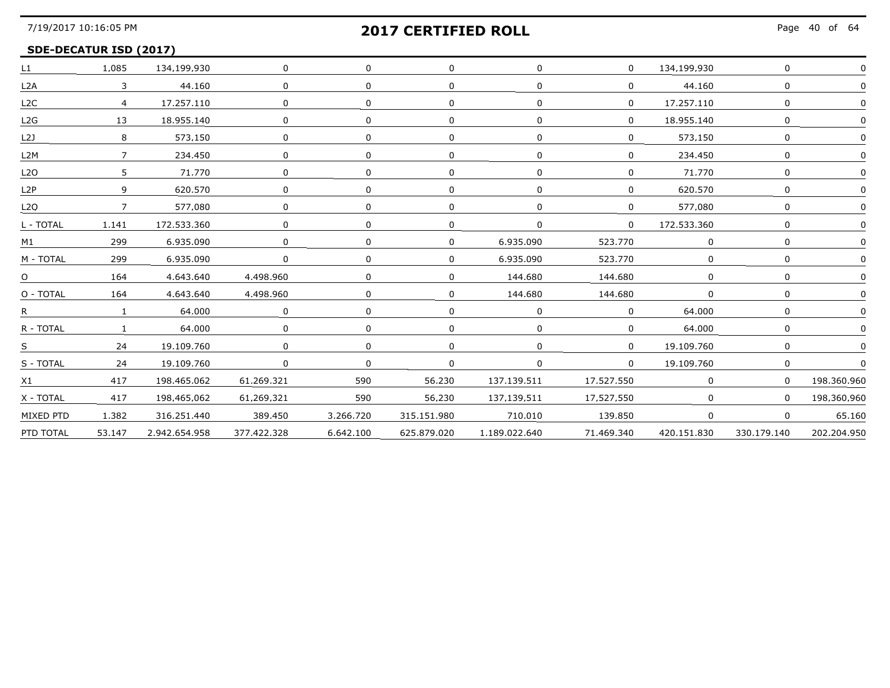## **SDE-DECATUR ISD (2017)**

| L1               | 1.085          | 134,199,930   | $\mathbf 0$ | $\Omega$     |              |               | $\overline{0}$ | 134,199,930    |                |             |
|------------------|----------------|---------------|-------------|--------------|--------------|---------------|----------------|----------------|----------------|-------------|
| L2A              | $\mathbf{3}$   | 44,160        | 0           | $\Omega$     | <sup>n</sup> |               | $\Omega$       | 44,160         |                |             |
| L2C              | $\overline{4}$ | 17.257.110    | $\Omega$    | $\Omega$     | $\Omega$     | <sup>n</sup>  | $\Omega$       | 17.257.110     |                |             |
| L2G              | 13             | 18.955.140    | $\Omega$    | $\Omega$     | $\Omega$     |               | $\Omega$       | 18.955.140     |                |             |
| L21              |                | 573.150       | 0           | $\Omega$     |              |               | 0              | 573.150        |                |             |
| L2M              |                | 234,450       | $\Omega$    | $\Omega$     |              |               | $\Omega$       | 234,450        |                |             |
| L2O              | 5.             | 71.770        | 0           | $\Omega$     | $\Omega$     |               | $\Omega$       | 71,770         |                |             |
| L2P              | 9              | 620.570       |             |              |              |               | $\Omega$       | 620.570        |                |             |
| L2O              | $\overline{7}$ | 577.080       | 0           | <sup>n</sup> | 0            |               | $\Omega$       | 577.080        |                |             |
| L - TOTAL        | 1.141          | 172.533.360   | $\Omega$    | $\Omega$     | $\Omega$     | <sup>n</sup>  | $\Omega$       | 172.533.360    | n              |             |
| M1               | 299            | 6.935.090     | 0           | $\Omega$     |              | 6.935.090     | 523,770        | 0              | 0              |             |
| M - TOTAL        | 299            | 6,935,090     | $\Omega$    | $\Omega$     | $\mathbf{0}$ | 6.935.090     | 523,770        |                |                |             |
| $\Omega$         | 164            | 4.643.640     | 4.498.960   | $\cap$       | <sup>n</sup> | 144.680       | 144.680        | <sup>n</sup>   |                |             |
| O - TOTAL        | 164            | 4.643.640     | 4.498.960   | $\Omega$     | $\Omega$     | 144.680       | 144.680        |                |                |             |
| $R_{\text{max}}$ |                | 64.000        | $\Omega$    | $\Omega$     | 0            |               | $\Omega$       | 64.000         |                |             |
| R - TOTAL        |                | 64,000        | $\Omega$    | $\Omega$     |              |               | $\Omega$       | 64,000         |                |             |
| S                | 24             | 19,109,760    | $\Omega$    | $\Omega$     | $\Omega$     |               | $\Omega$       | 19,109,760     |                |             |
| S - TOTAL        | 24             | 19.109.760    | $\Omega$    | $\Omega$     | $\Omega$     | $\Omega$      | $\mathbf{0}$   | 19.109.760     |                |             |
| X1               | 417            | 198.465.062   | 61.269.321  | 590          | 56.230       | 137.139.511   | 17.527.550     |                |                | 198.360.960 |
| X - TOTAL        | 417            | 198.465.062   | 61.269.321  | 590          | 56.230       | 137.139.511   | 17.527.550     | n.             |                | 198.360.960 |
| MIXED PTD        | 1,382          | 316,251,440   | 389,450     | 3,266,720    | 315.151.980  | 710.010       | 139,850        | $\overline{0}$ | $\overline{0}$ | 65.160      |
| PTD TOTAL        | 53.147         | 2.942.654.958 | 377.422.328 | 6,642,100    | 625.879.020  | 1,189,022,640 | 71.469.340     | 420.151.830    | 330.179.140    | 202.204.950 |
|                  |                |               |             |              |              |               |                |                |                |             |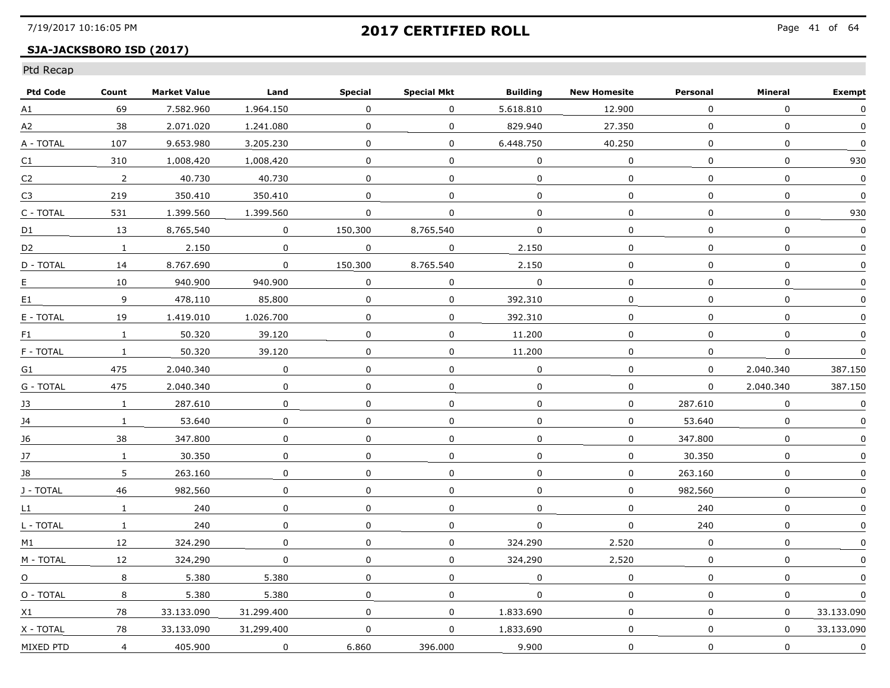### **SJA-JACKSBORO ISD (2017)**

| <b>Ptd Code</b> | Count          | <b>Market Value</b> | Land        | <b>Special</b> | <b>Special Mkt</b> | <b>Building</b> | <b>New Homesite</b> | Personal     | Mineral     | <b>Exempt</b> |
|-----------------|----------------|---------------------|-------------|----------------|--------------------|-----------------|---------------------|--------------|-------------|---------------|
| A1              | 69             | 7.582.960           | 1.964.150   | $\mathbf{0}$   | $\Omega$           | 5,618,810       | 12,900              | 0            | $\Omega$    | $\mathbf{0}$  |
| A2              | 38             | 2.071.020           | 1,241,080   | $\mathbf 0$    | $\mathbf 0$        | 829.940         | 27.350              | $\mathbf 0$  | $\mathbf 0$ | $\mathbf 0$   |
| A - TOTAL       | 107            | 9.653.980           | 3.205.230   | $\Omega$       | 0                  | 6.448.750       | 40.250              | 0            | 0           | $\Omega$      |
| C1              | 310            | 1.008.420           | 1.008.420   | 0              | 0                  | 0               | 0                   | 0            | 0           | 930           |
| C2              | 2              | 40.730              | 40.730      | 0              | 0                  | $\Omega$        | 0                   | 0            | 0           | 0             |
| C3              | 219            | 350.410             | 350.410     | $\mathbf{0}$   | $\mathbf 0$        | $\mathbf{0}$    | $\Omega$            | $\Omega$     | $\mathbf 0$ | $\Omega$      |
| C - TOTAL       | 531            | 1,399,560           | 1.399.560   | $\Omega$       | $\mathbf 0$        | $\Omega$        | $\mathbf 0$         | $\Omega$     | $\mathbf 0$ | 930           |
| D1              | 13             | 8.765.540           | 0           | 150.300        | 8.765.540          | $\Omega$        | 0                   | 0            | 0           | 0             |
| D <sub>2</sub>  | $\mathbf{1}$   | 2.150               | $\Omega$    | 0              | 0                  | 2.150           | 0                   | 0            | 0           | 0             |
| D - TOTAL       | 14             | 8.767.690           | 0           | 150.300        | 8.765.540          | 2.150           | 0                   | 0            | $\Omega$    | $\Omega$      |
| Е               | 10             | 940.900             | 940.900     | 0              | 0                  | $\mathbf 0$     | $\mathbf 0$         | $\Omega$     | $\mathbf 0$ |               |
| E1              | 9              | 478.110             | 85,800      | 0              | 0                  | 392,310         | $\mathbf 0$         | 0            | $\mathbf 0$ |               |
| E - TOTAL       | 19             | 1.419.010           | 1.026.700   | 0              | $\Omega$           | 392.310         | $\Omega$            | $\Omega$     | 0           | $\Omega$      |
| F1              | $\mathbf{1}$   | 50.320              | 39.120      | 0              | 0                  | 11.200          | $\mathbf 0$         | $\mathbf{0}$ | 0           | $\Omega$      |
| F - TOTAL       | $\mathbf{1}$   | 50.320              | 39.120      | 0              | 0                  | 11.200          | 0                   | 0            | 0           | $\Omega$      |
| G1              | 475            | 2.040.340           | 0           | $\mathbf 0$    | 0                  | $\mathbf{0}$    | $\mathbf 0$         | $\mathbf{0}$ | 2.040.340   | 387.150       |
| G - TOTAL       | 475            | 2.040.340           | $\Omega$    | $\mathbf 0$    | $\mathbf 0$        | $\mathbf 0$     | 0                   | $\mathbf{0}$ | 2.040.340   | 387.150       |
| 13              | $\mathbf{1}$   | 287.610             | 0           | $\mathbf{0}$   | 0                  | $\Omega$        | 0                   | 287.610      | 0           | 0             |
| 14              | $\mathbf{1}$   | 53.640              | 0           | 0              | 0                  | 0               | 0                   | 53.640       | 0           |               |
| 16              | 38             | 347.800             | 0           | 0              | 0                  | 0               | 0                   | 347.800      | 0           | 0             |
| J7              | $\mathbf{1}$   | 30.350              | $\mathbf 0$ | $\mathbf 0$    | $\mathbf 0$        | $\mathbf 0$     | $\mathbf 0$         | 30.350       | $\mathbf 0$ | $\Omega$      |
| J8              | 5              | 263.160             | 0           | $\mathbf 0$    | 0                  | $\Omega$        | 0                   | 263.160      | 0           | $\Omega$      |
| J - TOTAL       | 46             | 982.560             | 0           | 0              | 0                  | 0               | 0                   | 982.560      | 0           | 0             |
| L1              | $\mathbf{1}$   | 240                 | $\Omega$    | 0              | $\Omega$           | $\Omega$        | $\Omega$            | 240          | 0           | 0             |
| L - TOTAL       | $\mathbf{1}$   | 240                 | $\Omega$    | $\mathbf{0}$   | 0                  | $\mathbf{0}$    | $\Omega$            | 240          | $\Omega$    | $\Omega$      |
| M1              | 12             | 324,290             | $\Omega$    | $\Omega$       | $\mathbf{0}$       | 324,290         | 2,520               | 0            | $\mathbf 0$ | O             |
| M - TOTAL       | 12             | 324,290             | 0           | $\mathbf 0$    | 0                  | 324,290         | 2.520               | 0            | $\mathbf 0$ | $\Omega$      |
| $\Omega$        | 8              | 5.380               | 5.380       | 0              | $\mathbf{0}$       | $\Omega$        | $\mathbf 0$         | 0            | 0           | $\Omega$      |
| O - TOTAL       | 8              | 5.380               | 5.380       | 0              | 0                  | 0               | 0                   | $\Omega$     | 0           | $\Omega$      |
| X1              | 78             | 33.133.090          | 31.299.400  | $\Omega$       | 0                  | 1.833.690       | 0                   | 0            | 0           | 33.133.090    |
| X - TOTAL       | 78             | 33.133.090          | 31.299.400  | $\mathbf 0$    | $\mathbf 0$        | 1.833.690       | 0                   | $\mathbf 0$  | $\mathbf 0$ | 33.133.090    |
| MIXED PTD       | $\overline{4}$ | 405.900             | $\mathbf 0$ | 6.860          | 396.000            | 9,900           | $\mathbf 0$         | 0            | $\mathbf 0$ | $\pmb{0}$     |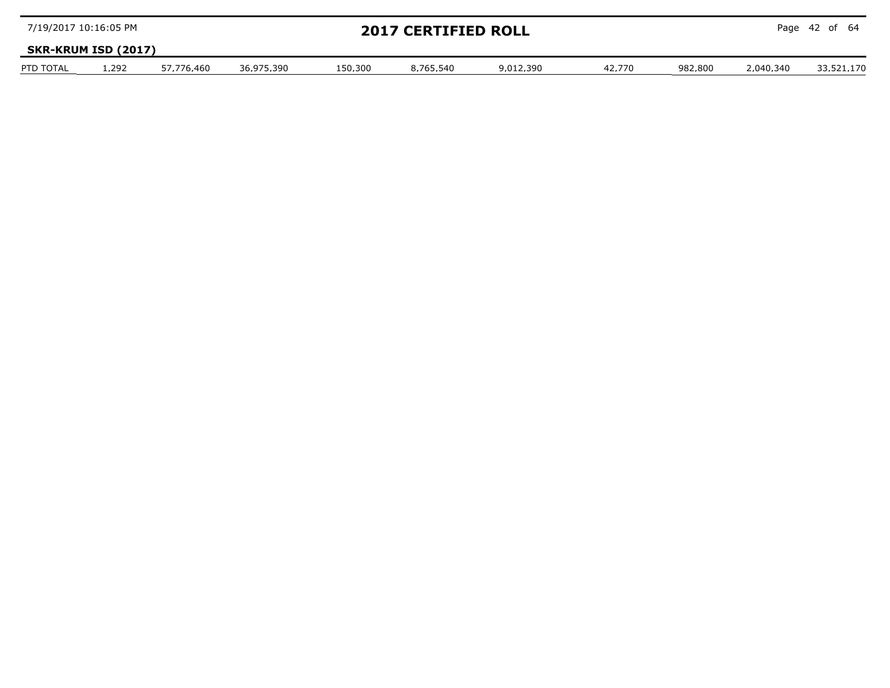| 7/19/2017 10:16:05 PM |                            |            |            | <b>2017 CERTIFIED ROLL</b> |           |           |        |         | Page 42 of 64 |            |  |  |
|-----------------------|----------------------------|------------|------------|----------------------------|-----------|-----------|--------|---------|---------------|------------|--|--|
|                       | <b>SKR-KRUM ISD (2017)</b> |            |            |                            |           |           |        |         |               |            |  |  |
| PTD TOTAL             | .292                       | 57.776.460 | 36.975.390 | 150.300                    | 8.765.540 | 9.012.390 | 42.770 | 982.800 | 2.040.340     | 33.521.170 |  |  |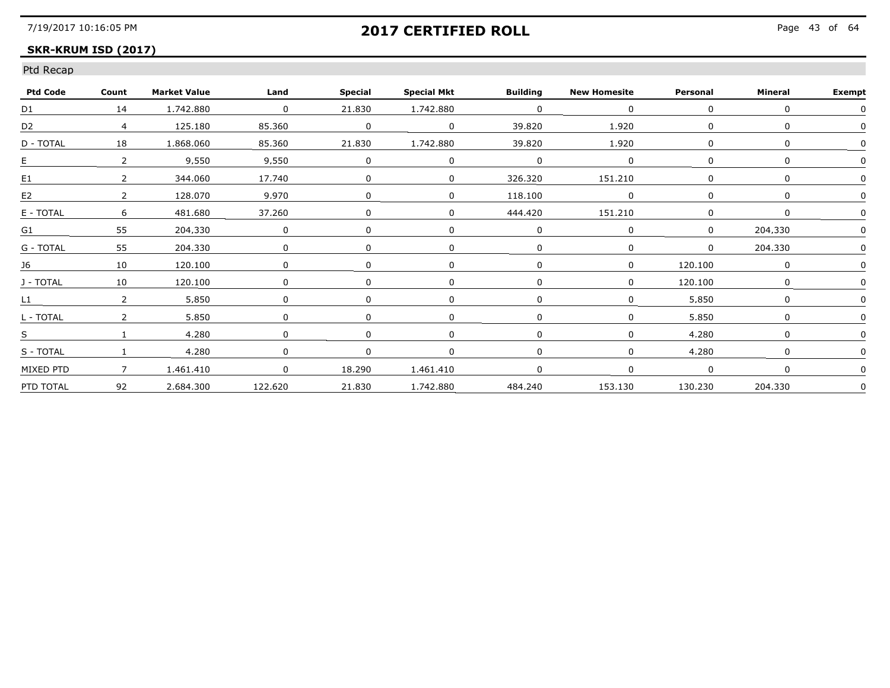## **SKR-KRUM ISD (2017)**

| <b>Ptd Code</b> | Count         | <b>Market Value</b> | Land                     | <b>Special</b> | <b>Special Mkt</b> | <b>Building</b>   | <b>New Homesite</b> | Personal | Mineral | <b>Exempt</b> |
|-----------------|---------------|---------------------|--------------------------|----------------|--------------------|-------------------|---------------------|----------|---------|---------------|
| D1              | 14            | 1,742,880           | $\overline{\phantom{0}}$ | 21.830         | 1,742,880          | $\Omega$          |                     |          |         |               |
| D2              | 4             | 125,180             | 85,360                   | $\Omega$       |                    | 39,820            | 1,920               |          |         |               |
| D - TOTAL       | 18            | 1.868.060           | 85.360                   | 21.830         | 1.742.880          | 39.820            | 1.920               |          |         |               |
| E               |               | 9.550               | 9.550                    |                |                    |                   |                     |          |         |               |
| E <sub>1</sub>  |               | 344.060             | 17.740                   |                |                    | 326.320           | 151.210             |          |         |               |
| E2              |               | 128.070             | 9,970                    |                |                    | 118,100           |                     |          |         |               |
| E - TOTAL       | 6             | 481.680             | 37,260                   |                |                    | 444,420           | 151.210             |          |         |               |
| G1              | 55            | 204.330             | 0                        |                |                    |                   |                     |          | 204.330 |               |
| G - TOTAL       | 55            | 204,330             |                          |                |                    |                   |                     |          | 204,330 |               |
| 16              | 10            | 120.100             | 0                        |                |                    |                   |                     | 120.100  |         |               |
| J - TOTAL       | 10            | 120.100             | 0                        |                |                    |                   |                     | 120,100  |         |               |
| L1              | $\mathcal{P}$ | 5.850               | <sup>0</sup>             |                |                    |                   |                     | 5,850    | ∩       |               |
| L - TOTAL       | $\mathcal{P}$ | 5.850               | $\Omega$                 |                |                    |                   |                     | 5.850    |         |               |
| S               |               | 4.280               |                          |                |                    |                   |                     | 4.280    |         |               |
| S - TOTAL       |               | 4.280               | $\Omega$                 |                |                    |                   |                     | 4.280    |         |               |
| MIXED PTD       |               | 1,461,410           | $\Omega$                 | 18,290         | 1.461.410          |                   |                     |          |         |               |
| PTD TOTAL       | 92            | 2.684.300           | 122,620                  | 21,830         |                    | 1.742.880 484.240 | 153.130             | 130.230  | 204,330 | 0             |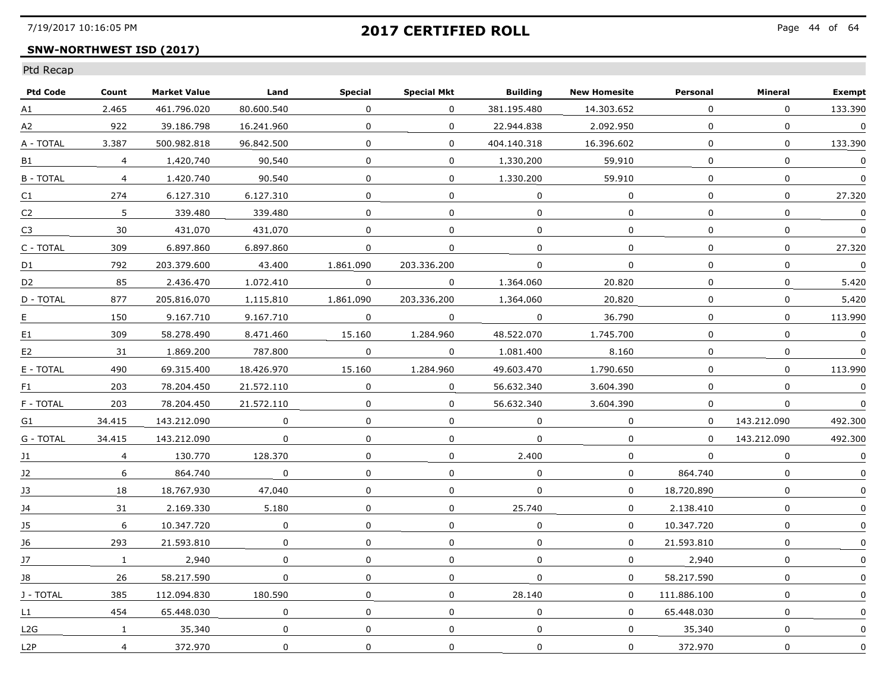## **SNW-NORTHWEST ISD (2017)**

| <b>Ptd Code</b>  | Count          | <b>Market Value</b> | Land        | <b>Special</b> | <b>Special Mkt</b> | <b>Building</b> | <b>New Homesite</b> | Personal     | Mineral        | <b>Exempt</b>    |
|------------------|----------------|---------------------|-------------|----------------|--------------------|-----------------|---------------------|--------------|----------------|------------------|
| A1               | 2.465          | 461.796.020         | 80.600.540  | $\mathbf 0$    | $\mathbf{0}$       | 381.195.480     | 14,303,652          | $\mathbf{0}$ | $\mathbf 0$    | 133,390          |
| A2               | 922            | 39.186.798          | 16.241.960  | $\mathbf{0}$   | $\mathbf{0}$       | 22.944.838      | 2.092.950           | $\mathbf{0}$ | $\mathbf 0$    | $\mathbf 0$      |
| A - TOTAL        | 3.387          | 500.982.818         | 96.842.500  | $\Omega$       | $\Omega$           | 404.140.318     | 16.396.602          | 0            | 0              | 133.390          |
| B1               | $\overline{4}$ | 1.420.740           | 90.540      | $\Omega$       | 0                  | 1.330.200       | 59.910              | 0            | $\mathbf{0}$   | 0                |
| <b>B-TOTAL</b>   | $\overline{4}$ | 1.420.740           | 90.540      | $\Omega$       | 0                  | 1.330.200       | 59.910              | 0            | 0              | $\Omega$         |
| C1               | 274            | 6.127.310           | 6.127.310   | 0              | 0                  | $\mathbf 0$     | $\mathbf 0$         | 0            | $\mathbf 0$    | 27,320           |
| C <sub>2</sub>   | 5              | 339.480             | 339.480     | $\Omega$       | 0                  | $\mathbf 0$     | $\Omega$            | 0            | $\mathbf 0$    | $\mathbf 0$      |
| C <sub>3</sub>   | 30             | 431.070             | 431.070     | $\Omega$       | 0                  | 0               | 0                   | 0            | 0              | 0                |
| C - TOTAL        | 309            | 6.897.860           | 6.897.860   | 0              | 0                  | $\Omega$        | 0                   | 0            | $\Omega$       | 27.320           |
| D1               | 792            | 203.379.600         | 43.400      | 1.861.090      | 203.336.200        | $\Omega$        | $\Omega$            | $\Omega$     | 0              | $\boldsymbol{0}$ |
| D <sub>2</sub>   | 85             | 2.436.470           | 1.072.410   | $\overline{0}$ | $\bf{0}$           | 1,364,060       | 20,820              | 0            | $\mathbf 0$    | 5.420            |
| D - TOTAL        | 877            | 205.816.070         | 1.115.810   | 1,861,090      | 203.336.200        | 1.364.060       | 20,820              | 0            | 0              | 5,420            |
| Ε.               | 150            | 9.167.710           | 9.167.710   | $\Omega$       | $\Omega$           | $\Omega$        | 36.790              | $\Omega$     | $\overline{0}$ | 113.990          |
| E1               | 309            | 58.278.490          | 8.471.460   | 15.160         | 1.284.960          | 48.522.070      | 1.745.700           | 0            | $\mathbf{0}$   | $\boldsymbol{0}$ |
| E <sub>2</sub>   | 31             | 1.869.200           | 787.800     | $\Omega$       | $\Omega$           | 1.081.400       | 8.160               | 0            | 0              | 0                |
| E - TOTAL        | 490            | 69.315.400          | 18,426,970  | 15,160         | 1.284.960          | 49.603.470      | 1,790,650           | 0            | 0              | 113,990          |
| F1               | 203            | 78.204.450          | 21,572,110  | $\mathbf 0$    | 0                  | 56.632.340      | 3.604.390           | $\mathbf{0}$ | $\Omega$       | $\mathbf 0$      |
| F - TOTAL        | 203            | 78.204.450          | 21.572.110  | $\Omega$       | $\overline{0}$     | 56.632.340      | 3.604.390           | 0            | $\mathbf{0}$   | $\Omega$         |
| G1               | 34.415         | 143.212.090         | $\Omega$    | $\Omega$       | 0                  | $\Omega$        | 0                   | 0            | 143.212.090    | 492.300          |
| G - TOTAL        | 34.415         | 143.212.090         | $\Omega$    | $\Omega$       | 0                  | $\Omega$        | $\Omega$            | $\Omega$     | 143.212.090    | 492.300          |
| J1               | $\overline{4}$ | 130.770             | 128,370     | 0              | 0                  | 2,400           | 0                   | $\mathbf 0$  | $\mathbf 0$    | $\pmb{0}$        |
| J2               | 6              | 864,740             | $\mathbf 0$ | 0              | 0                  | 0               | $\mathbf{0}$        | 864.740      | 0              | $\mathbf 0$      |
| 13               | 18             | 18.767.930          | 47.040      | $\Omega$       | 0                  | $\Omega$        | $\Omega$            | 18.720.890   | $\Omega$       |                  |
| 14               | 31             | 2.169.330           | 5.180       | $\Omega$       | 0                  | 25.740          | $\Omega$            | 2.138.410    | $\Omega$       | $\Omega$         |
| 15               | 6              | 10.347.720          | 0           | $\Omega$       | $\Omega$           | $\Omega$        | $\Omega$            | 10.347.720   | $\mathbf{0}$   | $\Omega$         |
| J6               | 293            | 21.593.810          | 0           | $\Omega$       | 0                  | $\Omega$        | $\mathbf 0$         | 21.593.810   | $\mathbf 0$    | 0                |
| J7               | $\mathbf{1}$   | 2.940               | 0           | 0              | 0                  | $\Omega$        | $\mathbf{0}$        | 2,940        | $\mathbf 0$    | $\Omega$         |
| 18               | 26             | 58.217.590          | $\Omega$    | $\Omega$       | 0                  | 0               | $\Omega$            | 58.217.590   | 0              | $\Omega$         |
| J - TOTAL        | 385            | 112.094.830         | 180.590     | 0              | 0                  | 28.140          | $\Omega$            | 111.886.100  | 0              | 0                |
| L1               | 454            | 65.448.030          | 0           | $\Omega$       | 0                  | $\Omega$        | 0                   | 65.448.030   | 0              | 0                |
| L2G              | $\mathbf{1}$   | 35,340              | $\mathbf 0$ | $\mathbf{0}$   | 0                  | $\mathbf 0$     | $\mathbf{0}$        | 35,340       | 0              | $\Omega$         |
| L <sub>2</sub> P | $\overline{4}$ | 372.970             | 0           | $\mathbf 0$    | 0                  | $\mathbf 0$     | $\mathbf 0$         | 372,970      | $\mathbf 0$    | $\mathbf 0$      |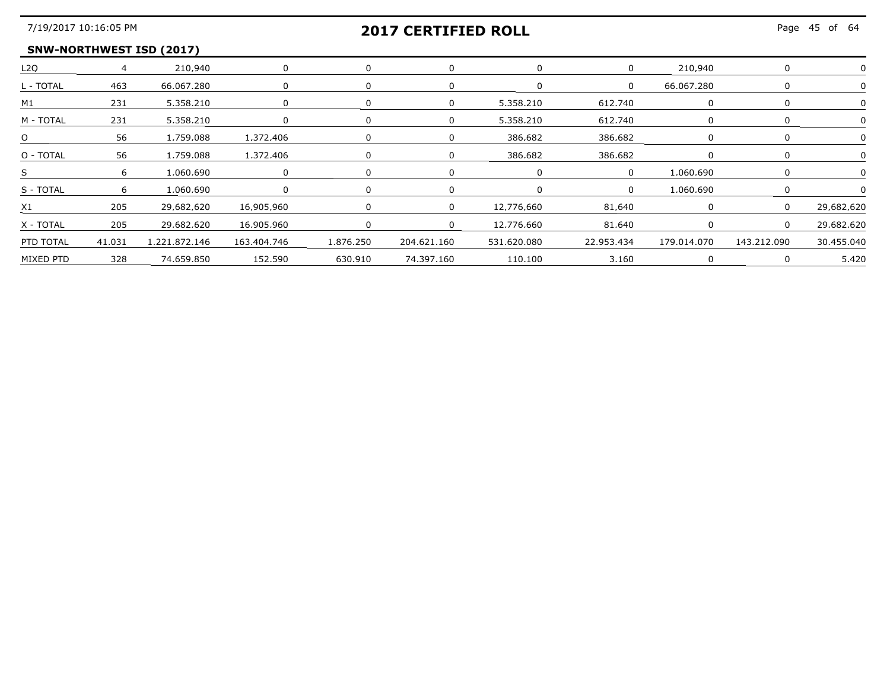## **2017 CERTIFIED ROLL**

### **SNW-NORTHWEST ISD (2017)**

| L2O            |        | 210.940       |             |           |             |             |            | 210 940     |             |              |
|----------------|--------|---------------|-------------|-----------|-------------|-------------|------------|-------------|-------------|--------------|
| L - TOTAL      | 463    | 66.067.280    |             |           |             |             | $\Omega$   | 66,067,280  |             |              |
| M <sub>1</sub> | 231    | 5.358.210     |             |           |             | 5.358.210   | 612.740    |             |             |              |
| M - TOTAL      | 231    | 5.358.210     |             |           |             | 5.358.210   | 612.740    |             |             |              |
| O              | 56     | 1.759.088     | 1.372.406   |           |             | 386.682     | 386.682    |             |             |              |
| O - TOTAL      | 56     | 1.759.088     | 1.372.406   |           |             | 386.682     | 386 682    |             |             |              |
| S              |        | 1 በ6በ 69በ     |             |           |             |             |            | 1 060 690   |             |              |
| S - TOTAL      | 6      | 1.060.690     |             |           |             |             |            | በቦA በAN 1   |             |              |
| X1             | 205    | 29.682.620    | 16.905.960  |           |             | 12.776.660  | 81.640     |             | $\Omega$    | - 29 682 620 |
| X - TOTAL      | 205    | 29.682.620    | 16.905.960  |           |             | 12 776 660  | 81.640     |             |             | 29 682 621   |
| PTD TOTAL      | 41,031 | 1,221,872,146 | 163,404,746 | 1.876.250 | 204,621,160 | 531,620,080 | 22.953.434 | 179,014,070 | 143,212,090 | 30.455.040   |
| MIXED PTD      | 328    | 74,659,850    | 152,590     | 630,910   | 74,397,160  | 110.100     | 3.160      |             |             | 5.420        |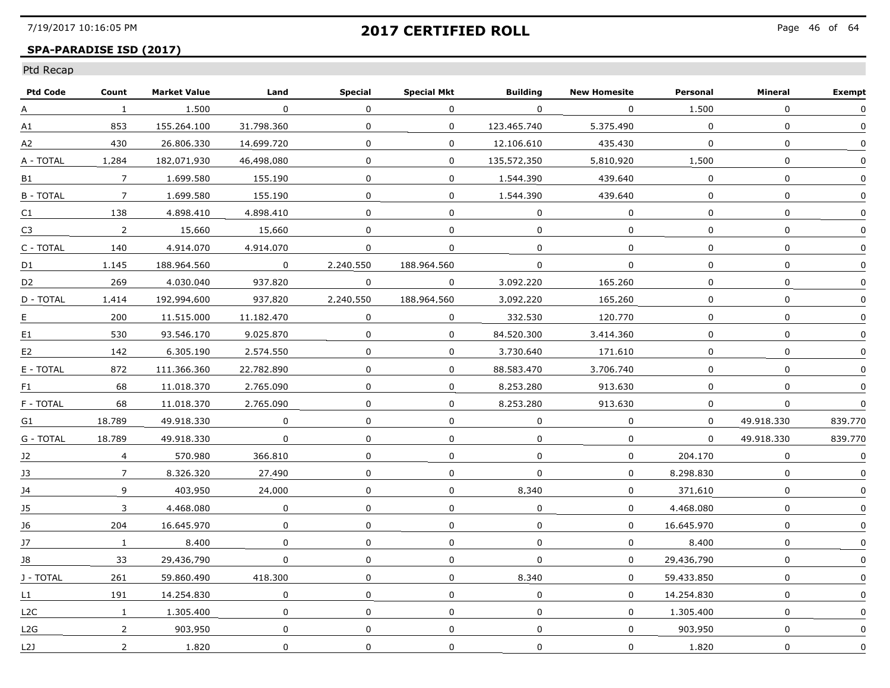## **SPA-PARADISE ISD (2017)**

| <b>Ptd Code</b>  | Count           | <b>Market Value</b> | Land         | <b>Special</b> | <b>Special Mkt</b> | <b>Building</b> | <b>New Homesite</b> | Personal     | Mineral      | <b>Exempt</b> |
|------------------|-----------------|---------------------|--------------|----------------|--------------------|-----------------|---------------------|--------------|--------------|---------------|
| A                | 1               | 1,500               | $\mathbf 0$  | $\mathbf 0$    | 0                  | $\mathbf 0$     | $\mathbf 0$         | 1,500        | 0            | 0             |
| A1               | 853             | 155.264.100         | 31.798.360   | 0              | $\mathbf{0}$       | 123,465,740     | 5.375.490           | $\mathbf 0$  | $\mathbf 0$  | $\mathbf{0}$  |
| A2               | 430             | 26.806.330          | 14.699.720   | $\Omega$       | $\Omega$           | 12.106.610      | 435.430             | $\Omega$     | $\mathbf{0}$ | $\Omega$      |
| A - TOTAL        | 1.284           | 182.071.930         | 46.498.080   | 0              | $\Omega$           | 135.572.350     | 5.810.920           | 1.500        | $\mathbf{0}$ | $\Omega$      |
| B1               | $7\overline{ }$ | 1.699.580           | 155.190      | $\Omega$       | $\Omega$           | 1.544.390       | 439.640             | $\Omega$     | $\mathbf{0}$ |               |
| <b>B-TOTAL</b>   | 7               | 1.699.580           | 155,190      | 0              | $\mathbf{0}$       | 1,544,390       | 439.640             | $\mathbf{0}$ | 0            | $\mathbf 0$   |
| C1               | 138             | 4.898.410           | 4.898.410    | $\Omega$       | $\Omega$           | $\Omega$        | $\mathbf{0}$        | $\Omega$     | $\Omega$     | $\Omega$      |
| C <sub>3</sub>   | $2^{\circ}$     | 15.660              | 15.660       | $\Omega$       | $\Omega$           | $\Omega$        | $\Omega$            | $\Omega$     | $\Omega$     | $\mathbf{0}$  |
| C - TOTAL        | 140             | 4.914.070           | 4.914.070    | 0              | $\Omega$           | $\Omega$        | $\Omega$            | $\Omega$     | 0            | $\Omega$      |
| D1               | 1.145           | 188.964.560         | $\Omega$     | 2.240.550      | 188.964.560        | 0               | $\Omega$            | $\Omega$     | 0            | 0             |
| D2               | 269             | 4.030.040           | 937.820      | 0              | $\mathbf{0}$       | 3.092.220       | 165,260             | $\mathbf{0}$ | 0            | 0             |
| D - TOTAL        | 1.414           | 192.994.600         | 937.820      | 2,240,550      | 188.964.560        | 3.092.220       | 165.260             | $\mathbf{0}$ | 0            | 0             |
| E.               | 200             | 11.515.000          | 11.182.470   | $\Omega$       | $\Omega$           | 332.530         | 120.770             | $\Omega$     | $\mathbf{0}$ | $\Omega$      |
| E1               | 530             | 93.546.170          | 9.025.870    | $\Omega$       | $\Omega$           | 84.520.300      | 3.414.360           | $\Omega$     | $\Omega$     | $\Omega$      |
| E <sub>2</sub>   | 142             | 6.305.190           | 2.574.550    | $\Omega$       | $\Omega$           | 3.730.640       | 171.610             | $\Omega$     | $\mathbf{0}$ | $\mathbf{0}$  |
| E - TOTAL        | 872             | 111.366.360         | 22.782.890   | 0              | 0                  | 88.583.470      | 3.706.740           | 0            | $\mathbf 0$  | 0             |
| F1.              | 68              | 11.018.370          | 2.765.090    | 0              | $\mathbf{0}$       | 8.253.280       | 913.630             | $\mathbf 0$  | 0            | $\mathbf 0$   |
| F - TOTAL        | 68              | 11.018.370          | 2.765.090    | 0              | $\Omega$           | 8.253.280       | 913.630             | $\Omega$     | 0            | $\Omega$      |
| G1               | 18.789          | 49.918.330          | $\Omega$     | 0              | $\Omega$           | $\Omega$        | $\Omega$            | $\Omega$     | 49.918.330   | 839.770       |
| G - TOTAL        | 18.789          | 49.918.330          | $\Omega$     | $\Omega$       | $\Omega$           | $\Omega$        | $\Omega$            | $\Omega$     | 49.918.330   | 839.770       |
| J2               | $\overline{4}$  | 570.980             | 366.810      | $\mathbf 0$    | $\mathbf 0$        | $\Omega$        | $\mathbf 0$         | 204,170      | $\mathbf{0}$ | $\mathbf 0$   |
| J3               | 7               | 8.326.320           | 27,490       | 0              | 0                  | 0               | 0                   | 8.298.830    | 0            | 0             |
| 14               | 9               | 403.950             | 24.000       | 0              | 0                  | 8.340           | $\Omega$            | 371.610      | 0            | 0             |
| 15               | 3               | 4.468.080           | $\Omega$     | $\Omega$       | $\Omega$           | $\Omega$        | $\Omega$            | 4.468.080    | $\Omega$     | $\mathbf{0}$  |
| 16               | 204             | 16.645.970          | $\Omega$     | 0              | $\Omega$           | $\Omega$        | $\Omega$            | 16.645.970   | $\Omega$     | $\Omega$      |
| J7               | 1               | 8,400               | $\Omega$     | 0              | $\Omega$           | $\Omega$        | $\Omega$            | 8,400        | 0            | $\Omega$      |
| J8               | 33              | 29.436.790          | $\mathbf{0}$ | 0              | $\Omega$           | $\Omega$        | 0                   | 29.436.790   | $\mathbf 0$  | $\Omega$      |
| J - TOTAL        | 261             | 59.860.490          | 418.300      | 0              | $\Omega$           | 8.340           | $\Omega$            | 59.433.850   | $\mathbf{0}$ | $\Omega$      |
| L1 I             | 191             | 14.254.830          | 0            | 0              | $\Omega$           | $\Omega$        | $\Omega$            | 14.254.830   | 0            | $\Omega$      |
| L <sub>2</sub> C | $\mathbf{1}$    | 1.305.400           | 0            | $\Omega$       | $\Omega$           | $\Omega$        | $\Omega$            | 1.305.400    | $\Omega$     |               |
| L2G              | $\overline{2}$  | 903.950             | $\mathbf{0}$ | 0              | $\mathbf{0}$       | $\mathbf 0$     | $\mathbf 0$         | 903.950      | 0            | $\mathbf{0}$  |
| L2J              | $\overline{2}$  | 1,820               | 0            | $\mathbf 0$    | $\mathbf 0$        | $\mathbf 0$     | 0                   | 1,820        | $\mathbf 0$  | $\mathbf 0$   |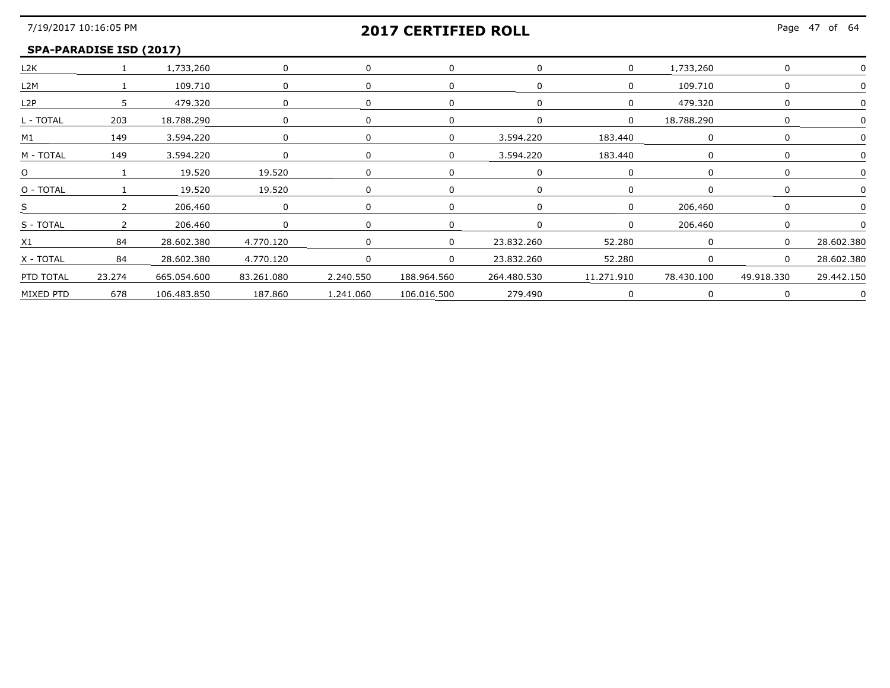#### **SPA-PARADISE ISD (2017)**

| L <sub>2</sub> K |                | 1.733.260       |              |           |             |             |            | 733 260    |            |            |
|------------------|----------------|-----------------|--------------|-----------|-------------|-------------|------------|------------|------------|------------|
| L2M              |                | 109.710         | n            |           |             | n           |            | 109,710    |            |            |
| L2P              | 5 <sub>1</sub> | 479.320         |              |           |             |             |            | 479.320    |            |            |
| L - TOTAL        | 203            | 18.788.290      |              |           |             |             | $\Omega$   | 18.788.290 |            |            |
| M1               | 149            | 3.594.220       | <sup>n</sup> |           | n.          | 3.594.220   | 183.440    |            |            |            |
| M - TOTAL        | 149            | 3,594,220       | $\Omega$     |           |             | 3,594,220   | 183,440    |            |            |            |
| O                |                | 19.520          | 19.520       |           |             |             |            |            |            |            |
| O - TOTAL        |                | 19.520          | 19.520       |           |             |             |            |            |            |            |
| S.               |                | 206.460         |              |           |             |             |            | 206.460    |            |            |
| S - TOTAL        | $\mathcal{D}$  | 206.460         |              |           |             |             |            | 206.460    |            |            |
| X1               | 84             | 28,602,380      | 4,770,120    |           | $\cap$      | 23,832,260  | 52,280     |            |            | 28,602,380 |
| X - TOTAL        | 84             | 28,602,380      | 4,770,120    |           | $\Omega$    | 23.832.260  | 52,280     |            | $\Omega$   | 28,602,380 |
| PTD TOTAL        | 23.274         | 665.054.600     | 83.261.080   | 2.240.550 | 188.964.560 | 264.480.530 | 11.271.910 | 78.430.100 | 49.918.330 | 29.442.150 |
| MIXED PTD        |                | 678 106.483.850 | 187.860      | 1.241.060 | 106.016.500 | 279.490     |            |            |            |            |
|                  |                |                 |              |           |             |             |            |            |            |            |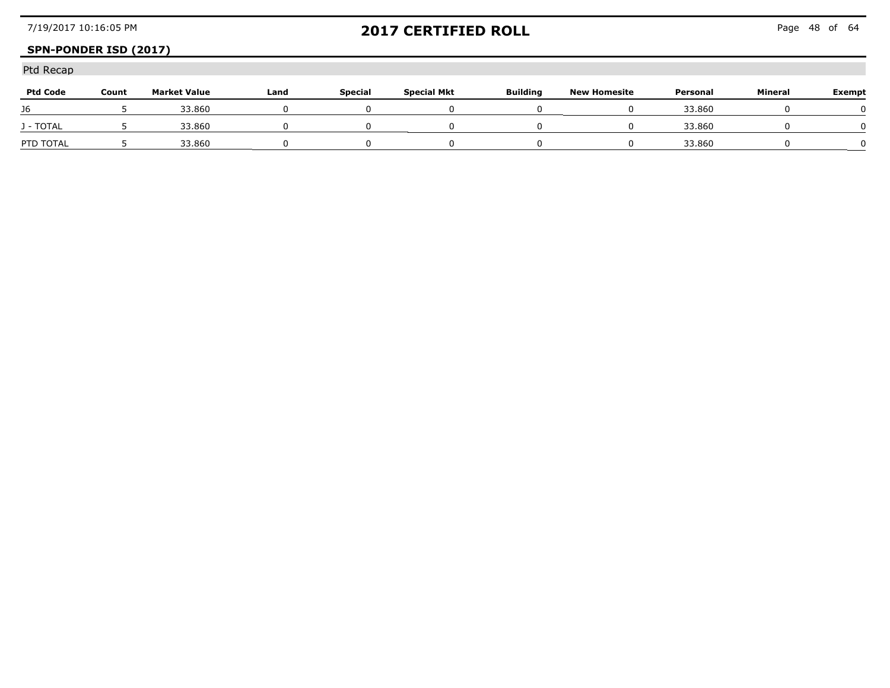## **SPN-PONDER ISD (2017)**

| <b>Ptd Code</b> | Count | <b>Market Value</b> | Land | <b>Special</b> | Special Mkt | <b>Building</b> | <b>New Homesite</b> | Personal                           | Mineral | Exempt |
|-----------------|-------|---------------------|------|----------------|-------------|-----------------|---------------------|------------------------------------|---------|--------|
| J6              |       | 33,860              |      |                |             |                 |                     | 33,860                             |         |        |
| J - TOTAL       |       | 33,860              |      |                |             |                 |                     | 33,860<br>------------------------ |         |        |
| PTD TOTAL       |       | 33.860              |      |                |             |                 |                     | 33.860                             |         |        |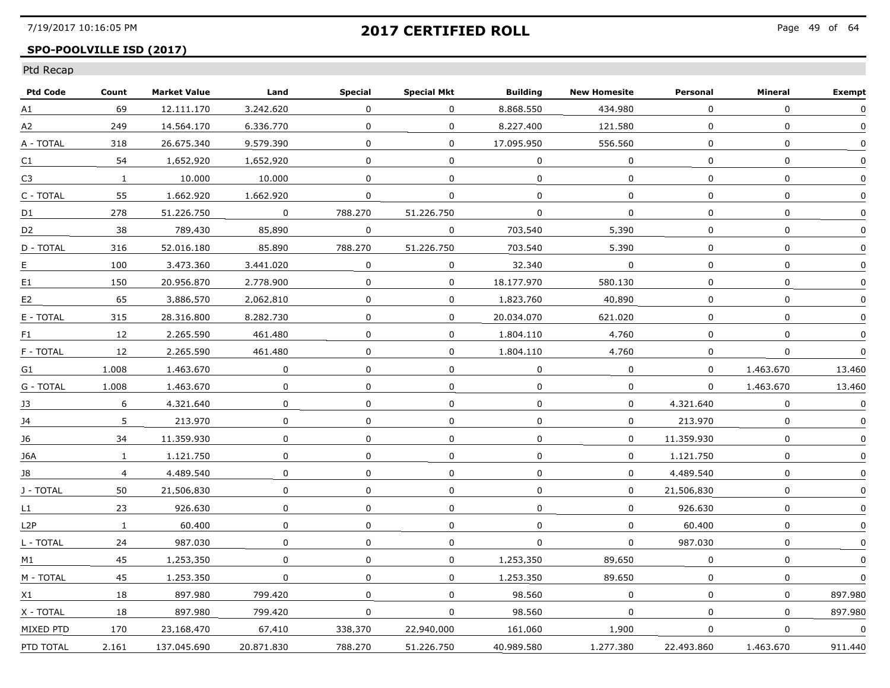## **SPO-POOLVILLE ISD (2017)**

| <b>Ptd Code</b>  | Count          | <b>Market Value</b> | Land         | <b>Special</b> | <b>Special Mkt</b> | <b>Building</b> | <b>New Homesite</b> | Personal     | Mineral      | <b>Exempt</b> |
|------------------|----------------|---------------------|--------------|----------------|--------------------|-----------------|---------------------|--------------|--------------|---------------|
| A1               | 69             | 12.111.170          | 3.242.620    | 0              | 0                  | 8.868.550       | 434.980             | 0            | $\mathbf 0$  | 0             |
| A2               | 249            | 14,564,170          | 6.336.770    | 0              | 0                  | 8.227.400       | 121,580             | $\mathbf 0$  | 0            | $\mathbf{0}$  |
| A - TOTAL        | 318            | 26.675.340          | 9.579.390    | $\Omega$       | $\Omega$           | 17.095.950      | 556.560             | $\Omega$     | $\mathbf{0}$ | $\Omega$      |
| C1               | 54             | 1.652.920           | 1.652.920    | 0              | $\Omega$           | 0               | $\Omega$            | $\Omega$     | $\mathbf{0}$ | $\Omega$      |
| C <sub>3</sub>   | $\mathbf{1}$   | 10.000              | 10.000       | $\mathbf{0}$   | $\Omega$           | $\Omega$        | $\Omega$            | $\Omega$     | $\mathbf{0}$ |               |
| C - TOTAL        | 55             | 1.662.920           | 1.662.920    | 0              | $\mathbf 0$        | $\mathbf 0$     | $\mathbf 0$         | $\mathbf{0}$ | $\mathbf 0$  | $\mathbf 0$   |
| D1               | 278            | 51.226.750          | $\mathbf 0$  | 788,270        | 51.226.750         | $\mathbf 0$     | $\mathbf 0$         | $\Omega$     | $\mathbf 0$  | $\mathbf 0$   |
| D <sub>2</sub>   | 38             | 789.430             | 85.890       | 0              | 0                  | 703.540         | 5.390               | 0            | 0            | $\mathbf{0}$  |
| D - TOTAL        | 316            | 52.016.180          | 85.890       | 788.270        | 51.226.750         | 703.540         | 5.390               | $\Omega$     | 0            | $\Omega$      |
| Е                | 100            | 3.473.360           | 3.441.020    | 0              | 0                  | 32.340          | $\Omega$            | $\Omega$     | $\mathbf{0}$ | $\Omega$      |
| E1               | 150            | 20.956.870          | 2,778,900    | 0              | 0                  | 18.177.970      | 580.130             | 0            | $\mathbf 0$  |               |
| E <sub>2</sub>   | 65             | 3.886.570           | 2.062.810    | 0              | 0                  | 1,823,760       | 40.890              | 0            | 0            | 0             |
| E - TOTAL        | 315            | 28.316.800          | 8.282.730    | 0              | $\Omega$           | 20.034.070      | 621.020             | $\Omega$     | 0            | 0             |
| F1               | $12$           | 2.265.590           | 461.480      | 0              | $\Omega$           | 1.804.110       | 4.760               | 0            | 0            | $\Omega$      |
| F - TOTAL        | 12             | 2.265.590           | 461.480      | 0              | $\Omega$           | 1.804.110       | 4.760               | 0            | 0            | $\Omega$      |
| G1               | 1,008          | 1.463.670           | $\mathbf 0$  | $\mathbf{0}$   | $\Omega$           | 0               | $\mathbf 0$         | 0            | 1,463,670    | 13.460        |
| G - TOTAL        | 1.008          | 1,463,670           | $\Omega$     | 0              | $\mathbf{0}$       | $\mathbf 0$     | $\mathbf 0$         | $\mathbf{0}$ | 1,463,670    | 13.460        |
| 13               | 6              | 4.321.640           | $\Omega$     | $\Omega$       | $\overline{0}$     | $\Omega$        | $\mathbf{0}$        | 4.321.640    | $\Omega$     | 0             |
| 14               | 5.             | 213.970             | 0            | 0              | 0                  | 0               | 0                   | 213.970      | 0            | $\mathbf{0}$  |
| 16               | 34             | 11.359.930          | 0            | 0              | $\Omega$           | 0               | $\Omega$            | 11.359.930   | 0            | 0             |
| J6A              | $\mathbf{1}$   | 1.121.750           | $\mathbf 0$  | 0              | $\mathbf 0$        | $\mathbf 0$     | 0                   | 1.121.750    | 0            | $\mathbf 0$   |
| J8               | $\overline{4}$ | 4,489,540           | $\Omega$     | $\Omega$       | $\Omega$           | $\Omega$        | 0                   | 4,489,540    | $\Omega$     |               |
| J - TOTAL        | 50             | 21.506.830          | $\Omega$     | $\Omega$       | 0                  | $\Omega$        | $\Omega$            | 21.506.830   | 0            | 0             |
| L1               | 23             | 926.630             | $\Omega$     | 0              | $\Omega$           | 0               | $\Omega$            | 926.630      | 0            | $\Omega$      |
| L <sub>2</sub> P | $\mathbf{1}$   | 60.400              | 0            | 0              | 0                  | $\Omega$        | 0                   | 60.400       | 0            | 0             |
| L - TOTAL        | 24             | 987.030             | 0            | 0              | 0                  | 0               | 0                   | 987.030      | $\mathbf 0$  | $\Omega$      |
| M1               | 45             | 1,253,350           | $\mathbf{0}$ | 0              | $\mathbf{0}$       | 1,253,350       | 89.650              | 0            | $\mathbf 0$  |               |
| M - TOTAL        | 45             | 1.253.350           | $\Omega$     | 0              | $\Omega$           | 1.253.350       | 89.650              | $\Omega$     | 0            | $\Omega$      |
| X1               | 18             | 897.980             | 799.420      | 0              | $\Omega$           | 98.560          | $\Omega$            | 0            | $\Omega$     | 897.980       |
| X - TOTAL        | 18             | 897.980             | 799.420      | 0              | 0                  | 98.560          | $\Omega$            | $\Omega$     | 0            | 897.980       |
| MIXED PTD        | 170            | 23.168.470          | 67.410       | 338,370        | 22.940.000         | 161.060         | 1,900               | $\mathbf 0$  | $\mathbf 0$  | $\mathbf 0$   |
| PTD TOTAL        | 2.161          | 137.045.690         | 20.871.830   | 788.270        | 51.226.750         | 40.989.580      | 1,277,380           | 22.493.860   | 1,463,670    | 911.440       |
|                  |                |                     |              |                |                    |                 |                     |              |              |               |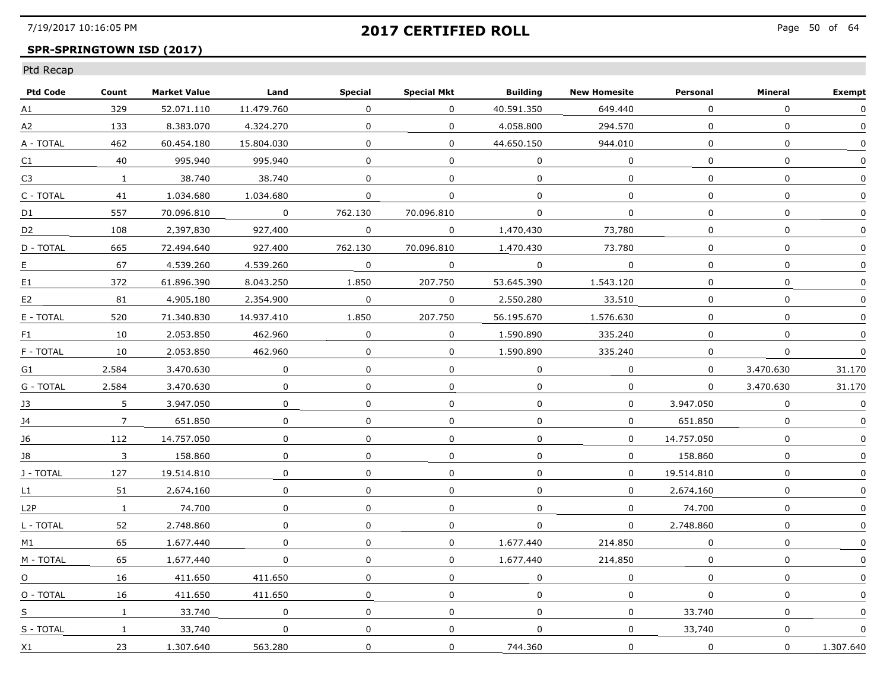## **SPR-SPRINGTOWN ISD (2017)**

| <b>Ptd Code</b>  | Count          | <b>Market Value</b> | Land        | <b>Special</b> | <b>Special Mkt</b> | <b>Building</b> | <b>New Homesite</b> | Personal     | Mineral      | <b>Exempt</b> |
|------------------|----------------|---------------------|-------------|----------------|--------------------|-----------------|---------------------|--------------|--------------|---------------|
| A1               | 329            | 52.071.110          | 11.479.760  | $\Omega$       | $\mathbf{0}$       | 40.591.350      | 649.440             | $\Omega$     | $\Omega$     | 0             |
| A2               | 133            | 8.383.070           | 4,324,270   | $\mathbf{0}$   | $\mathbf 0$        | 4.058.800       | 294.570             | $\mathbf{0}$ | $\mathbf 0$  | $\Omega$      |
| A - TOTAL        | 462            | 60.454.180          | 15.804.030  | 0              | $\Omega$           | 44.650.150      | 944.010             | 0            | 0            | $\Omega$      |
| C <sub>1</sub>   | 40             | 995.940             | 995.940     | 0              | $\Omega$           | 0               | $\Omega$            | 0            | 0            | $\Omega$      |
| C <sub>3</sub>   | $\mathbf{1}$   | 38.740              | 38.740      | $\Omega$       | $\mathbf{0}$       | $\mathbf{0}$    | $\Omega$            | $\Omega$     | $\Omega$     |               |
| C - TOTAL        | 41             | 1.034.680           | 1.034.680   | $\mathbf 0$    | $\overline{0}$     | $\mathbf{0}$    | $\mathbf 0$         | $\Omega$     | $\mathbf 0$  | $\Omega$      |
| D1               | 557            | 70.096.810          | $\mathbf 0$ | 762,130        | 70.096.810         | $\Omega$        | $\mathbf 0$         | $\Omega$     | $\mathbf 0$  |               |
| D <sub>2</sub>   | 108            | 2.397.830           | 927.400     | 0              | $\Omega$           | 1.470.430       | 73.780              | $\Omega$     | 0            |               |
| D - TOTAL        | 665            | 72.494.640          | 927.400     | 762.130        | 70.096.810         | 1.470.430       | 73.780              | $\Omega$     | $\Omega$     | n             |
| E.               | 67             | 4.539.260           | 4.539.260   | $\Omega$       | 0                  | $\overline{0}$  | $\Omega$            | $\mathbf{0}$ | $\mathbf{0}$ | $\Omega$      |
| E1               | 372            | 61.896.390          | 8.043.250   | 1,850          | 207.750            | 53.645.390      | 1,543,120           | 0            | 0            | O             |
| E <sub>2</sub>   | 81             | 4,905,180           | 2,354,900   | 0              | 0                  | 2,550,280       | 33.510              | $\Omega$     | $\mathbf{0}$ |               |
| E - TOTAL        | 520            | 71.340.830          | 14.937.410  | 1.850          | 207.750            | 56.195.670      | 1.576.630           | $\Omega$     | $\Omega$     | $\Omega$      |
| F1               | 10             | 2.053.850           | 462.960     | 0              | $\Omega$           | 1.590.890       | 335.240             | $\mathbf{0}$ | $\Omega$     | $\Omega$      |
| F - TOTAL        | 10             | 2.053.850           | 462.960     | 0              | $\Omega$           | 1.590.890       | 335.240             | $\Omega$     | 0            | $\mathbf{0}$  |
| G1               | 2,584          | 3,470,630           | 0           | $\Omega$       | 0                  | 0               | 0                   | $\Omega$     | 3,470,630    | 31,170        |
| G - TOTAL        | 2.584          | 3,470,630           | $\mathbf 0$ | 0              | $\mathbf 0$        | $\mathbf 0$     | $\mathbf 0$         | $\Omega$     | 3.470.630    | 31.170        |
| 13               | 5              | 3.947.050           | $\Omega$    | 0              | 0                  | $\Omega$        | 0                   | 3.947.050    | $\Omega$     | $\Omega$      |
| 14               | $\overline{7}$ | 651.850             | 0           | 0              | 0                  | $\Omega$        | 0                   | 651.850      | 0            | <sup>0</sup>  |
| 16               | 112            | 14.757.050          | $\Omega$    | 0              | $\Omega$           | $\Omega$        | $\Omega$            | 14.757.050   | $\Omega$     | $\mathbf{0}$  |
| J8               | 3              | 158,860             | 0           | $\Omega$       | 0                  | $\Omega$        | $\mathbf 0$         | 158.860      | $\mathbf 0$  | $\Omega$      |
| J - TOTAL        | 127            | 19.514.810          | 0           | $\mathbf 0$    | $\mathbf 0$        | $\Omega$        | $\mathbf{0}$        | 19.514.810   | $\mathbf 0$  | $\Omega$      |
| L1               | 51             | 2.674.160           | 0           | 0              | $\Omega$           | 0               | $\Omega$            | 2.674.160    | 0            |               |
| L <sub>2</sub> P | $\mathbf{1}$   | 74.700              | $\Omega$    | $\Omega$       | $\Omega$           | $\Omega$        | $\Omega$            | 74.700       | 0            | $\Omega$      |
| L - TOTAL        | 52             | 2.748.860           | $\Omega$    | 0              | 0                  | 0               | $\Omega$            | 2.748.860    | 0            | $\Omega$      |
| M1               | 65             | 1,677,440           | 0           | 0              | 0                  | 1,677,440       | 214,850             | 0            | $\mathbf 0$  |               |
| M - TOTAL        | 65             | 1.677.440           | 0           | 0              | $\mathbf{0}$       | 1.677.440       | 214,850             | 0            | 0            | $\Omega$      |
| $\Omega$         | 16             | 411.650             | 411.650     | $\Omega$       | $\Omega$           | $\Omega$        | $\Omega$            | $\Omega$     | $\Omega$     | $\Omega$      |
| O - TOTAL        | 16             | 411.650             | 411.650     | 0              | 0                  | $\Omega$        | 0                   | 0            | 0            | $\Omega$      |
| S                | $\mathbf{1}$   | 33.740              | $\Omega$    | 0              | $\Omega$           | 0               | 0                   | 33.740       | 0            |               |
| S - TOTAL        | $\mathbf{1}$   | 33.740              | $\mathbf 0$ | 0              | $\mathbf 0$        | $\mathbf 0$     | $\mathbf 0$         | 33.740       | 0            | 0             |
| X1               | 23             | 1.307.640           | 563,280     | $\mathbf 0$    | $\mathbf 0$        | 744,360         | $\mathbf 0$         | $\mathbf 0$  | $\mathbf 0$  | 1.307.640     |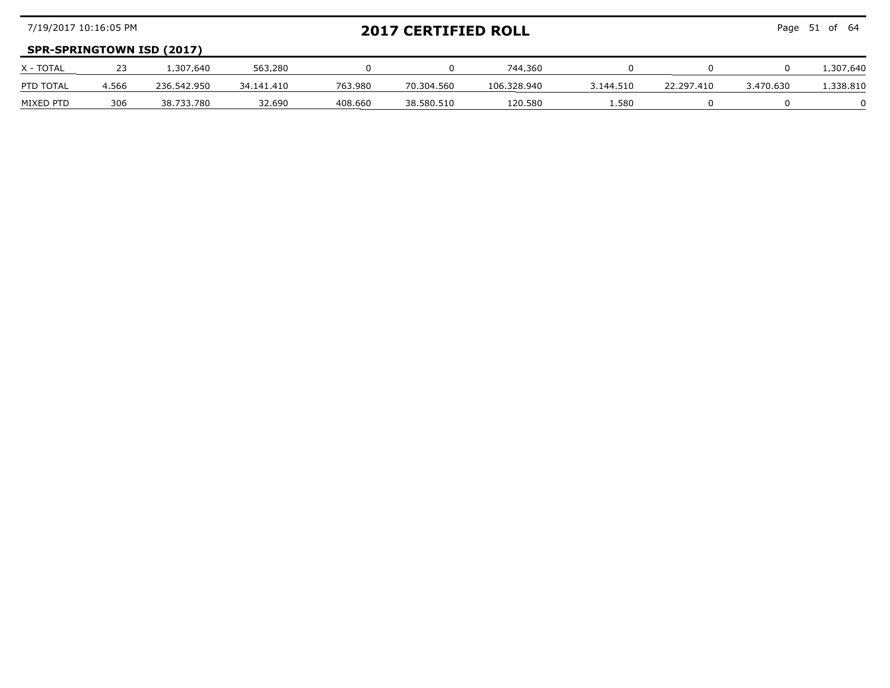| 7/19/2017 10:16:05 PM |       |                                  |            |         | <b>2017 CERTIFIED ROLL</b> |             |           |            |           | Page 51 of 64 |
|-----------------------|-------|----------------------------------|------------|---------|----------------------------|-------------|-----------|------------|-----------|---------------|
|                       |       | <b>SPR-SPRINGTOWN ISD (2017)</b> |            |         |                            |             |           |            |           |               |
| X - TOTAL             |       | .307.640                         | 563.280    |         |                            | 744.360     |           |            |           | L.307.640     |
| PTD TOTAL             | 4,566 | 236.542.950                      | 34.141.410 | 763.980 | 70.304.560                 | 106.328.940 | 3,144,510 | 22.297.410 | 3.470.630 | .338.810      |
| MIXED PTD             | 306   | 38.733.780                       | 32.690     | 408.660 | 38.580.510                 | 120.580     | .580      |            |           |               |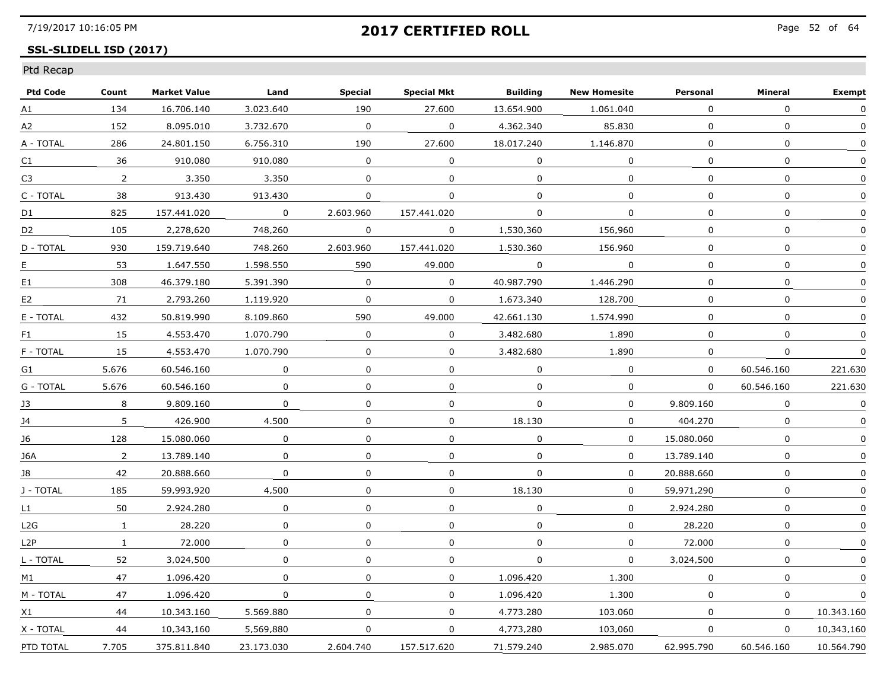## **SSL-SLIDELL ISD (2017)**

| <b>Ptd Code</b> | Count          | <b>Market Value</b> | Land           | <b>Special</b> | <b>Special Mkt</b> | <b>Building</b> | <b>New Homesite</b> | Personal     | Mineral      | <b>Exempt</b> |
|-----------------|----------------|---------------------|----------------|----------------|--------------------|-----------------|---------------------|--------------|--------------|---------------|
| A1              | 134            | 16.706.140          | 3.023.640      | 190            | 27.600             | 13.654.900      | 1.061.040           | 0            | $\mathbf 0$  | 0             |
| A2              | 152            | 8.095.010           | 3.732.670      | 0              | $\mathbf 0$        | 4,362,340       | 85,830              | $\mathbf 0$  | 0            | $\mathbf{0}$  |
| A - TOTAL       | 286            | 24.801.150          | 6.756.310      | 190            | 27.600             | 18.017.240      | 1.146.870           | $\Omega$     | $\mathbf{0}$ | $\Omega$      |
| C1              | 36             | 910.080             | 910.080        | 0              | $\Omega$           | $\Omega$        | $\Omega$            | $\Omega$     | $\mathbf{0}$ | $\Omega$      |
| C3              | 2              | 3.350               | 3.350          | $\mathbf{0}$   | $\Omega$           | $\Omega$        | $\Omega$            | 0            | $\mathbf{0}$ |               |
| C - TOTAL       | 38             | 913.430             | 913,430        | 0              | $\mathbf 0$        | $\mathbf 0$     | $\mathbf{0}$        | $\mathbf{0}$ | $\mathbf 0$  | 0             |
| D1              | 825            | 157.441.020         | $\overline{0}$ | 2.603.960      | 157.441.020        | 0               | $\Omega$            | $\Omega$     | $\mathbf 0$  | $\mathbf 0$   |
| D <sub>2</sub>  | 105            | 2.278.620           | 748.260        | 0              | $\Omega$           | 1.530.360       | 156.960             | 0            | 0            | $\mathbf{0}$  |
| D - TOTAL       | 930            | 159.719.640         | 748.260        | 2.603.960      | 157.441.020        | 1.530.360       | 156.960             | $\Omega$     | 0            | $\Omega$      |
| E               | 53             | 1.647.550           | 1.598.550      | 590            | 49.000             | $\Omega$        | $\Omega$            | $\Omega$     | $\mathbf{0}$ | $\Omega$      |
| E1              | 308            | 46.379.180          | 5.391.390      | 0              | $\mathbf 0$        | 40.987.790      | 1,446,290           | 0            | 0            | 0             |
| E <sub>2</sub>  | 71             | 2.793.260           | 1.119.920      | 0              | 0                  | 1,673,340       | 128,700             | 0            | 0            |               |
| E - TOTAL       | 432            | 50.819.990          | 8.109.860      | 590            | 49.000             | 42.661.130      | 1.574.990           | $\Omega$     | 0            | 0             |
| F1              | 15             | 4.553.470           | 1.070.790      | 0              | 0                  | 3.482.680       | 1.890               | $\Omega$     | 0            | $\mathbf{0}$  |
| F - TOTAL       | 15             | 4.553.470           | 1.070.790      | 0              | $\Omega$           | 3.482.680       | 1.890               | 0            | 0            | $\Omega$      |
| G1              | 5.676          | 60.546.160          | 0              | $\mathbf 0$    | $\Omega$           | $\Omega$        | $\mathbf 0$         | 0            | 60,546,160   | 221.630       |
| G - TOTAL       | 5.676          | 60.546.160          | $\Omega$       | $\mathbf 0$    | $\Omega$           | $\mathbf 0$     | $\mathbf 0$         | $\mathbf 0$  | 60.546.160   | 221.630       |
| 13              | 8              | 9.809.160           | 0              | 0              | $\mathbf{0}$       | $\Omega$        | 0                   | 9.809.160    | $\Omega$     | $\Omega$      |
| 14              | 5.             | 426.900             | 4.500          | 0              | $\Omega$           | 18.130          | $\Omega$            | 404.270      | 0            |               |
| 16              | 128            | 15.080.060          | 0              | 0              | $\Omega$           | 0               | $\Omega$            | 15.080.060   | 0            | 0             |
| J6A             | $\overline{2}$ | 13.789.140          | 0              | 0              | $\mathbf 0$        | 0               | 0                   | 13,789,140   | 0            | $\mathbf 0$   |
| J8              | 42             | 20.888.660          | $\Omega$       | 0              | $\Omega$           | $\Omega$        | 0                   | 20.888.660   | 0            | 0             |
| J - TOTAL       | 185            | 59.993.920          | 4.500          | 0              | $\Omega$           | 18.130          | 0                   | 59.971.290   | 0            | 0             |
| L1              | 50             | 2.924.280           | 0              | 0              | $\Omega$           | 0               | $\Omega$            | 2.924.280    | 0            | $\Omega$      |
| L2G             | $\mathbf{1}$   | 28.220              | 0              | 0              | 0                  | $\mathbf{0}$    | 0                   | 28.220       | 0            | 0             |
| L2P             | $\mathbf{1}$   | 72,000              | 0              | 0              | $\mathbf{0}$       | 0               | 0                   | 72,000       | $\mathbf 0$  |               |
| L - TOTAL       | 52             | 3.024.500           | 0              | 0              | 0                  | 0               | $\mathbf{0}$        | 3.024.500    | 0            |               |
| M1              | 47             | 1.096.420           | $\Omega$       | 0              | $\Omega$           | 1.096.420       | 1.300               | 0            | 0            | $\Omega$      |
| M - TOTAL       | 47             | 1.096.420           | $\Omega$       | $\Omega$       | $\Omega$           | 1.096.420       | 1.300               | 0            | $\Omega$     |               |
| X1              | 44             | 10.343.160          | 5.569.880      | 0              | $\mathbf{0}$       | 4.773.280       | 103.060             | $\Omega$     | $\Omega$     | 10.343.160    |
| X - TOTAL       | 44             | 10.343.160          | 5,569,880      | 0              | $\mathbf{0}$       | 4,773,280       | 103.060             | $\Omega$     | $\Omega$     | 10.343.160    |
| PTD TOTAL       | 7.705          | 375.811.840         | 23,173,030     | 2,604,740      | 157.517.620        | 71.579.240      | 2.985.070           | 62.995.790   | 60.546.160   | 10.564.790    |
|                 |                |                     |                |                |                    |                 |                     |              |              |               |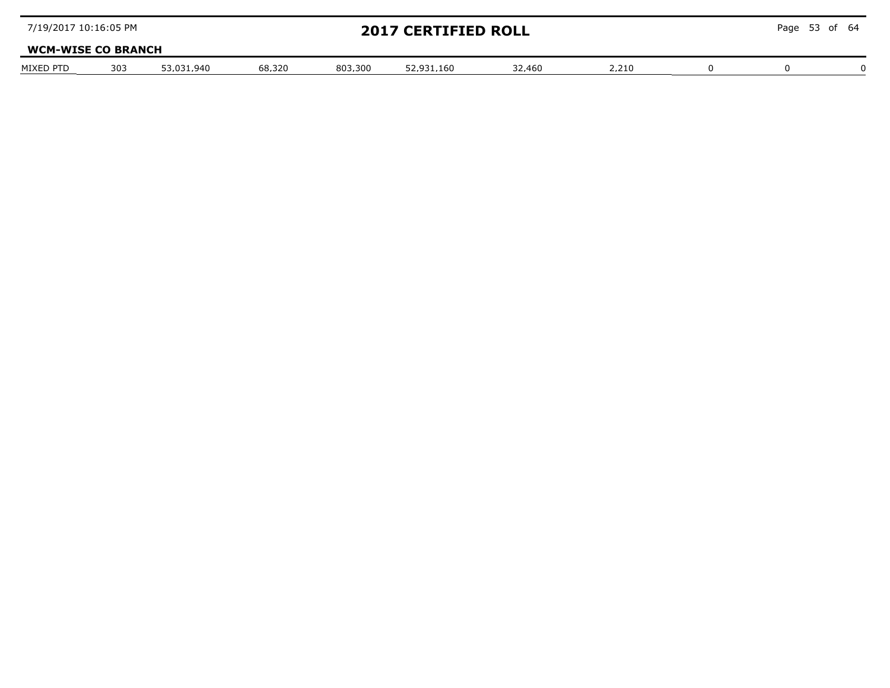| 7/19/2017 10:16:05 PM     |     |            |        |         | <b>2017 CERTIFIED ROLL</b> |        |       | Page 53 of 64 |  |
|---------------------------|-----|------------|--------|---------|----------------------------|--------|-------|---------------|--|
| <b>WCM-WISE CO BRANCH</b> |     |            |        |         |                            |        |       |               |  |
| MIXED PTD                 | 303 | 53.031.940 | 68.320 | 803.300 | 52.931.160                 | 32.460 | 2.210 |               |  |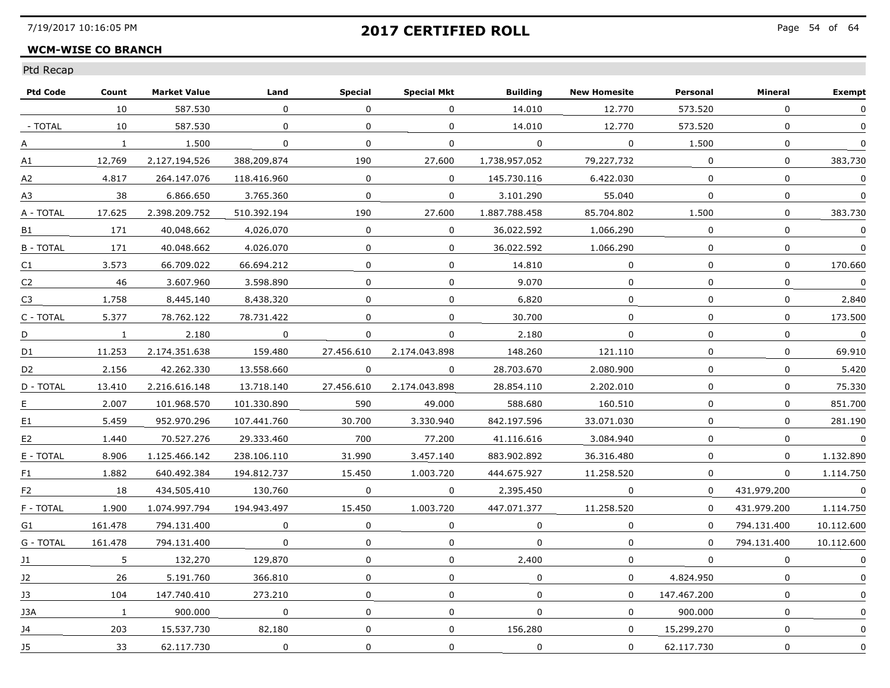### **WCM-WISE CO BRANCH**

| <b>Ptd Code</b> | Count        | <b>Market Value</b> | Land        | <b>Special</b> | <b>Special Mkt</b> | <b>Building</b> | <b>New Homesite</b> | Personal     | Mineral      | <b>Exempt</b> |
|-----------------|--------------|---------------------|-------------|----------------|--------------------|-----------------|---------------------|--------------|--------------|---------------|
|                 | 10           | 587,530             | $\Omega$    | $\Omega$       | $\mathbf{0}$       | 14.010          | 12,770              | 573,520      | $\Omega$     | $\Omega$      |
| - TOTAL         | 10           | 587.530             | 0           | 0              | 0                  | 14.010          | 12,770              | 573.520      | $\mathbf 0$  | $\mathbf{0}$  |
| А               | $\mathbf{1}$ | 1.500               | 0           | 0              | 0                  | 0               | $\Omega$            | 1.500        | $\mathbf{0}$ | $\Omega$      |
| Α1              | 12.769       | 2.127.194.526       | 388.209.874 | 190            | 27.600             | 1.738.957.052   | 79.227.732          | $\Omega$     | $\Omega$     | 383.730       |
| А2              | 4.817        | 264.147.076         | 118.416.960 | 0              | $\Omega$           | 145.730.116     | 6.422.030           | $\Omega$     | $\mathbf{0}$ | $\Omega$      |
| A3              | 38           | 6.866.650           | 3.765.360   | $\mathbf 0$    | $\mathbf 0$        | 3.101.290       | 55,040              | $\mathbf{0}$ | $\mathbf 0$  | 0             |
| A - TOTAL       | 17.625       | 2.398.209.752       | 510.392.194 | 190            | 27.600             | 1.887.788.458   | 85.704.802          | 1,500        | $\Omega$     | 383,730       |
| B1              | 171          | 40.048.662          | 4.026.070   | $\Omega$       | $\Omega$           | 36.022.592      | 1.066.290           | 0            | $\Omega$     | $\Omega$      |
| <b>B-TOTAL</b>  | 171          | 40.048.662          | 4.026.070   | 0              | $\Omega$           | 36.022.592      | 1.066.290           | $\Omega$     | $\Omega$     | 0             |
| C1              | 3.573        | 66.709.022          | 66.694.212  | 0              | 0                  | 14.810          | 0                   | $\Omega$     | 0            | 170.660       |
| C <sub>2</sub>  | 46           | 3.607.960           | 3,598,890   | $\mathbf 0$    | 0                  | 9.070           | $\Omega$            | $\Omega$     | $\Omega$     | $\pmb{0}$     |
| C <sub>3</sub>  | 1.758        | 8.445.140           | 8,438,320   | $\Omega$       | 0                  | 6,820           | 0                   | 0            | $\mathbf 0$  | 2,840         |
| C - TOTAL       | 5.377        | 78.762.122          | 78.731.422  | $\Omega$       | 0                  | 30.700          | $\Omega$            | $\Omega$     | $\Omega$     | 173.500       |
| D               | $\mathbf{1}$ | 2.180               | $\Omega$    | $\Omega$       | $\Omega$           | 2.180           | $\Omega$            | $\Omega$     | $\mathbf{0}$ | $\Omega$      |
| D <sub>1</sub>  | 11.253       | 2.174.351.638       | 159.480     | 27.456.610     | 2.174.043.898      | 148.260         | 121.110             | $\Omega$     | 0            | 69.910        |
| D <sub>2</sub>  | 2.156        | 42.262.330          | 13,558,660  | 0              | 0                  | 28.703.670      | 2.080.900           | $\mathbf 0$  | $\mathbf 0$  | 5.420         |
| D - TOTAL       | 13,410       | 2.216.616.148       | 13.718.140  | 27.456.610     | 2.174.043.898      | 28.854.110      | 2.202.010           | $\mathbf{0}$ | $\mathbf 0$  | 75,330        |
| E.              | 2.007        | 101.968.570         | 101.330.890 | 590            | 49.000             | 588.680         | 160.510             | $\Omega$     | $\Omega$     | 851.700       |
| E <sub>1</sub>  | 5.459        | 952.970.296         | 107.441.760 | 30.700         | 3.330.940          | 842.197.596     | 33.071.030          | $\Omega$     | $\mathbf{0}$ | 281.190       |
| E <sub>2</sub>  | 1.440        | 70.527.276          | 29.333.460  | 700            | 77.200             | 41.116.616      | 3.084.940           | $\Omega$     | $\Omega$     | $\Omega$      |
| E - TOTAL       | 8,906        | 1.125.466.142       | 238.106.110 | 31,990         | 3,457,140          | 883.902.892     | 36.316.480          | 0            | $\mathbf{0}$ | 1.132.890     |
| F1              | 1.882        | 640.492.384         | 194.812.737 | 15,450         | 1.003.720          | 444.675.927     | 11,258,520          | $\mathbf 0$  | $\Omega$     | 1.114.750     |
| F <sub>2</sub>  | 18           | 434.505.410         | 130.760     | 0              | 0                  | 2.395.450       | $\Omega$            | $\Omega$     | 431.979.200  | 0             |
| F - TOTAL       | 1.900        | 1.074.997.794       | 194.943.497 | 15.450         | 1.003.720          | 447.071.377     | 11.258.520          | $\Omega$     | 431.979.200  | 1.114.750     |
| G1              | 161.478      | 794.131.400         | $\Omega$    | $\Omega$       | 0                  | $\Omega$        | $\mathbf{0}$        | $\Omega$     | 794.131.400  | 10.112.600    |
| G - TOTAL       | 161.478      | 794.131.400         | 0           | $\mathbf 0$    | 0                  | $\Omega$        | 0                   | $\Omega$     | 794.131.400  | 10.112.600    |
| J1              | 5            | 132,270             | 129.870     | 0              | 0                  | 2.400           | 0                   | $\Omega$     | 0            | 0             |
| 12              | 26           | 5.191.760           | 366.810     | $\Omega$       | $\Omega$           | $\Omega$        | $\Omega$            | 4.824.950    | $\mathbf{0}$ | $\Omega$      |
| 13              | 104          | 147.740.410         | 273.210     | 0              | 0                  | $\Omega$        | 0                   | 147.467.200  | 0            | 0             |
| J3A             | $\mathbf{1}$ | 900.000             | 0           | 0              | 0                  | $\Omega$        | 0                   | 900.000      | 0            |               |
| J4              | 203          | 15.537.730          | 82,180      | $\mathbf 0$    | $\mathbf 0$        | 156.280         | $\mathbf{0}$        | 15,299,270   | $\mathbf 0$  | 0             |
| J5              | 33           | 62.117.730          | $\mathbf 0$ | $\Omega$       | 0                  | $\mathbf 0$     | $\Omega$            | 62.117.730   | $\Omega$     | $\mathbf 0$   |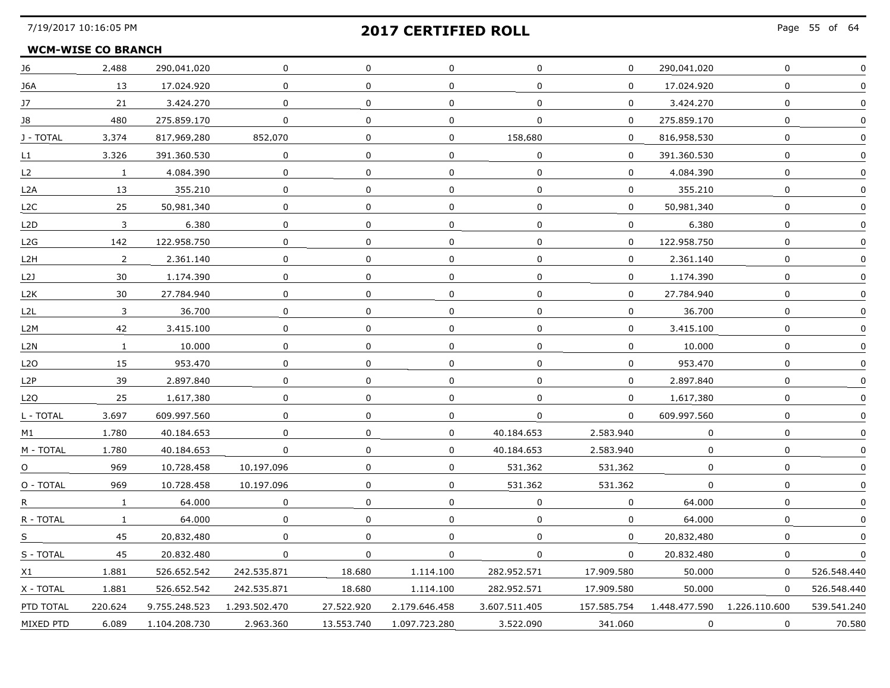#### **WCM-WISE CO BRANCH**

| J6               | 2,488        | 290.041.020   | 0             | 0            | 0             | 0             | 0            | 290.041.020   | 0             |             |
|------------------|--------------|---------------|---------------|--------------|---------------|---------------|--------------|---------------|---------------|-------------|
| J6A              | 13           | 17.024.920    | $\mathbf{0}$  | $\Omega$     | $\mathbf{0}$  | $\Omega$      | $\Omega$     | 17.024.920    | $\mathbf 0$   |             |
| 17               | 21           | 3.424.270     | $\Omega$      | $\mathbf 0$  | $\mathbf 0$   | $\Omega$      | $\mathbf{0}$ | 3.424.270     | $\mathbf 0$   |             |
| 18               | 480          | 275.859.170   | 0             | 0            | $\Omega$      | $\Omega$      | 0            | 275.859.170   | 0             |             |
| J - TOTAL        | 3.374        | 817.969.280   | 852.070       | $\Omega$     | $\Omega$      | 158.680       | $\Omega$     | 816.958.530   | 0             |             |
| L1.              | 3,326        | 391.360.530   | $\mathbf 0$   | $\mathbf 0$  | $\mathbf 0$   | $\mathbf 0$   | $\mathbf 0$  | 391.360.530   | $\mathsf{O}$  | $\Omega$    |
| L <sub>2</sub>   | $\mathbf{1}$ | 4.084.390     | $\mathbf 0$   | $\mathbf 0$  | 0             | $\Omega$      | 0            | 4.084.390     | $\mathbf 0$   |             |
| L2A              | 13           | 355.210       | 0             | $\mathbf{0}$ | 0             | 0             | 0            | 355.210       | 0             |             |
| L <sub>2</sub> C | 25           | 50.981.340    | 0             | 0            | 0             | $\Omega$      | $\Omega$     | 50.981.340    | $\Omega$      |             |
| L <sub>2</sub> D | 3            | 6.380         | 0             | 0            | 0             | 0             | 0            | 6.380         | 0             |             |
| L2G              | 142          | 122.958.750   | 0             | $\mathbf 0$  | 0             | $\mathbf 0$   | 0            | 122.958.750   | 0             |             |
| L2H              | 2            | 2,361,140     | 0             | 0            | 0             | 0             | 0            | 2,361,140     | 0             |             |
| L2J              | 30           | 1.174.390     | 0             | $\Omega$     | $\Omega$      | 0             | 0            | 1.174.390     | $\Omega$      |             |
| L2K              | 30           | 27.784.940    | 0             | 0            | 0             | 0             | 0            | 27.784.940    | 0             |             |
| L2L              | 3            | 36.700        | 0             | $\mathbf{0}$ | 0             | $\Omega$      | 0            | 36.700        | $\Omega$      |             |
| L2M              | 42           | 3.415.100     | 0             | $\mathbf 0$  | 0             | $\mathbf 0$   | 0            | 3.415.100     | 0             |             |
| L2N              | $\mathbf{1}$ | 10.000        | 0             | $\mathbf{0}$ | $\mathbf 0$   | $\mathbf{0}$  | $\mathbf 0$  | 10,000        | $\mathbf 0$   | ∩           |
| L <sub>2</sub> O | 15           | 953.470       | 0             | 0            | 0             | 0             | 0            | 953.470       | $\mathbf{0}$  |             |
| L <sub>2</sub> P | 39           | 2.897.840     | 0             | $\Omega$     | $\mathbf 0$   | $\Omega$      | 0            | 2.897.840     | 0             |             |
| L <sub>2</sub> O | 25           | 1.617.380     | 0             | 0            | $\Omega$      | $\Omega$      | $\Omega$     | 1.617.380     | 0             |             |
| L - TOTAL        | 3.697        | 609.997.560   | $\mathbf 0$   | $\mathbf 0$  | $\mathbf 0$   | 0             | $\mathbf 0$  | 609.997.560   | $\mathsf{O}$  | $\Omega$    |
| M1               | 1.780        | 40.184.653    | $\mathbf 0$   | $\mathbf 0$  | 0             | 40.184.653    | 2,583,940    | 0             | 0             |             |
| M - TOTAL        | 1.780        | 40.184.653    | 0             | 0            | 0             | 40.184.653    | 2.583.940    | 0             | 0             |             |
| $\Omega$         | 969          | 10.728.458    | 10.197.096    | $\Omega$     | 0             | 531.362       | 531.362      | 0             | $\Omega$      |             |
| O - TOTAL        | 969          | 10.728.458    | 10.197.096    | $\Omega$     | 0             | 531.362       | 531.362      | 0             | 0             |             |
| R.               | $\mathbf{1}$ | 64,000        | 0             | 0            | 0             | 0             | 0            | 64,000        | 0             |             |
| R - TOTAL        | $\mathbf{1}$ | 64,000        | 0             | 0            | 0             | 0             | 0            | 64,000        | 0             |             |
| S.               | 45           | 20.832.480    | 0             | $\Omega$     | 0             | 0             | $\Omega$     | 20.832.480    | $\Omega$      |             |
| S - TOTAL        | 45           | 20.832.480    | 0             | $\Omega$     | 0             | 0             | $\Omega$     | 20.832.480    | 0             | $\Omega$    |
| X1               | 1.881        | 526.652.542   | 242.535.871   | 18.680       | 1.114.100     | 282.952.571   | 17.909.580   | 50.000        | 0             | 526.548.440 |
| X - TOTAL        | 1.881        | 526.652.542   | 242.535.871   | 18,680       | 1.114.100     | 282.952.571   | 17.909.580   | 50,000        | 0             | 526.548.440 |
| PTD TOTAL        | 220.624      | 9.755.248.523 | 1,293,502,470 | 27.522.920   | 2.179.646.458 | 3.607.511.405 | 157.585.754  | 1,448,477,590 | 1.226.110.600 | 539.541.240 |
| MIXED PTD        | 6.089        | 1.104.208.730 | 2.963.360     | 13.553.740   | 1.097.723.280 | 3.522.090     | 341.060      | 0             | $\Omega$      | 70.580      |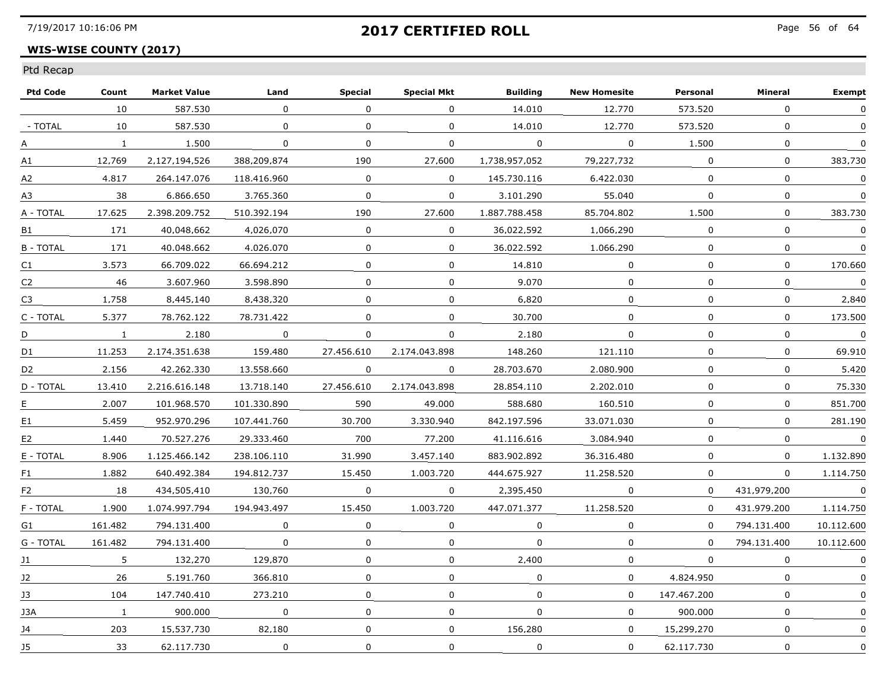### **WIS-WISE COUNTY (2017)**

| <b>Ptd Code</b> | Count        | <b>Market Value</b> | Land        | <b>Special</b> | <b>Special Mkt</b> | <b>Building</b> | <b>New Homesite</b> | Personal     | Mineral      | <b>Exempt</b>  |
|-----------------|--------------|---------------------|-------------|----------------|--------------------|-----------------|---------------------|--------------|--------------|----------------|
|                 | 10           | 587,530             | $\Omega$    | $\Omega$       | $\mathbf{0}$       | 14,010          | 12,770              | 573,520      | $\Omega$     | $\Omega$       |
| - TOTAL         | 10           | 587.530             | 0           | $\mathbf{0}$   | 0                  | 14,010          | 12,770              | 573.520      | 0            |                |
| A               | $\mathbf{1}$ | 1.500               | 0           | 0              | 0                  | 0               | $\Omega$            | 1.500        | $\Omega$     | $\Omega$       |
| A1              | 12.769       | 2.127.194.526       | 388.209.874 | 190            | 27.600             | 1.738.957.052   | 79.227.732          | $\Omega$     | $\Omega$     | 383.730        |
| А2              | 4.817        | 264.147.076         | 118.416.960 | $\Omega$       | $\Omega$           | 145.730.116     | 6.422.030           | $\Omega$     | $\mathbf{0}$ | $\Omega$       |
| A3              | 38           | 6.866.650           | 3.765.360   | $\mathbf{0}$   | $\mathbf 0$        | 3.101.290       | 55.040              | $\mathbf{0}$ | $\mathbf 0$  | $\mathbf{0}$   |
| A - TOTAL       | 17.625       | 2.398.209.752       | 510.392.194 | 190            | 27.600             | 1.887.788.458   | 85.704.802          | 1,500        | $\mathbf 0$  | 383.730        |
| B1              | 171          | 40.048.662          | 4.026.070   | $\Omega$       | $\Omega$           | 36.022.592      | 1.066.290           | $\Omega$     | $\Omega$     | $\Omega$       |
| <b>B-TOTAL</b>  | 171          | 40.048.662          | 4.026.070   | $\Omega$       | $\Omega$           | 36.022.592      | 1.066.290           | $\Omega$     | 0            | 0              |
| C <sub>1</sub>  | 3.573        | 66.709.022          | 66.694.212  | $\Omega$       | $\Omega$           | 14.810          | 0                   | $\Omega$     | $\Omega$     | 170.660        |
| C <sub>2</sub>  | 46           | 3.607.960           | 3,598,890   | $\Omega$       | $\mathbf{0}$       | 9,070           | $\Omega$            | $\Omega$     | $\Omega$     | $\Omega$       |
| C <sub>3</sub>  | 1.758        | 8,445,140           | 8,438,320   | $\mathbf{0}$   | 0                  | 6.820           | $\mathbf 0$         | $\Omega$     | $\Omega$     | 2.840          |
| C - TOTAL       | 5.377        | 78.762.122          | 78.731.422  | $\Omega$       | $\Omega$           | 30.700          | $\Omega$            | $\Omega$     | $\Omega$     | 173.500        |
| D               | $\mathbf{1}$ | 2.180               | $\Omega$    | $\Omega$       | 0                  | 2.180           | $\Omega$            | $\Omega$     | 0            | $\Omega$       |
| D1              | 11.253       | 2.174.351.638       | 159.480     | 27.456.610     | 2.174.043.898      | 148.260         | 121.110             | $\Omega$     | 0            | 69.910         |
| D <sub>2</sub>  | 2.156        | 42.262.330          | 13,558,660  | 0              | 0                  | 28.703.670      | 2.080.900           | $\mathbf 0$  | $\mathbf 0$  | 5.420          |
| D - TOTAL       | 13,410       | 2.216.616.148       | 13,718,140  | 27.456.610     | 2.174.043.898      | 28.854.110      | 2,202,010           | $\mathbf{0}$ | $\mathbf 0$  | 75,330         |
| E               | 2.007        | 101.968.570         | 101.330.890 | 590            | 49.000             | 588.680         | 160.510             | $\Omega$     | 0            | 851.700        |
| E1              | 5.459        | 952.970.296         | 107.441.760 | 30.700         | 3.330.940          | 842.197.596     | 33.071.030          | $\Omega$     | $\Omega$     | 281.190        |
| E <sub>2</sub>  | 1.440        | 70.527.276          | 29.333.460  | 700            | 77.200             | 41.116.616      | 3.084.940           | $\Omega$     | $\Omega$     | $\Omega$       |
| E - TOTAL       | 8.906        | 1.125.466.142       | 238.106.110 | 31,990         | 3.457.140          | 883.902.892     | 36.316.480          | $\mathbf 0$  | $\Omega$     | 1.132.890      |
| F1              | 1,882        | 640.492.384         | 194.812.737 | 15,450         | 1.003.720          | 444.675.927     | 11,258,520          | 0            | 0            | 1,114,750      |
| F <sub>2</sub>  | 18           | 434.505.410         | 130.760     | $\Omega$       | 0                  | 2.395.450       | $\Omega$            | $\Omega$     | 431.979.200  | $\overline{0}$ |
| F - TOTAL       | 1.900        | 1.074.997.794       | 194.943.497 | 15.450         | 1.003.720          | 447.071.377     | 11.258.520          | $\Omega$     | 431.979.200  | 1.114.750      |
| G1              | 161.482      | 794.131.400         | $\Omega$    | $\Omega$       | 0                  | $\Omega$        | $\mathbf{0}$        | $\Omega$     | 794.131.400  | 10.112.600     |
| G - TOTAL       | 161.482      | 794.131.400         | 0           | $\mathbf 0$    | 0                  | $\mathbf 0$     | 0                   | $\Omega$     | 794.131.400  | 10.112.600     |
| J1              | 5            | 132,270             | 129,870     | $\Omega$       | 0                  | 2,400           | $\mathbf 0$         | $\Omega$     | $\Omega$     | 0              |
| 12              | 26           | 5.191.760           | 366.810     | $\Omega$       | $\Omega$           | $\Omega$        | $\Omega$            | 4.824.950    | $\mathbf{0}$ | $\Omega$       |
| 13              | 104          | 147.740.410         | 273.210     | $\Omega$       | 0                  | $\Omega$        | $\Omega$            | 147.467.200  | $\Omega$     | $\mathbf{0}$   |
| J3A             | $\mathbf{1}$ | 900.000             | 0           | 0              | 0                  | 0               | 0                   | 900.000      | 0            |                |
| J4              | 203          | 15,537,730          | 82,180      | $\Omega$       | 0                  | 156.280         | $\mathbf 0$         | 15,299,270   | $\mathbf 0$  | 0              |
| J5              | 33           | 62.117.730          | 0           | $\mathbf 0$    | 0                  | $\mathbf 0$     | $\mathbf 0$         | 62.117.730   | $\mathbf 0$  | $\pmb{0}$      |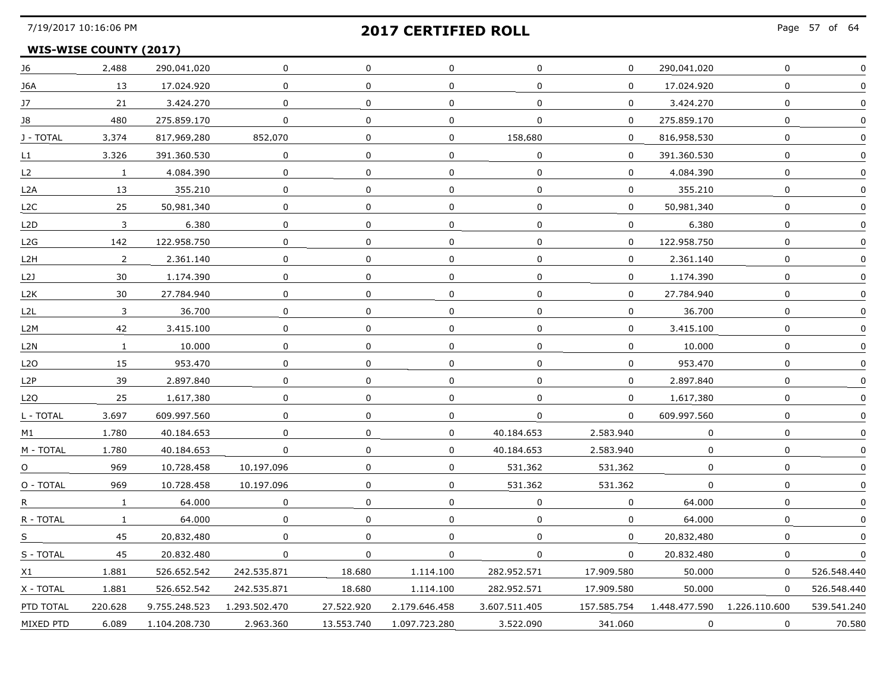## **WIS-WISE COUNTY (2017)**

| J6               | 2,488          | 290.041.020   | 0             | 0            | 0             | 0             | $\mathbf{0}$ | 290.041.020   | 0             |             |
|------------------|----------------|---------------|---------------|--------------|---------------|---------------|--------------|---------------|---------------|-------------|
| J6A              | 13             | 17.024.920    | 0             | $\mathbf 0$  | $\mathbf 0$   | $\mathbf 0$   | $\mathbf{0}$ | 17.024.920    | $\mathbf 0$   |             |
| 17 <sup>2</sup>  | 21             | 3.424.270     | 0             | 0            | $\Omega$      | 0             | 0            | 3.424.270     | 0             |             |
| 18               | 480            | 275.859.170   | 0             | 0            | 0             | 0             | $\Omega$     | 275.859.170   | $\Omega$      |             |
| J - TOTAL        | 3.374          | 817.969.280   | 852.070       | 0            | 0             | 158.680       | $\Omega$     | 816.958.530   | 0             |             |
| L1               | 3.326          | 391.360.530   | 0             | $\mathbf 0$  | $\mathbf 0$   | $\mathbf 0$   | 0            | 391.360.530   | $\mathbf 0$   | $\Omega$    |
| L <sub>2</sub>   | $\mathbf{1}$   | 4.084.390     | 0             | $\mathbf 0$  | 0             | $\mathbf 0$   | 0            | 4.084.390     | $\mathbf 0$   |             |
| L2A              | 13             | 355.210       | 0             | $\mathbf{0}$ | 0             | 0             | 0            | 355.210       | 0             |             |
| L <sub>2</sub> C | 25             | 50.981.340    | 0             | $\Omega$     | 0             | 0             | $\Omega$     | 50.981.340    | 0             |             |
| L <sub>2</sub> D | 3              | 6.380         | 0             | $\Omega$     | 0             | $\Omega$      | 0            | 6.380         | $\mathbf 0$   |             |
| L2G              | 142            | 122.958.750   | $\Omega$      | $\mathbf 0$  | 0             | $\Omega$      | 0            | 122.958.750   | $\mathbf 0$   |             |
| L2H              | $\overline{2}$ | 2,361,140     | 0             | $\mathbf 0$  | 0             | 0             | 0            | 2.361.140     | 0             |             |
| L2J              | 30             | 1.174.390     | 0             | $\Omega$     | $\Omega$      | $\Omega$      | 0            | 1.174.390     | $\Omega$      |             |
| L <sub>2</sub> K | 30             | 27.784.940    | 0             | 0            | 0             | $\Omega$      | 0            | 27.784.940    | 0             |             |
| L <sub>2</sub> L | 3              | 36.700        | 0             | 0            | 0             | 0             | 0            | 36.700        | 0             |             |
| L2M              | 42             | 3.415.100     | 0             | 0            | 0             | 0             | 0            | 3.415.100     | 0             |             |
| L2N              | $\mathbf{1}$   | 10.000        | 0             | $\mathbf 0$  | $\mathbf 0$   | 0             | 0            | 10,000        | $\mathbf 0$   |             |
| L <sub>2</sub> O | 15             | 953.470       | 0             | 0            | 0             | 0             | 0            | 953.470       | 0             |             |
| L <sub>2</sub> P | 39             | 2.897.840     | 0             | 0            | 0             | $\Omega$      | 0            | 2.897.840     | 0             |             |
| L <sub>2</sub> O | 25             | 1.617.380     | 0             | 0            | $\mathbf 0$   | $\Omega$      | $\Omega$     | 1.617.380     | 0             |             |
| L - TOTAL        | 3,697          | 609.997.560   | $\mathbf 0$   | $\mathbf 0$  | 0             | 0             | $\mathbf{0}$ | 609.997.560   | $\mathbf 0$   | $\Omega$    |
| M1               | 1.780          | 40.184.653    | $\Omega$      | $\Omega$     | $\mathbf 0$   | 40.184.653    | 2.583.940    | $\Omega$      | $\mathbf 0$   |             |
| M - TOTAL        | 1.780          | 40.184.653    | 0             | $\mathbf{0}$ | 0             | 40.184.653    | 2.583.940    | 0             | 0             |             |
| $\Omega$         | 969            | 10.728.458    | 10.197.096    | $\Omega$     | 0             | 531.362       | 531.362      | $\Omega$      | $\Omega$      |             |
| O - TOTAL        | 969            | 10.728.458    | 10.197.096    | $\Omega$     | 0             | 531.362       | 531.362      | 0             | 0             |             |
| R.               | $\mathbf{1}$   | 64,000        | 0             | $\mathbf 0$  | 0             | 0             | 0            | 64,000        | $\mathbf 0$   |             |
| R - TOTAL        | $\mathbf{1}$   | 64.000        | 0             | 0            | 0             | 0             | 0            | 64,000        | 0             |             |
| S.               | 45             | 20.832.480    | 0             | $\Omega$     | 0             | 0             | $\Omega$     | 20.832.480    | $\Omega$      |             |
| S - TOTAL        | 45             | 20.832.480    | 0             | 0            | 0             | 0             | $\Omega$     | 20.832.480    | 0             | $\Omega$    |
| X1               | 1.881          | 526.652.542   | 242.535.871   | 18.680       | 1.114.100     | 282.952.571   | 17.909.580   | 50.000        | 0             | 526.548.440 |
| X - TOTAL        | 1.881          | 526.652.542   | 242.535.871   | 18.680       | 1.114.100     | 282.952.571   | 17,909,580   | 50,000        | 0             | 526.548.440 |
| PTD TOTAL        | 220.628        | 9.755.248.523 | 1,293,502,470 | 27.522.920   | 2.179.646.458 | 3.607.511.405 | 157.585.754  | 1,448,477,590 | 1.226.110.600 | 539.541.240 |
| MIXED PTD        | 6.089          | 1.104.208.730 | 2.963.360     | 13.553.740   | 1.097.723.280 | 3.522.090     | 341.060      | 0             | $\Omega$      | 70.580      |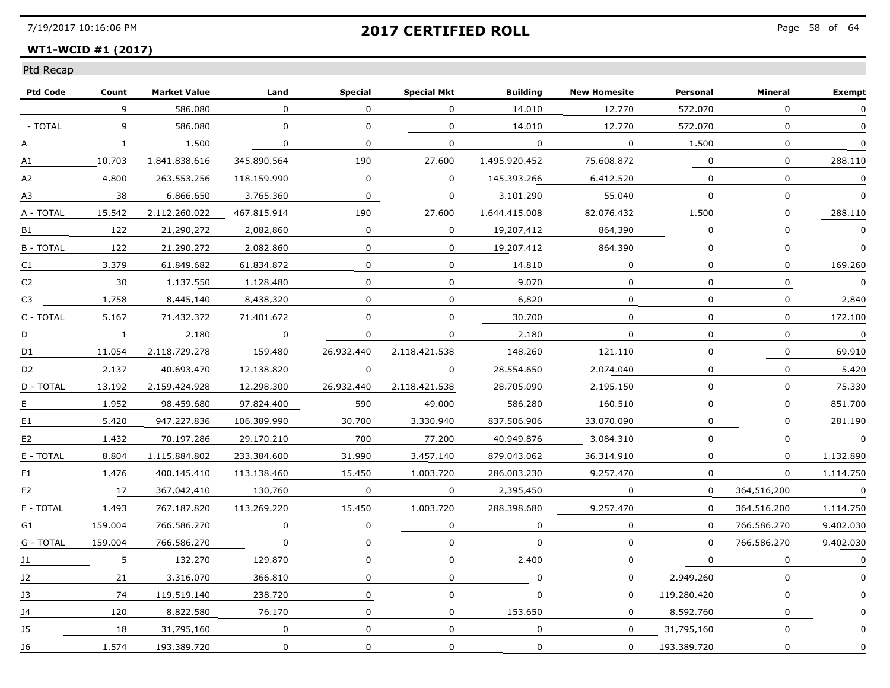### **WT1-WCID #1 (2017)**

| <b>Ptd Code</b> | Count        | <b>Market Value</b> | Land        | <b>Special</b> | <b>Special Mkt</b> | <b>Building</b> | <b>New Homesite</b> | Personal     | Mineral      | <b>Exempt</b>  |
|-----------------|--------------|---------------------|-------------|----------------|--------------------|-----------------|---------------------|--------------|--------------|----------------|
|                 | 9            | 586.080             | $\Omega$    | $\Omega$       | $\Omega$           | 14,010          | 12,770              | 572.070      | $\Omega$     | $\Omega$       |
| - TOTAL         | 9            | 586.080             | 0           | $\mathbf{0}$   | 0                  | 14,010          | 12,770              | 572.070      | 0            |                |
| A               | $\mathbf{1}$ | 1.500               | 0           | 0              | 0                  | 0               | $\Omega$            | 1.500        | $\Omega$     | $\Omega$       |
| A1              | 10.703       | 1.841.838.616       | 345.890.564 | 190            | 27.600             | 1.495.920.452   | 75.608.872          | $\Omega$     | $\Omega$     | 288.110        |
| А2              | 4.800        | 263.553.256         | 118.159.990 | $\Omega$       | $\Omega$           | 145.393.266     | 6.412.520           | $\Omega$     | $\mathbf{0}$ | $\Omega$       |
| A3              | 38           | 6.866.650           | 3.765.360   | $\mathbf{0}$   | $\mathbf 0$        | 3,101,290       | 55.040              | $\mathbf{0}$ | $\mathbf 0$  | $\mathbf{0}$   |
| A - TOTAL       | 15,542       | 2.112.260.022       | 467.815.914 | 190            | 27.600             | 1.644.415.008   | 82.076.432          | 1,500        | $\mathbf 0$  | 288.110        |
| <b>B1</b>       | 122          | 21.290.272          | 2.082.860   | $\Omega$       | $\Omega$           | 19.207.412      | 864.390             | $\Omega$     | $\Omega$     | $\Omega$       |
| <b>B-TOTAL</b>  | 122          | 21.290.272          | 2.082.860   | 0              | $\Omega$           | 19.207.412      | 864.390             | $\Omega$     | 0            | 0              |
| C <sub>1</sub>  | 3.379        | 61.849.682          | 61.834.872  | $\Omega$       | $\Omega$           | 14.810          | 0                   | $\Omega$     | 0            | 169.260        |
| C <sub>2</sub>  | 30           | 1,137,550           | 1,128,480   | $\Omega$       | $\mathbf{0}$       | 9.070           | $\Omega$            | $\Omega$     | $\Omega$     | $\mathbf 0$    |
| C <sub>3</sub>  | 1.758        | 8,445,140           | 8,438,320   | $\mathbf{0}$   | 0                  | 6.820           | $\mathbf 0$         | $\Omega$     | $\Omega$     | 2.840          |
| C - TOTAL       | 5.167        | 71.432.372          | 71.401.672  | $\Omega$       | $\Omega$           | 30.700          | 0                   | $\Omega$     | $\Omega$     | 172.100        |
| D               | $\mathbf{1}$ | 2.180               | $\Omega$    | $\Omega$       | 0                  | 2.180           | $\Omega$            | $\Omega$     | 0            | $\Omega$       |
| D1              | 11.054       | 2.118.729.278       | 159.480     | 26.932.440     | 2.118.421.538      | 148.260         | 121.110             | $\Omega$     | 0            | 69.910         |
| D <sub>2</sub>  | 2.137        | 40.693.470          | 12,138,820  | 0              | 0                  | 28.554.650      | 2.074.040           | $\mathbf 0$  | $\mathbf 0$  | 5.420          |
| D - TOTAL       | 13,192       | 2.159.424.928       | 12,298,300  | 26.932.440     | 2.118.421.538      | 28.705.090      | 2.195.150           | $\mathbf{0}$ | $\mathbf 0$  | 75,330         |
| E               | 1.952        | 98.459.680          | 97.824.400  | 590            | 49.000             | 586.280         | 160.510             | $\Omega$     | 0            | 851.700        |
| E <sub>1</sub>  | 5.420        | 947.227.836         | 106.389.990 | 30.700         | 3.330.940          | 837.506.906     | 33.070.090          | $\Omega$     | $\Omega$     | 281.190        |
| E <sub>2</sub>  | 1.432        | 70.197.286          | 29.170.210  | 700            | 77.200             | 40.949.876      | 3.084.310           | $\Omega$     | $\mathbf{0}$ | $\Omega$       |
| E - TOTAL       | 8.804        | 1.115.884.802       | 233.384.600 | 31.990         | 3.457.140          | 879.043.062     | 36.314.910          | $\mathbf 0$  | $\mathbf 0$  | 1.132.890      |
| F1              | 1.476        | 400.145.410         | 113,138,460 | 15,450         | 1.003.720          | 286.003.230     | 9.257.470           | 0            | 0            | 1.114.750      |
| F <sub>2</sub>  | 17           | 367.042.410         | 130.760     | $\Omega$       | 0                  | 2.395.450       | 0                   | $\Omega$     | 364.516.200  | $\overline{0}$ |
| F - TOTAL       | 1.493        | 767.187.820         | 113.269.220 | 15.450         | 1.003.720          | 288.398.680     | 9.257.470           | $\Omega$     | 364.516.200  | 1.114.750      |
| G1              | 159.004      | 766.586.270         | $\Omega$    | $\Omega$       | 0                  | $\Omega$        | $\mathbf{0}$        | $\Omega$     | 766.586.270  | 9.402.030      |
| G - TOTAL       | 159.004      | 766.586.270         | 0           | 0              | 0                  | $\mathbf 0$     | 0                   | $\Omega$     | 766.586.270  | 9.402.030      |
| J1              | 5            | 132,270             | 129,870     | $\Omega$       | 0                  | 2,400           | $\mathbf 0$         | $\Omega$     | $\mathbf{0}$ | 0              |
| 12              | 21           | 3.316.070           | 366.810     | $\Omega$       | $\Omega$           | $\Omega$        | $\Omega$            | 2.949.260    | $\mathbf{0}$ | $\mathbf{0}$   |
| 13              | 74           | 119.519.140         | 238.720     | 0              | 0                  | $\Omega$        | 0                   | 119.280.420  | $\Omega$     | $\mathbf{0}$   |
| 14              | 120          | 8.822.580           | 76.170      | 0              | 0                  | 153.650         | $\Omega$            | 8.592.760    | 0            |                |
| J5              | 18           | 31.795.160          | $\mathbf 0$ | $\mathbf 0$    | 0                  | $\mathbf 0$     | $\mathbf 0$         | 31,795,160   | $\mathbf 0$  | 0              |
| J6              | 1.574        | 193,389,720         | 0           | $\mathbf 0$    | 0                  | $\mathbf 0$     | $\mathbf 0$         | 193.389.720  | $\mathbf 0$  | 0              |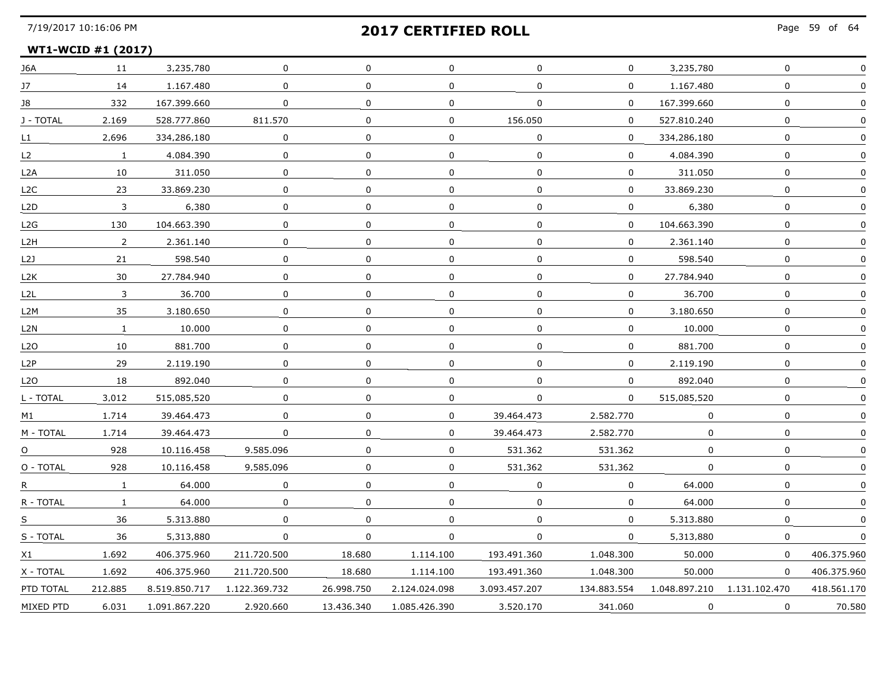Page 59 of 64

#### **WT1-WCID #1 (2017)**

| J6A              | 11           | 3.235.780     | 0             | 0           | 0             | 0             | 0            | 3.235.780   | 0                            |             |
|------------------|--------------|---------------|---------------|-------------|---------------|---------------|--------------|-------------|------------------------------|-------------|
| J7               | 14           | 1.167.480     | $\Omega$      | $\Omega$    | $\mathbf 0$   | $\Omega$      | $\mathbf 0$  | 1.167.480   | $\mathbf 0$                  |             |
| 18               | 332          | 167.399.660   | 0             | $\Omega$    | 0             | 0             | 0            | 167.399.660 | 0                            |             |
| J - TOTAL        | 2.169        | 528.777.860   | 811.570       | 0           | 0             | 156.050       | 0            | 527.810.240 | 0                            |             |
| L1               | 2.696        | 334.286.180   | $\Omega$      | $\Omega$    | $\mathbf 0$   | $\Omega$      | $\Omega$     | 334.286.180 | $\mathbf 0$                  |             |
| L2               | $\mathbf{1}$ | 4.084.390     | $\mathbf{0}$  | $\Omega$    | 0             | $\Omega$      | 0            | 4.084.390   | 0                            |             |
| L2A              | 10           | 311.050       | 0             | 0           | 0             | $\mathbf 0$   | 0            | 311.050     | 0                            |             |
| L <sub>2</sub> C | 23           | 33.869.230    | 0             | 0           | 0             | 0             | $\Omega$     | 33.869.230  | $\mathbf 0$                  |             |
| L <sub>2</sub> D | 3            | 6.380         | $\Omega$      | $\Omega$    | 0             | $\Omega$      | 0            | 6.380       | 0                            |             |
| L2G              | 130          | 104.663.390   | 0             | 0           | 0             | 0             | $\mathbf{0}$ | 104.663.390 | 0                            |             |
| L2H              | $2^{\circ}$  | 2.361.140     | 0             | $\mathbf 0$ | $\mathbf 0$   | $\mathbf 0$   | $\mathbf 0$  | 2.361.140   | $\mathbf 0$                  |             |
| L2J              | 21           | 598.540       | 0             | 0           | 0             | 0             | 0            | 598.540     | 0                            |             |
| L2K              | 30           | 27.784.940    | $\Omega$      | $\Omega$    | 0             | $\mathbf{0}$  | 0            | 27.784.940  | 0                            |             |
| L <sub>2</sub> L | 3            | 36.700        | 0             | 0           | 0             | 0             | 0            | 36.700      | 0                            |             |
| L2M              | 35           | 3.180.650     | 0             | 0           | 0             | $\Omega$      | 0            | 3.180.650   | 0                            |             |
| L2N              | $\mathbf{1}$ | 10.000        | 0             | 0           | 0             | $\mathbf 0$   | 0            | 10,000      | 0                            |             |
| L <sub>2</sub> O | 10           | 881.700       | $\mathbf 0$   | $\Omega$    | $\mathbf 0$   | $\mathbf 0$   | 0            | 881,700     | $\mathbf 0$                  | $\Omega$    |
| L <sub>2</sub> P | 29           | 2.119.190     | 0             | $\Omega$    | 0             | $\Omega$      | 0            | 2.119.190   | 0                            |             |
| L2O              | 18           | 892.040       | 0             | 0           | 0             | $\Omega$      | 0            | 892.040     | 0                            |             |
| L - TOTAL        | 3.012        | 515.085.520   | 0             | 0           | 0             | 0             | 0            | 515.085.520 | 0                            |             |
| M1               | 1.714        | 39,464,473    | 0             | 0           | 0             | 39,464,473    | 2,582,770    | 0           | 0                            |             |
| M - TOTAL        | 1.714        | 39.464.473    | 0             | 0           | 0             | 39.464.473    | 2,582,770    | 0           | $\mathbf 0$                  |             |
| $\Omega$         | 928          | 10.116.458    | 9.585.096     | $\Omega$    | $\mathbf 0$   | 531.362       | 531.362      | 0           | 0                            |             |
| O - TOTAL        | 928          | 10.116.458    | 9.585.096     | $\Omega$    | 0             | 531.362       | 531.362      | 0           | 0                            |             |
| R                | $\mathbf{1}$ | 64.000        | 0             | 0           | $\Omega$      | $\Omega$      | $\Omega$     | 64.000      | $\Omega$                     |             |
| $R$ - TOTAL      | $\mathbf{1}$ | 64,000        | 0             | 0           | 0             | $\mathbf 0$   | 0            | 64,000      | $\mathbf 0$                  |             |
| S.               | 36           | 5.313.880     | 0             | $\Omega$    | 0             | 0             | 0            | 5.313.880   | 0                            |             |
| S - TOTAL        | 36           | 5.313.880     | 0             | 0           | 0             | $\Omega$      | $\Omega$     | 5.313.880   | $\Omega$                     |             |
| X1               | 1.692        | 406.375.960   | 211.720.500   | 18.680      | 1.114.100     | 193.491.360   | 1.048.300    | 50.000      | 0                            | 406.375.960 |
| X - TOTAL        | 1.692        | 406.375.960   | 211.720.500   | 18.680      | 1.114.100     | 193.491.360   | 1.048.300    | 50.000      | $\Omega$                     | 406.375.960 |
| PTD TOTAL        | 212,885      | 8.519.850.717 | 1.122.369.732 | 26.998.750  | 2.124.024.098 | 3.093.457.207 | 134.883.554  |             | 1.048.897.210  1.131.102.470 | 418.561.170 |
| MIXED PTD        | 6.031        | 1.091.867.220 | 2.920.660     | 13,436,340  | 1.085.426.390 | 3.520.170     | 341.060      | 0           | 0                            | 70.580      |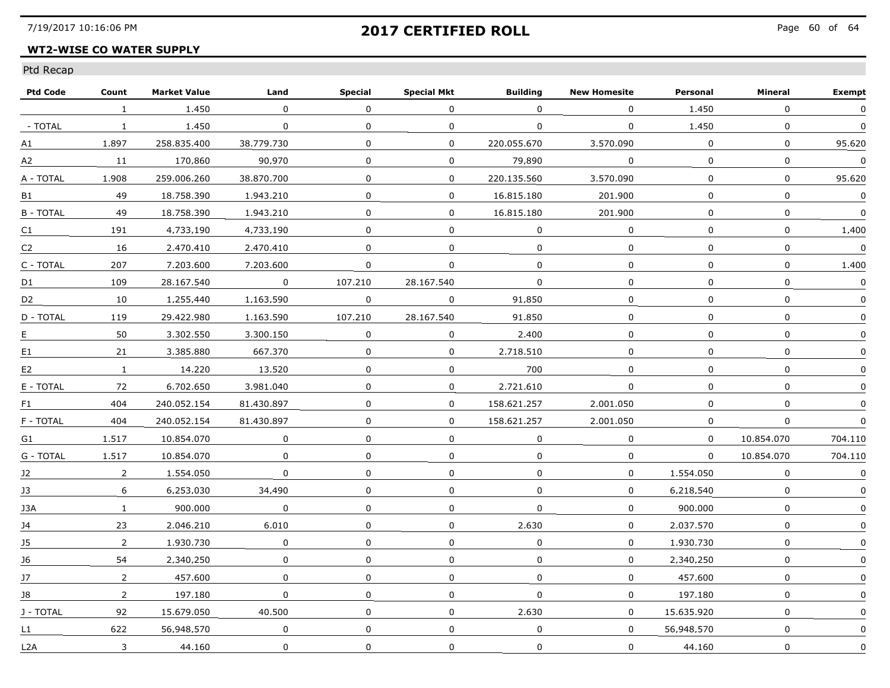### **WT2-WISE CO WATER SUPPLY**

| <b>Ptd Code</b>  | Count          | <b>Market Value</b> | Land                    | <b>Special</b> | <b>Special Mkt</b> | <b>Building</b> | <b>New Homesite</b> | Personal    | Mineral      | <b>Exempt</b> |
|------------------|----------------|---------------------|-------------------------|----------------|--------------------|-----------------|---------------------|-------------|--------------|---------------|
|                  | $\mathbf{1}$   | 1,450               | $\Omega$                | $\Omega$       | $\Omega$           | $\mathbf 0$     | $\Omega$            | 1,450       | $\Omega$     | $\Omega$      |
| - TOTAL          | $\mathbf{1}$   | 1,450               | $\mathbf 0$             | $\mathbf{0}$   | $\mathbf 0$        | $\mathbf 0$     | $\mathbf{0}$        | 1.450       | $\mathbf 0$  | $\mathbf 0$   |
| А1               | 1.897          | 258.835.400         | 38.779.730              | $\Omega$       | $\Omega$           | 220.055.670     | 3.570.090           | $\Omega$    | $\mathbf{0}$ | 95.620        |
| A2               | 11             | 170.860             | 90.970                  | $\Omega$       | $\Omega$           | 79.890          | $\Omega$            | $\Omega$    | 0            | $\Omega$      |
| A - TOTAL        | 1.908          | 259.006.260         | 38.870.700              | $\Omega$       | $\Omega$           | 220.135.560     | 3.570.090           | $\Omega$    | $\Omega$     | 95.620        |
| B1               | 49             | 18,758,390          | 1.943.210               | $\Omega$       | $\overline{0}$     | 16,815,180      | 201.900             | $\Omega$    | $\mathbf{0}$ | $\mathbf 0$   |
| <b>B-TOTAL</b>   | 49             | 18,758,390          | 1.943.210               | $\Omega$       | $\overline{0}$     | 16.815.180      | 201.900             | $\Omega$    | $\mathbf 0$  | $\mathbf 0$   |
| C1               | 191            | 4.733.190           | 4.733.190               | $\Omega$       | 0                  | $\Omega$        | 0                   | 0           | 0            | 1.400         |
| C2               | 16             | 2.470.410           | 2.470.410               | $\Omega$       | 0                  | 0               | $\Omega$            | $\Omega$    | 0            | $\Omega$      |
| C - TOTAL        | 207            | 7.203.600           | 7.203.600               | $\Omega$       | 0                  | $\Omega$        | $\mathbf{0}$        | $\Omega$    | $\mathbf{0}$ | 1.400         |
| D1               | 109            | 28.167.540          | $\overline{\mathbf{0}}$ | 107.210        | 28.167.540         | $\Omega$        | $\mathbf 0$         | $\Omega$    | $\mathbf 0$  | $\mathbf{0}$  |
| D <sub>2</sub>   | 10             | 1.255.440           | 1.163.590               | $\mathbf 0$    | $\mathbf 0$        | 91.850          | $\mathbf 0$         | $\Omega$    | $\mathbf 0$  | 0             |
| D - TOTAL        | 119            | 29.422.980          | 1.163.590               | 107.210        | 28.167.540         | 91.850          | $\mathbf 0$         | $\Omega$    | $\mathbf 0$  | $\mathbf 0$   |
| E                | 50             | 3.302.550           | 3.300.150               | $\Omega$       | 0                  | 2.400           | $\overline{0}$      | $\Omega$    | $\Omega$     | $\Omega$      |
| E1               | 21             | 3.385.880           | 667.370                 | 0              | 0                  | 2.718.510       | 0                   | $\Omega$    | $\mathbf{0}$ | $\Omega$      |
| E2               | $\mathbf{1}$   | 14,220              | 13,520                  | $\mathbf 0$    | $\mathbf 0$        | 700             | $\mathbf 0$         | $\Omega$    | $\mathbf 0$  | 0             |
| E - TOTAL        | 72             | 6.702.650           | 3.981.040               | $\mathbf 0$    | $\mathbf 0$        | 2.721.610       | 0                   | $\mathbf 0$ | $\mathbf{0}$ | 0             |
| F <sub>1</sub>   | 404            | 240.052.154         | 81.430.897              | 0              | 0                  | 158.621.257     | 2.001.050           | $\Omega$    | 0            | $\Omega$      |
| F - TOTAL        | 404            | 240.052.154         | 81.430.897              | $\Omega$       | $\Omega$           | 158.621.257     | 2.001.050           | $\Omega$    | 0            | 0             |
| G1               | 1.517          | 10.854.070          | $\Omega$                | $\Omega$       | $\Omega$           | $\Omega$        | $\Omega$            | $\Omega$    | 10.854.070   | 704.110       |
| G - TOTAL        | 1,517          | 10.854.070          | $\mathbf 0$             | $\mathbf 0$    | $\mathbf 0$        | $\mathbf 0$     | $\mathbf 0$         | $\mathbf 0$ | 10.854.070   | 704,110       |
| J2               | $\overline{2}$ | 1.554.050           | $\mathbf 0$             | $\mathbf 0$    | 0                  | $\Omega$        | $\mathbf 0$         | 1,554,050   | $\Omega$     | $\mathbf 0$   |
| 13               | 6              | 6.253.030           | 34.490                  | $\Omega$       | 0                  | $\Omega$        | 0                   | 6.218.540   | 0            | 0             |
| 13A              | $\mathbf{1}$   | 900.000             | $\Omega$                | 0              | 0                  | $\Omega$        | $\mathbf 0$         | 900.000     | $\Omega$     | $\mathbf{0}$  |
| 14               | 23             | 2.046.210           | 6.010                   | 0              | 0                  | 2.630           | 0                   | 2.037.570   | 0            | 0             |
| J5               | 2              | 1,930,730           | 0                       | $\mathbf 0$    | 0                  | 0               | 0                   | 1.930.730   | 0            |               |
| J6               | 54             | 2,340,250           | $\mathbf 0$             | $\Omega$       | 0                  | $\Omega$        | $\mathsf{O}$        | 2,340,250   | $\mathbf 0$  | 0             |
| 17               | $2^{\circ}$    | 457.600             | $\Omega$                | $\Omega$       | $\Omega$           | $\Omega$        | $\Omega$            | 457.600     | $\mathbf{0}$ | $\mathbf{0}$  |
| 18               | 2              | 197.180             | 0                       | 0              | 0                  | $\mathbf 0$     | $\mathbf 0$         | 197.180     | 0            | $\Omega$      |
| J - TOTAL        | 92             | 15.679.050          | 40.500                  | 0              | 0                  | 2.630           | $\Omega$            | 15.635.920  | $\mathbf{0}$ |               |
| L1               | 622            | 56.948.570          | $\mathbf 0$             | $\Omega$       | $\mathbf 0$        | $\Omega$        | $\mathbf 0$         | 56.948.570  | 0            | 0             |
| L <sub>2</sub> A | 3              | 44.160              | 0                       | $\mathbf 0$    | 0                  | $\mathbf 0$     | $\mathbf 0$         | 44.160      | $\mathbf 0$  | $\mathbf 0$   |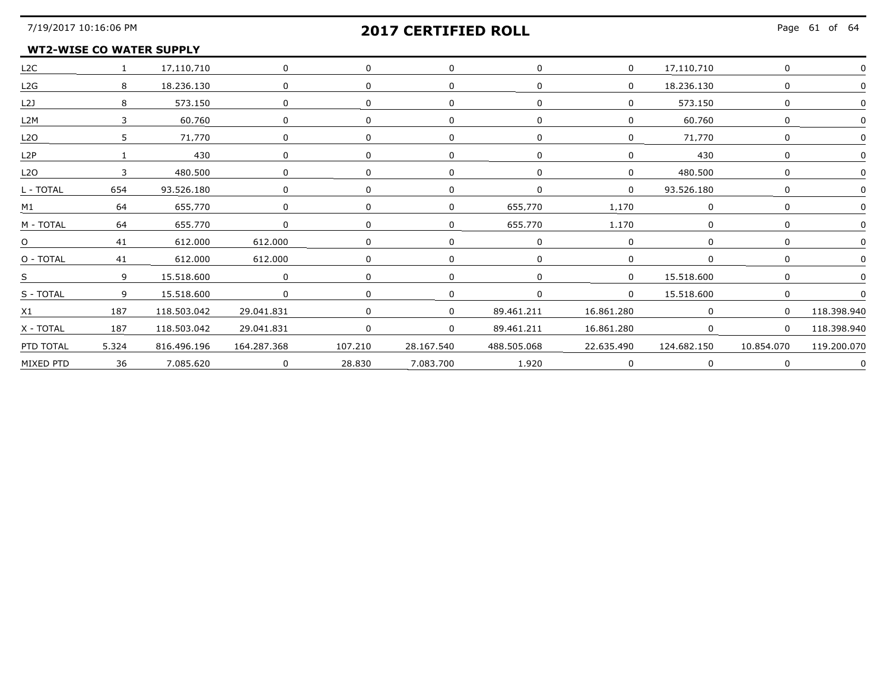### **WT2-WISE CO WATER SUPPLY**

| L2C                    |                | 1 17.110.710    | $\overline{0}$ | $\Omega$       | $\Omega$   | $\Omega$    | $\mathbf{0}$ | 17.110.710  |                |             |
|------------------------|----------------|-----------------|----------------|----------------|------------|-------------|--------------|-------------|----------------|-------------|
| L2G                    | 8              | 18,236,130      | $\Omega$       |                |            |             | 0            | 18,236,130  |                |             |
| L2J                    |                | 573.150         | $\Omega$       | $\Omega$       |            |             |              | 573.150     |                |             |
| L2M                    |                | 60.760          | $\Omega$       |                |            |             |              | 60.760      |                |             |
| L <sub>2</sub> O       | 5.             | 71.770          | $\Omega$       |                |            |             |              | 71.770      | <sup>n</sup>   |             |
| L2P                    |                | 430             | $\mathbf{0}$   |                |            |             |              | 430         |                |             |
| L2O                    | 3              | 480,500         | 0              |                |            |             | $\mathbf{0}$ | 480,500     |                |             |
| L - TOTAL              | 654            | 93.526.180      | 0              |                |            |             |              | 93.526.180  |                |             |
|                        |                | M1 64 655.770 0 |                | $\Omega$       |            | 655.770     | 1.170        |             |                |             |
| M - TOTAL              |                | $64$ 655.770    | $\overline{0}$ |                |            | 655.770     | 1.170        | $\Omega$    |                |             |
| <u>0</u><br>---------- |                | $41$ 612.000    | 612,000        | $\overline{0}$ |            |             |              |             |                |             |
| O - TOTAL              |                | 41 612.000      | 612,000        |                |            |             | $\Omega$     | $\Omega$    |                |             |
|                        |                | 15.518.600      | $\overline{0}$ |                |            |             | $\Omega$     | 15.518.600  | $\Omega$       |             |
| S - TOTAL              | $\overline{9}$ | 15.518.600      | $\Omega$       | $\Omega$       | 0          |             | $\Omega$     | 15.518.600  |                |             |
| X1                     | 187            | 118.503.042     | 29.041.831     | $\Omega$       |            | 89.461.211  | 16.861.280   | $\Omega$    | $\Omega$       | 118.398.940 |
| X - TOTAL              | 187            | 118,503,042     | 29.041.831     | $\Omega$       | $\Omega$   | 89,461,211  | 16,861,280   | $\Omega$    | $\overline{0}$ | 118,398,940 |
| PTD TOTAL              | 5.324          | 816.496.196     | 164.287.368    | 107,210        | 28.167.540 | 488.505.068 | 22.635.490   | 124.682.150 | 10.854.070     | 119,200,070 |
| MIXED PTD              | 36             | 7.085.620       | $\overline{0}$ | 28.830         | 7.083.700  | 1.920       |              | $\Omega$    | $\Omega$       |             |
|                        |                |                 |                |                |            |             |              |             |                |             |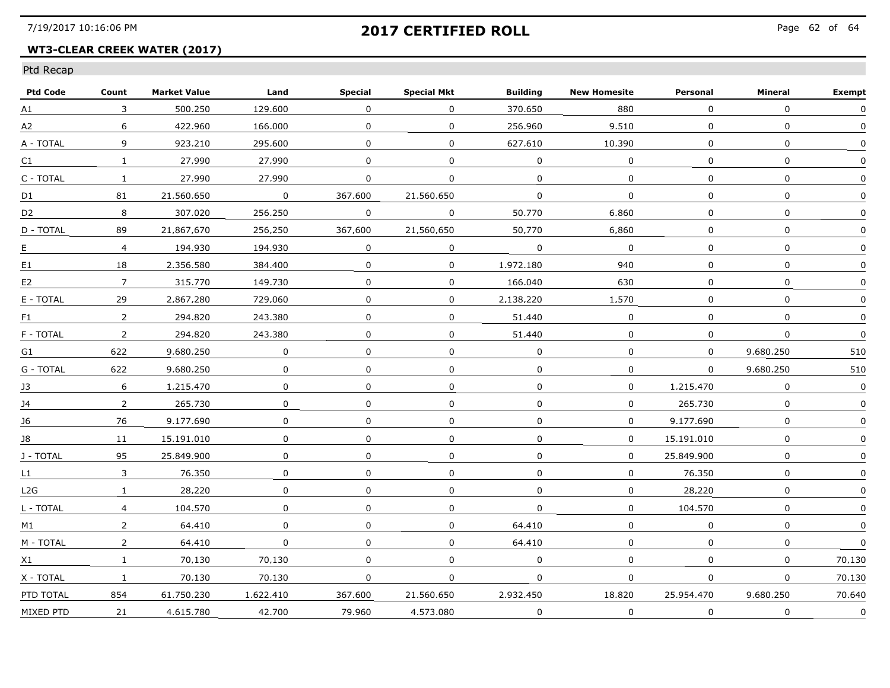## **WT3-CLEAR CREEK WATER (2017)**

| <b>Ptd Code</b> | Count          | <b>Market Value</b> | Land           | <b>Special</b> | <b>Special Mkt</b> | <b>Building</b> | <b>New Homesite</b> | Personal     | Mineral      | <b>Exempt</b> |
|-----------------|----------------|---------------------|----------------|----------------|--------------------|-----------------|---------------------|--------------|--------------|---------------|
| A1              | 3              | 500.250             | 129.600        | $\mathbf 0$    | $\Omega$           | 370.650         | 880                 | $\mathbf{0}$ | $\Omega$     | $\mathbf{0}$  |
| A2              | 6              | 422.960             | 166.000        | $\mathbf 0$    | $\mathbf 0$        | 256.960         | 9,510               | $\mathbf 0$  | $\mathbf 0$  | $\Omega$      |
| A - TOTAL       | 9              | 923.210             | 295.600        | 0              | 0                  | 627.610         | 10.390              | $\Omega$     | $\mathbf 0$  |               |
| C1              | $\mathbf{1}$   | 27.990              | 27.990         | $\Omega$       | $\Omega$           | $\Omega$        | $\overline{0}$      | $\Omega$     | $\Omega$     |               |
| C - TOTAL       | $\mathbf{1}$   | 27.990              | 27.990         | $\Omega$       | $\mathbf{0}$       | $\mathbf 0$     | $\Omega$            | 0            | $\Omega$     |               |
| D1              | 81             | 21.560.650          | $\overline{0}$ | 367.600        | 21.560.650         | $\mathbf{0}$    | $\mathbf 0$         | $\mathbf 0$  | $\mathbf 0$  |               |
| D <sub>2</sub>  | 8              | 307.020             | 256.250        | $\mathbf 0$    | $\mathbf 0$        | 50,770          | 6,860               | $\Omega$     | $\Omega$     |               |
| D - TOTAL       | 89             | 21.867.670          | 256.250        | 367.600        | 21.560.650         | 50.770          | 6.860               | $\Omega$     | $\Omega$     |               |
| E.              | $\overline{4}$ | 194.930             | 194.930        | $\Omega$       | $\Omega$           | $\Omega$        | $\mathbf{0}$        | $\Omega$     | $\Omega$     | $\mathbf{0}$  |
| E1              | 18             | 2.356.580           | 384.400        | $\Omega$       | $\Omega$           | 1.972.180       | 940                 | $\Omega$     | $\Omega$     |               |
| E2              | $7^{\circ}$    | 315.770             | 149.730        | $\mathbf 0$    | $\mathbf 0$        | 166.040         | 630                 | $\mathbf{0}$ | $\mathbf{0}$ | 0             |
| E - TOTAL       | 29             | 2.867.280           | 729.060        | $\mathbf 0$    | 0                  | 2.138.220       | 1.570               | 0            | $\Omega$     |               |
| F1              | 2              | 294.820             | 243.380        | $\Omega$       | $\Omega$           | 51.440          | $\Omega$            | $\Omega$     | $\Omega$     | $\Omega$      |
| F - TOTAL       | $\overline{2}$ | 294.820             | 243.380        | 0              | $\Omega$           | 51.440          | $\Omega$            | $\Omega$     | $\Omega$     |               |
| G1              | 622            | 9.680.250           | $\Omega$       | 0              | 0                  | $\Omega$        | 0                   | $\Omega$     | 9.680.250    | 510           |
| G - TOTAL       | 622            | 9.680.250           | $\mathbf 0$    | $\mathbf 0$    | $\mathbf 0$        | $\mathbf 0$     | 0                   | $\mathbf 0$  | 9.680.250    | 510           |
| J3              | 6              | 1,215,470           | 0              | $\Omega$       | 0                  | 0               | $\mathbf{0}$        | 1,215,470    | $\Omega$     | $\mathbf{0}$  |
| 14              | $\overline{2}$ | 265.730             | $\Omega$       | $\Omega$       | $\Omega$           | $\Omega$        | $\Omega$            | 265.730      | $\Omega$     | $\mathbf{0}$  |
| 16              | 76             | 9.177.690           | $\Omega$       | $\Omega$       | $\Omega$           | $\Omega$        | $\Omega$            | 9.177.690    | $\Omega$     |               |
| 18              | 11             | 15.191.010          | 0              | $\Omega$       | 0                  | $\Omega$        | $\Omega$            | 15.191.010   | $\Omega$     | $\Omega$      |
| J - TOTAL       | 95             | 25.849.900          | $\Omega$       | $\Omega$       | $\Omega$           | 0               | $\Omega$            | 25.849.900   | $\Omega$     |               |
| L1              | $\mathbf{3}$   | 76.350              | $\mathbf 0$    | 0              | $\mathbf 0$        | 0               | $\mathbf 0$         | 76.350       | $\Omega$     |               |
| L2G             | $\mathbf{1}$   | 28.220              | 0              | $\Omega$       | 0                  | $\mathbf 0$     | $\Omega$            | 28.220       | $\Omega$     | $\Omega$      |
| L - TOTAL       | $\overline{4}$ | 104.570             | 0              | 0              | 0                  | $\Omega$        | 0                   | 104.570      | $\mathbf{0}$ |               |
| M1              | $\overline{2}$ | 64.410              | $\Omega$       | $\Omega$       | $\Omega$           | 64.410          | $\Omega$            | $\Omega$     | $\Omega$     | $\mathbf{0}$  |
| M - TOTAL       | $\overline{2}$ | 64,410              | $\mathbf 0$    | 0              | 0                  | 64.410          | $\Omega$            | $\mathbf 0$  | $\Omega$     | $\mathbf{0}$  |
| X1              | $\mathbf{1}$   | 70.130              | 70.130         | $\Omega$       | $\mathbf{0}$       | $\mathbf 0$     | $\Omega$            | $\mathbf{0}$ | $\mathbf 0$  | 70.130        |
| X - TOTAL       | $\mathbf{1}$   | 70.130              | 70.130         | $\Omega$       | $\Omega$           | $\Omega$        | $\mathbf 0$         | $\mathbf{0}$ | $\Omega$     | 70.130        |
| PTD TOTAL       | 854            | 61.750.230          | 1.622.410      | 367.600        | 21.560.650         | 2.932.450       | 18.820              | 25.954.470   | 9.680.250    | 70.640        |
| MIXED PTD       | 21             | 4.615.780           | 42.700         | 79.960         | 4.573.080          | 0               | $\Omega$            | $\mathbf{0}$ | 0            | $\Omega$      |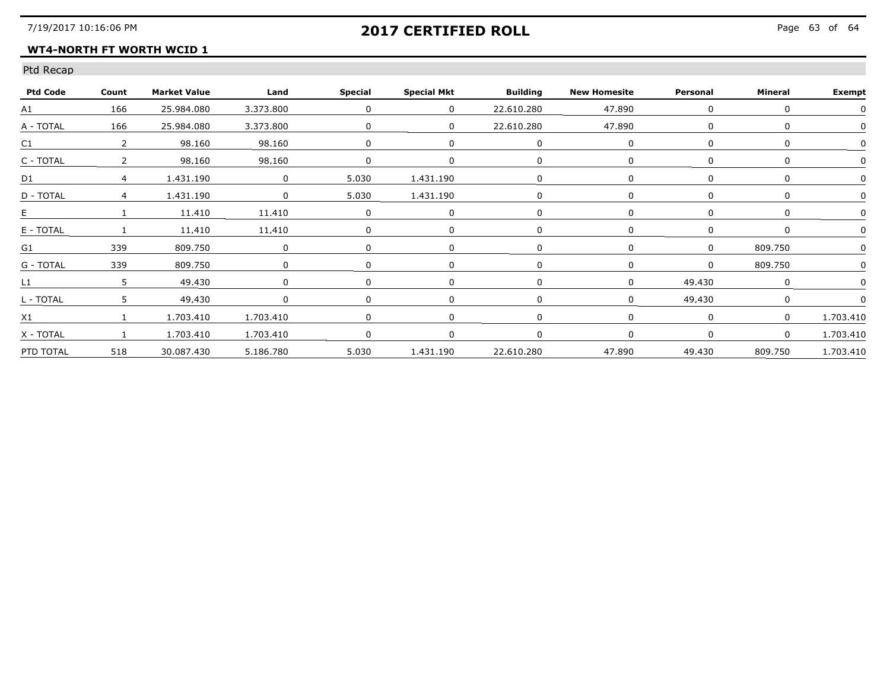### **WT4-NORTH FT WORTH WCID 1**

| <b>Ptd Code</b> | Count | <b>Market Value</b> | <b>Example 1</b> | Special        | <b>Special Mkt</b>           | Building   | <b>New Homesite</b> | Personal | Mineral | <b>Exempt</b>     |
|-----------------|-------|---------------------|------------------|----------------|------------------------------|------------|---------------------|----------|---------|-------------------|
| A1              | 166   | 25,984,080          | 3,373,800        | $\overline{0}$ | $\overline{0}$               | 22.610.280 | 47.890              | $\Omega$ |         |                   |
| A - TOTAL       | 166   | 25,984,080          | 3,373,800        |                |                              | 22.610.280 | 47.890              |          |         |                   |
| C1              |       | 98.160              | 98.160           |                |                              |            |                     |          |         |                   |
| C - TOTAL       |       | 98.160              | 98.160           |                |                              |            |                     |          |         |                   |
| D1              |       | 1.431.190           | $\overline{0}$   | 5.030          | 1.431.190                    |            |                     |          |         |                   |
| D - TOTAL       |       | 1,431,190           | $\Omega$         | 5,030          | 1,431,190                    |            |                     |          |         |                   |
|                 |       | 11.410              | 11,410           |                |                              |            |                     |          |         |                   |
| E - TOTAL       |       | 11.410              | 11.410           |                |                              |            |                     |          |         |                   |
| G1              | 339   | 809.750             |                  |                |                              |            |                     |          | 809.750 |                   |
| G - TOTAL       | 339   | 809.750             |                  |                |                              |            |                     |          | 809.750 |                   |
| L1              |       | 49.430              |                  |                |                              |            |                     | 49,430   |         |                   |
| L - TOTAL       |       | 49.430              |                  |                |                              |            |                     | 49 430   |         |                   |
| X <sub>1</sub>  |       | 1.703.410           | 1.703.410        |                |                              |            |                     |          |         | 1.703.410         |
| X - TOTAL       |       | 1.703.410           | 1.703.410        |                |                              |            |                     |          |         | 1.703.410         |
| PTD TOTAL       | 518   | 30.087.430          | 5.186.780        |                | 5.030  1.431.190  22.610.280 |            | 47.890              | 49.430   |         | 809.750 1.703.410 |